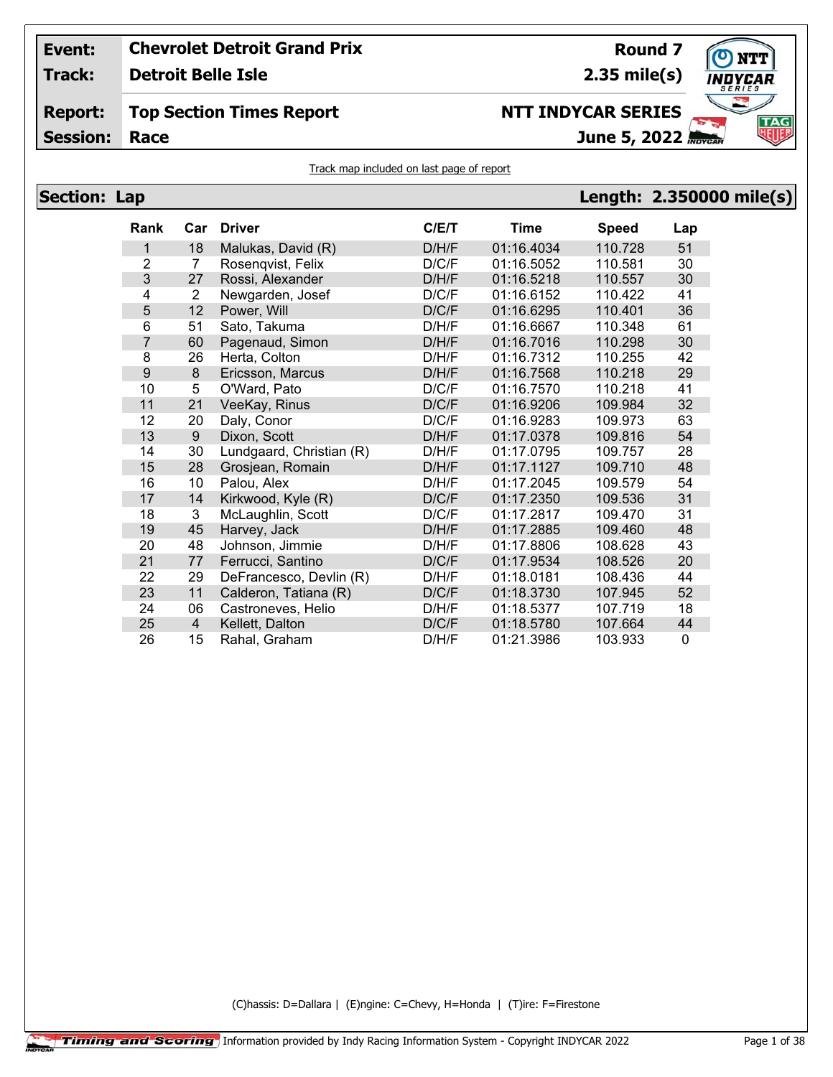**Track: Detroit Belle Isle**

## **Report: Top Section Times Report**

**Session:**

```
2.35 mile(s)
```
**Round 7**

# **NTT INDYCAR SERIES**

**Race June 5, 2022**



Track map included on last page of report

| <b>Section: Lap</b> |                  |                |                          |       |             |              | Length: 2.350000 mile(s) |
|---------------------|------------------|----------------|--------------------------|-------|-------------|--------------|--------------------------|
|                     | Rank             | Car            | <b>Driver</b>            | C/E/T | <b>Time</b> | <b>Speed</b> | Lap                      |
|                     | 1                | 18             | Malukas, David (R)       | D/H/F | 01:16.4034  | 110.728      | 51                       |
|                     | 2                | $\overline{7}$ | Rosengvist, Felix        | D/C/F | 01:16.5052  | 110.581      | 30                       |
|                     | 3                | 27             | Rossi, Alexander         | D/H/F | 01:16.5218  | 110.557      | 30                       |
|                     | 4                | $\overline{2}$ | Newgarden, Josef         | D/C/F | 01:16.6152  | 110.422      | 41                       |
|                     | 5                | 12             | Power, Will              | D/C/F | 01:16.6295  | 110.401      | 36                       |
|                     | 6                | 51             | Sato, Takuma             | D/H/F | 01:16.6667  | 110.348      | 61                       |
|                     | 7                | 60             | Pagenaud, Simon          | D/H/F | 01:16.7016  | 110.298      | 30                       |
|                     | 8                | 26             | Herta, Colton            | D/H/F | 01:16.7312  | 110.255      | 42                       |
|                     | $\boldsymbol{9}$ | 8              | Ericsson, Marcus         | D/H/F | 01:16.7568  | 110.218      | 29                       |
|                     | 10               | 5              | O'Ward, Pato             | D/C/F | 01:16.7570  | 110.218      | 41                       |
|                     | 11               | 21             | VeeKay, Rinus            | D/C/F | 01:16.9206  | 109.984      | 32                       |
|                     | 12               | 20             | Daly, Conor              | D/C/F | 01:16.9283  | 109.973      | 63                       |
|                     | 13               | 9              | Dixon, Scott             | D/H/F | 01:17.0378  | 109.816      | 54                       |
|                     | 14               | 30             | Lundgaard, Christian (R) | D/H/F | 01:17.0795  | 109.757      | 28                       |
|                     | 15               | 28             | Grosjean, Romain         | D/H/F | 01:17.1127  | 109.710      | 48                       |
|                     | 16               | 10             | Palou, Alex              | D/H/F | 01:17.2045  | 109.579      | 54                       |
|                     | 17               | 14             | Kirkwood, Kyle (R)       | D/C/F | 01:17.2350  | 109.536      | 31                       |
|                     | 18               | 3              | McLaughlin, Scott        | D/C/F | 01:17.2817  | 109.470      | 31                       |
|                     | 19               | 45             | Harvey, Jack             | D/H/F | 01:17.2885  | 109.460      | 48                       |
|                     | 20               | 48             | Johnson, Jimmie          | D/H/F | 01:17.8806  | 108.628      | 43                       |
|                     | 21               | 77             | Ferrucci, Santino        | D/C/F | 01:17.9534  | 108.526      | 20                       |
|                     | 22               | 29             | DeFrancesco, Devlin (R)  | D/H/F | 01:18.0181  | 108.436      | 44                       |
|                     | 23               | 11             | Calderon, Tatiana (R)    | D/C/F | 01:18.3730  | 107.945      | 52                       |
|                     | 24               | 06             | Castroneves, Helio       | D/H/F | 01:18.5377  | 107.719      | 18                       |
|                     | 25               | $\overline{4}$ | Kellett, Dalton          | D/C/F | 01:18.5780  | 107.664      | 44                       |
|                     | 26               | 15             | Rahal, Graham            | D/H/F | 01:21.3986  | 103.933      | $\pmb{0}$                |

(C)hassis: D=Dallara | (E)ngine: C=Chevy, H=Honda | (T)ire: F=Firestone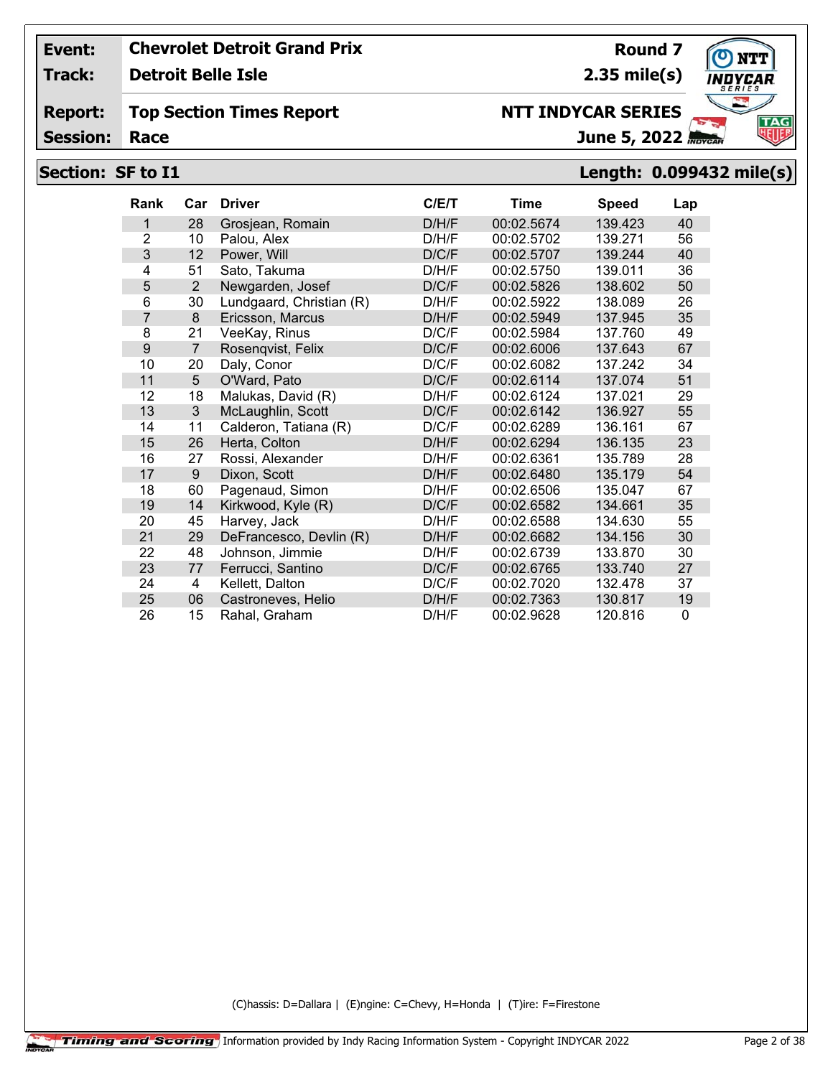**Track: Detroit Belle Isle**

#### **Report: Top Section Times Report**

**Session:**

# **Section: SF to I1 Length: 0.099432 mile(s)**

| <b>Rank</b>    | Car            | <b>Driver</b>            | C/ET  | <b>Time</b> | <b>Speed</b> | Lap      |
|----------------|----------------|--------------------------|-------|-------------|--------------|----------|
| 1              | 28             | Grosjean, Romain         | D/H/F | 00:02.5674  | 139.423      | 40       |
| $\overline{2}$ | 10             | Palou, Alex              | D/H/F | 00:02.5702  | 139.271      | 56       |
| 3              | 12             | Power, Will              | D/C/F | 00:02.5707  | 139.244      | 40       |
| 4              | 51             | Sato, Takuma             | D/H/F | 00:02.5750  | 139.011      | 36       |
| 5              | $\overline{2}$ | Newgarden, Josef         | D/C/F | 00:02.5826  | 138.602      | 50       |
| 6              | 30             | Lundgaard, Christian (R) | D/H/F | 00:02.5922  | 138.089      | 26       |
| $\overline{7}$ | 8              | Ericsson, Marcus         | D/H/F | 00:02.5949  | 137.945      | 35       |
| 8              | 21             | VeeKay, Rinus            | D/C/F | 00:02.5984  | 137.760      | 49       |
| 9              | $\overline{7}$ | Rosenqvist, Felix        | D/C/F | 00:02.6006  | 137.643      | 67       |
| 10             | 20             | Daly, Conor              | D/C/F | 00:02.6082  | 137.242      | 34       |
| 11             | 5              | O'Ward, Pato             | D/C/F | 00:02.6114  | 137.074      | 51       |
| 12             | 18             | Malukas, David (R)       | D/H/F | 00:02.6124  | 137.021      | 29       |
| 13             | 3              | McLaughlin, Scott        | D/C/F | 00:02.6142  | 136.927      | 55       |
| 14             | 11             | Calderon, Tatiana (R)    | D/C/F | 00:02.6289  | 136.161      | 67       |
| 15             | 26             | Herta, Colton            | D/H/F | 00:02.6294  | 136.135      | 23       |
| 16             | 27             | Rossi, Alexander         | D/H/F | 00:02.6361  | 135.789      | 28       |
| 17             | 9              | Dixon, Scott             | D/H/F | 00:02.6480  | 135.179      | 54       |
| 18             | 60             | Pagenaud, Simon          | D/H/F | 00:02.6506  | 135.047      | 67       |
| 19             | 14             | Kirkwood, Kyle (R)       | D/C/F | 00:02.6582  | 134.661      | 35       |
| 20             | 45             | Harvey, Jack             | D/H/F | 00:02.6588  | 134.630      | 55       |
| 21             | 29             | DeFrancesco, Devlin (R)  | D/H/F | 00:02.6682  | 134.156      | 30       |
| 22             | 48             | Johnson, Jimmie          | D/H/F | 00:02.6739  | 133.870      | 30       |
| 23             | 77             | Ferrucci, Santino        | D/C/F | 00:02.6765  | 133.740      | 27       |
| 24             | 4              | Kellett, Dalton          | D/C/F | 00:02.7020  | 132.478      | 37       |
| 25             | 06             | Castroneves, Helio       | D/H/F | 00:02.7363  | 130.817      | 19       |
| 26             | 15             | Rahal, Graham            | D/H/F | 00:02.9628  | 120.816      | $\Omega$ |

(C)hassis: D=Dallara | (E)ngine: C=Chevy, H=Honda | (T)ire: F=Firestone



**Round 7**

**2.35 mile(s)**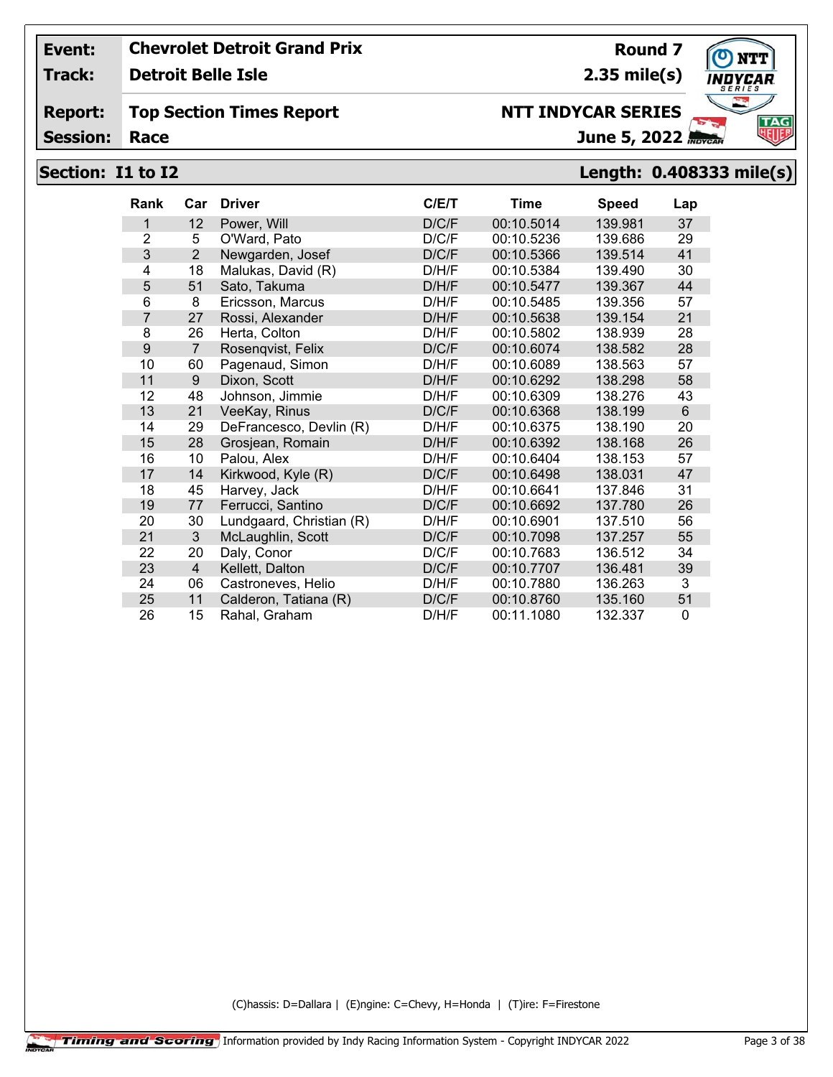**Track: Detroit Belle Isle**

#### **Report: Top Section Times Report**

**Session:**

# **NTT INDYCAR SERIES**

**2.35 mile(s)**

**Round 7**

June 5, 2022

# **Section: I1 to I2 Length: 0.408333 mile(s)**

| <b>Rank</b>    | Car            | <b>Driver</b>            | C/E/T | <b>Time</b> | <b>Speed</b> | Lap      |
|----------------|----------------|--------------------------|-------|-------------|--------------|----------|
| 1              | 12             | Power, Will              | D/C/F | 00:10.5014  | 139.981      | 37       |
| $\overline{2}$ | 5              | O'Ward, Pato             | D/C/F | 00:10.5236  | 139.686      | 29       |
| 3              | $\overline{2}$ | Newgarden, Josef         | D/C/F | 00:10.5366  | 139.514      | 41       |
| 4              | 18             | Malukas, David (R)       | D/H/F | 00:10.5384  | 139.490      | 30       |
| 5              | 51             | Sato, Takuma             | D/H/F | 00:10.5477  | 139.367      | 44       |
| 6              | 8              | Ericsson, Marcus         | D/H/F | 00:10.5485  | 139.356      | 57       |
| $\overline{7}$ | 27             | Rossi, Alexander         | D/H/F | 00:10.5638  | 139.154      | 21       |
| 8              | 26             | Herta, Colton            | D/H/F | 00:10.5802  | 138.939      | 28       |
| 9              | $\overline{7}$ | Rosenqvist, Felix        | D/C/F | 00:10.6074  | 138.582      | 28       |
| 10             | 60             | Pagenaud, Simon          | D/H/F | 00:10.6089  | 138.563      | 57       |
| 11             | 9              | Dixon, Scott             | D/H/F | 00:10.6292  | 138.298      | 58       |
| 12             | 48             | Johnson, Jimmie          | D/H/F | 00:10.6309  | 138.276      | 43       |
| 13             | 21             | VeeKay, Rinus            | D/C/F | 00:10.6368  | 138.199      | 6        |
| 14             | 29             | DeFrancesco, Devlin (R)  | D/H/F | 00:10.6375  | 138.190      | 20       |
| 15             | 28             | Grosjean, Romain         | D/H/F | 00:10.6392  | 138.168      | 26       |
| 16             | 10             | Palou, Alex              | D/H/F | 00:10.6404  | 138.153      | 57       |
| 17             | 14             | Kirkwood, Kyle (R)       | D/C/F | 00:10.6498  | 138.031      | 47       |
| 18             | 45             | Harvey, Jack             | D/H/F | 00:10.6641  | 137.846      | 31       |
| 19             | 77             | Ferrucci, Santino        | D/C/F | 00:10.6692  | 137.780      | 26       |
| 20             | 30             | Lundgaard, Christian (R) | D/H/F | 00:10.6901  | 137.510      | 56       |
| 21             | 3              | McLaughlin, Scott        | D/C/F | 00:10.7098  | 137.257      | 55       |
| 22             | 20             | Daly, Conor              | D/C/F | 00:10.7683  | 136.512      | 34       |
| 23             | $\overline{4}$ | Kellett, Dalton          | D/C/F | 00:10.7707  | 136.481      | 39       |
| 24             | 06             | Castroneves, Helio       | D/H/F | 00:10.7880  | 136.263      | 3        |
| 25             | 11             | Calderon, Tatiana (R)    | D/C/F | 00:10.8760  | 135.160      | 51       |
| 26             | 15             | Rahal, Graham            | D/H/F | 00:11.1080  | 132.337      | $\Omega$ |

(C)hassis: D=Dallara | (E)ngine: C=Chevy, H=Honda | (T)ire: F=Firestone

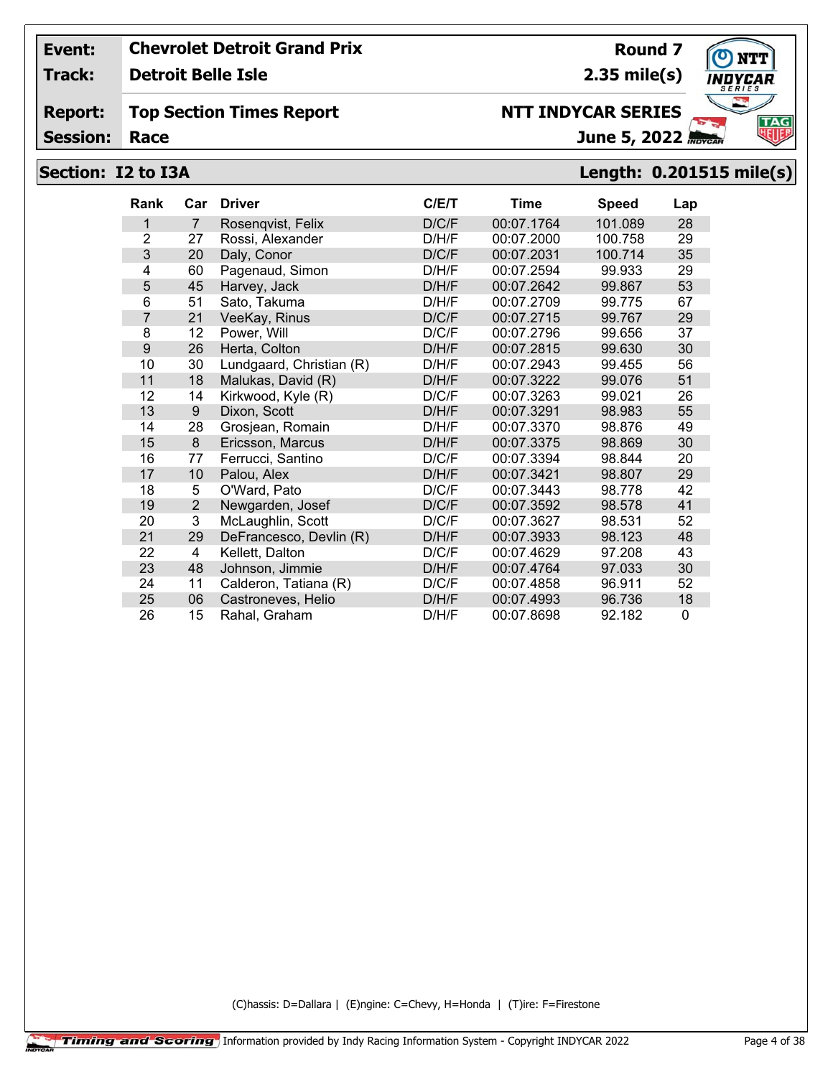**Track: Detroit Belle Isle**

#### **Report: Top Section Times Report**

**Session:**

# **NTT INDYCAR SERIES**

June 5, 2022

**2.35 mile(s)**

## **Section: I2 to I3A Length: 0.201515 mile(s)**

| Rank           | Car            | <b>Driver</b>            | C/ET  | Time       | <b>Speed</b> | Lap |
|----------------|----------------|--------------------------|-------|------------|--------------|-----|
| 1              | $\overline{7}$ | Rosenqvist, Felix        | D/C/F | 00:07.1764 | 101.089      | 28  |
| $\overline{2}$ | 27             | Rossi, Alexander         | D/H/F | 00:07.2000 | 100.758      | 29  |
| 3              | 20             | Daly, Conor              | D/C/F | 00:07.2031 | 100.714      | 35  |
| 4              | 60             | Pagenaud, Simon          | D/H/F | 00:07.2594 | 99.933       | 29  |
| 5              | 45             | Harvey, Jack             | D/H/F | 00:07.2642 | 99.867       | 53  |
| 6              | 51             | Sato, Takuma             | D/H/F | 00:07.2709 | 99.775       | 67  |
| 7              | 21             | VeeKay, Rinus            | D/C/F | 00:07.2715 | 99.767       | 29  |
| 8              | 12             | Power, Will              | D/C/F | 00:07.2796 | 99.656       | 37  |
| 9              | 26             | Herta, Colton            | D/H/F | 00:07.2815 | 99.630       | 30  |
| 10             | 30             | Lundgaard, Christian (R) | D/H/F | 00:07.2943 | 99.455       | 56  |
| 11             | 18             | Malukas, David (R)       | D/H/F | 00:07.3222 | 99.076       | 51  |
| 12             | 14             | Kirkwood, Kyle (R)       | D/C/F | 00:07.3263 | 99.021       | 26  |
| 13             | 9              | Dixon, Scott             | D/H/F | 00:07.3291 | 98.983       | 55  |
| 14             | 28             | Grosjean, Romain         | D/H/F | 00:07.3370 | 98.876       | 49  |
| 15             | 8              | Ericsson, Marcus         | D/H/F | 00:07.3375 | 98.869       | 30  |
| 16             | 77             | Ferrucci, Santino        | D/C/F | 00:07.3394 | 98.844       | 20  |
| 17             | 10             | Palou, Alex              | D/H/F | 00:07.3421 | 98.807       | 29  |
| 18             | 5              | O'Ward, Pato             | D/C/F | 00:07.3443 | 98.778       | 42  |
| 19             | $\overline{2}$ | Newgarden, Josef         | D/C/F | 00:07.3592 | 98.578       | 41  |
| 20             | 3              | McLaughlin, Scott        | D/C/F | 00:07.3627 | 98.531       | 52  |
| 21             | 29             | DeFrancesco, Devlin (R)  | D/H/F | 00:07.3933 | 98.123       | 48  |
| 22             | 4              | Kellett, Dalton          | D/C/F | 00:07.4629 | 97.208       | 43  |
| 23             | 48             | Johnson, Jimmie          | D/H/F | 00:07.4764 | 97.033       | 30  |
| 24             | 11             | Calderon, Tatiana (R)    | D/C/F | 00:07.4858 | 96.911       | 52  |
| 25             | 06             | Castroneves, Helio       | D/H/F | 00:07.4993 | 96.736       | 18  |
| 26             | 15             | Rahal, Graham            | D/H/F | 00:07.8698 | 92.182       | 0   |

(C)hassis: D=Dallara | (E)ngine: C=Chevy, H=Honda | (T)ire: F=Firestone



**Round 7**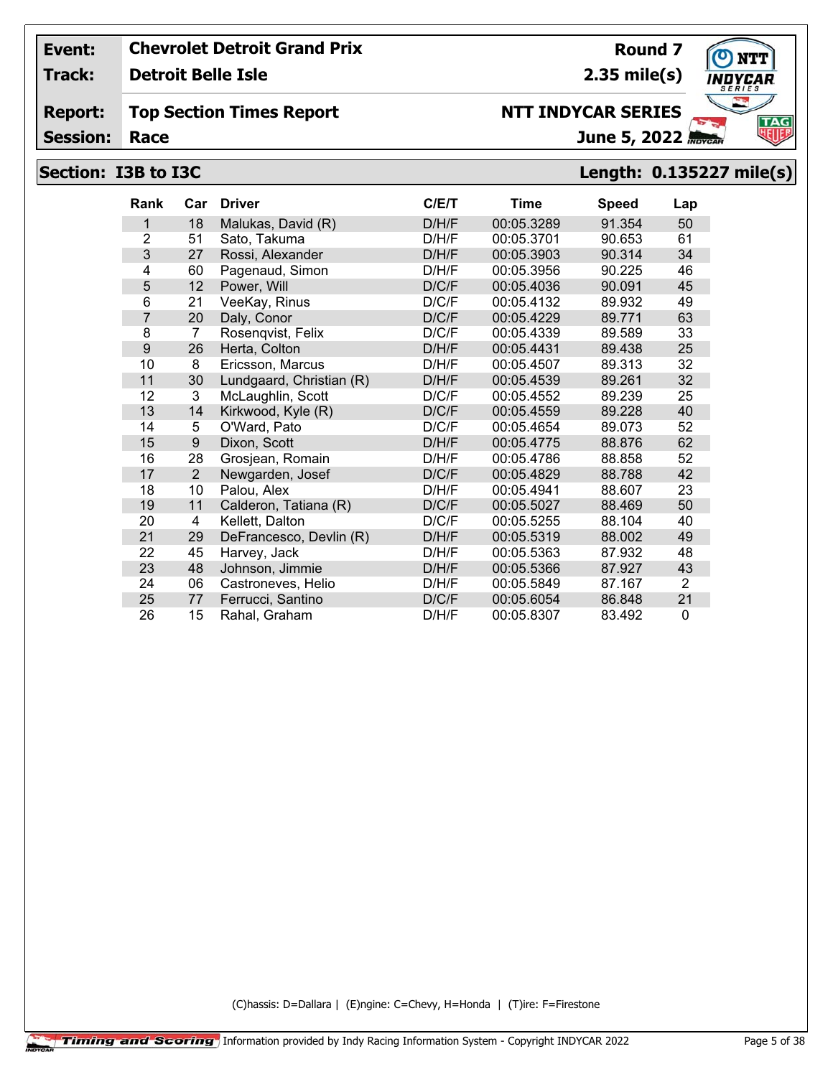**Track: Detroit Belle Isle**

#### **Report: Top Section Times Report**

**Session:**

# **Section: I3B to I3C Length: 0.135227 mile(s)**

| <b>Rank</b>    | Car            | <b>Driver</b>            | C/ET  | <b>Time</b> | <b>Speed</b> | Lap            |
|----------------|----------------|--------------------------|-------|-------------|--------------|----------------|
| 1              | 18             | Malukas, David (R)       | D/H/F | 00:05.3289  | 91.354       | 50             |
| $\overline{2}$ | 51             | Sato, Takuma             | D/H/F | 00:05.3701  | 90.653       | 61             |
| 3              | 27             | Rossi, Alexander         | D/H/F | 00:05.3903  | 90.314       | 34             |
| 4              | 60             | Pagenaud, Simon          | D/H/F | 00:05.3956  | 90.225       | 46             |
| 5              | 12             | Power, Will              | D/C/F | 00:05.4036  | 90.091       | 45             |
| 6              | 21             | VeeKay, Rinus            | D/C/F | 00:05.4132  | 89.932       | 49             |
| $\overline{7}$ | 20             | Daly, Conor              | D/C/F | 00:05.4229  | 89.771       | 63             |
| 8              | 7              | Rosenqvist, Felix        | D/C/F | 00:05.4339  | 89.589       | 33             |
| 9              | 26             | Herta, Colton            | D/H/F | 00:05.4431  | 89.438       | 25             |
| 10             | 8              | Ericsson, Marcus         | D/H/F | 00:05.4507  | 89.313       | 32             |
| 11             | 30             | Lundgaard, Christian (R) | D/H/F | 00:05.4539  | 89.261       | 32             |
| 12             | 3              | McLaughlin, Scott        | D/C/F | 00:05.4552  | 89.239       | 25             |
| 13             | 14             | Kirkwood, Kyle (R)       | D/C/F | 00:05.4559  | 89.228       | 40             |
| 14             | 5              | O'Ward, Pato             | D/C/F | 00:05.4654  | 89.073       | 52             |
| 15             | 9              | Dixon, Scott             | D/H/F | 00:05.4775  | 88.876       | 62             |
| 16             | 28             | Grosjean, Romain         | D/H/F | 00:05.4786  | 88.858       | 52             |
| 17             | $\overline{2}$ | Newgarden, Josef         | D/C/F | 00:05.4829  | 88.788       | 42             |
| 18             | 10             | Palou, Alex              | D/H/F | 00:05.4941  | 88.607       | 23             |
| 19             | 11             | Calderon, Tatiana (R)    | D/C/F | 00:05.5027  | 88.469       | 50             |
| 20             | 4              | Kellett, Dalton          | D/C/F | 00:05.5255  | 88.104       | 40             |
| 21             | 29             | DeFrancesco, Devlin (R)  | D/H/F | 00:05.5319  | 88.002       | 49             |
| 22             | 45             | Harvey, Jack             | D/H/F | 00:05.5363  | 87.932       | 48             |
| 23             | 48             | Johnson, Jimmie          | D/H/F | 00:05.5366  | 87.927       | 43             |
| 24             | 06             | Castroneves, Helio       | D/H/F | 00:05.5849  | 87.167       | $\overline{2}$ |
| 25             | 77             | Ferrucci, Santino        | D/C/F | 00:05.6054  | 86.848       | 21             |
| 26             | 15             | Rahal, Graham            | D/H/F | 00:05.8307  | 83.492       | $\Omega$       |

(C)hassis: D=Dallara | (E)ngine: C=Chevy, H=Honda | (T)ire: F=Firestone



**Round 7**

**2.35 mile(s)**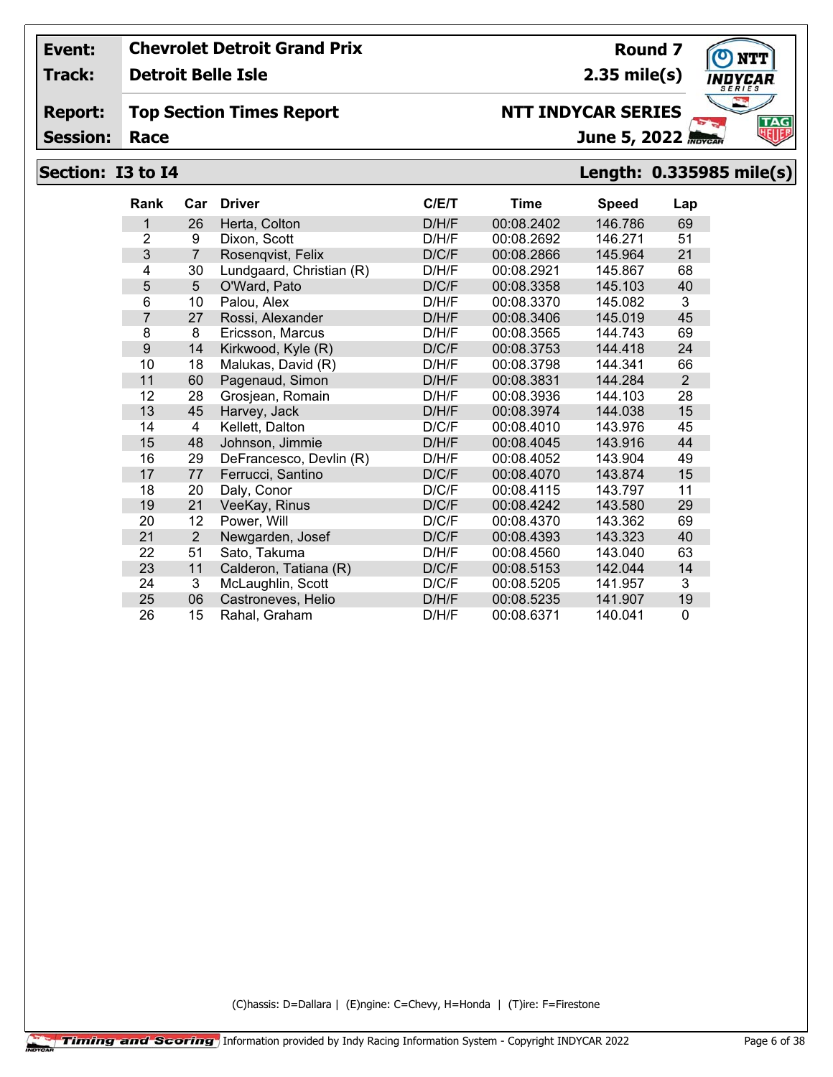**Track: Detroit Belle Isle**

## **Top Section Times Report**

**Session:**

# **Section: I3 to I4 Length: 0.335985 mile(s)**

| <b>Rank</b>    | Car             | <b>Driver</b>            | C/E/T | Time       | <b>Speed</b> | Lap            |
|----------------|-----------------|--------------------------|-------|------------|--------------|----------------|
| 1              | 26              | Herta, Colton            | D/H/F | 00:08.2402 | 146.786      | 69             |
| $\overline{2}$ | 9               | Dixon, Scott             | D/H/F | 00:08.2692 | 146.271      | 51             |
| 3              | $\overline{7}$  | Rosenqvist, Felix        | D/C/F | 00:08.2866 | 145.964      | 21             |
| 4              | 30              | Lundgaard, Christian (R) | D/H/F | 00:08.2921 | 145.867      | 68             |
| 5              | $5\phantom{.0}$ | O'Ward, Pato             | D/C/F | 00:08.3358 | 145.103      | 40             |
| 6              | 10              | Palou, Alex              | D/H/F | 00:08.3370 | 145.082      | 3              |
| $\overline{7}$ | 27              | Rossi, Alexander         | D/H/F | 00:08.3406 | 145.019      | 45             |
| 8              | 8               | Ericsson, Marcus         | D/H/F | 00:08.3565 | 144.743      | 69             |
| 9              | 14              | Kirkwood, Kyle (R)       | D/C/F | 00:08.3753 | 144.418      | 24             |
| 10             | 18              | Malukas, David (R)       | D/H/F | 00:08.3798 | 144.341      | 66             |
| 11             | 60              | Pagenaud, Simon          | D/H/F | 00:08.3831 | 144.284      | $\overline{2}$ |
| 12             | 28              | Grosjean, Romain         | D/H/F | 00:08.3936 | 144.103      | 28             |
| 13             | 45              | Harvey, Jack             | D/H/F | 00:08.3974 | 144.038      | 15             |
| 14             | 4               | Kellett, Dalton          | D/C/F | 00:08.4010 | 143.976      | 45             |
| 15             | 48              | Johnson, Jimmie          | D/H/F | 00:08.4045 | 143.916      | 44             |
| 16             | 29              | DeFrancesco, Devlin (R)  | D/H/F | 00:08.4052 | 143.904      | 49             |
| 17             | 77              | Ferrucci, Santino        | D/C/F | 00:08.4070 | 143.874      | 15             |
| 18             | 20              | Daly, Conor              | D/C/F | 00:08.4115 | 143.797      | 11             |
| 19             | 21              | VeeKay, Rinus            | D/C/F | 00:08.4242 | 143.580      | 29             |
| 20             | 12              | Power, Will              | D/C/F | 00:08.4370 | 143.362      | 69             |
| 21             | 2               | Newgarden, Josef         | D/C/F | 00:08.4393 | 143.323      | 40             |
| 22             | 51              | Sato, Takuma             | D/H/F | 00:08.4560 | 143.040      | 63             |
| 23             | 11              | Calderon, Tatiana (R)    | D/C/F | 00:08.5153 | 142.044      | 14             |
| 24             | 3               | McLaughlin, Scott        | D/C/F | 00:08.5205 | 141.957      | 3              |
| 25             | 06              | Castroneves, Helio       | D/H/F | 00:08.5235 | 141.907      | 19             |
| 26             | 15              | Rahal, Graham            | D/H/F | 00:08.6371 | 140.041      | $\Omega$       |

(C)hassis: D=Dallara | (E)ngine: C=Chevy, H=Honda | (T)ire: F=Firestone



**Round 7 2.35 mile(s)**

June 5, 2022

**NTT INDYCAR SERIES**

**Report:**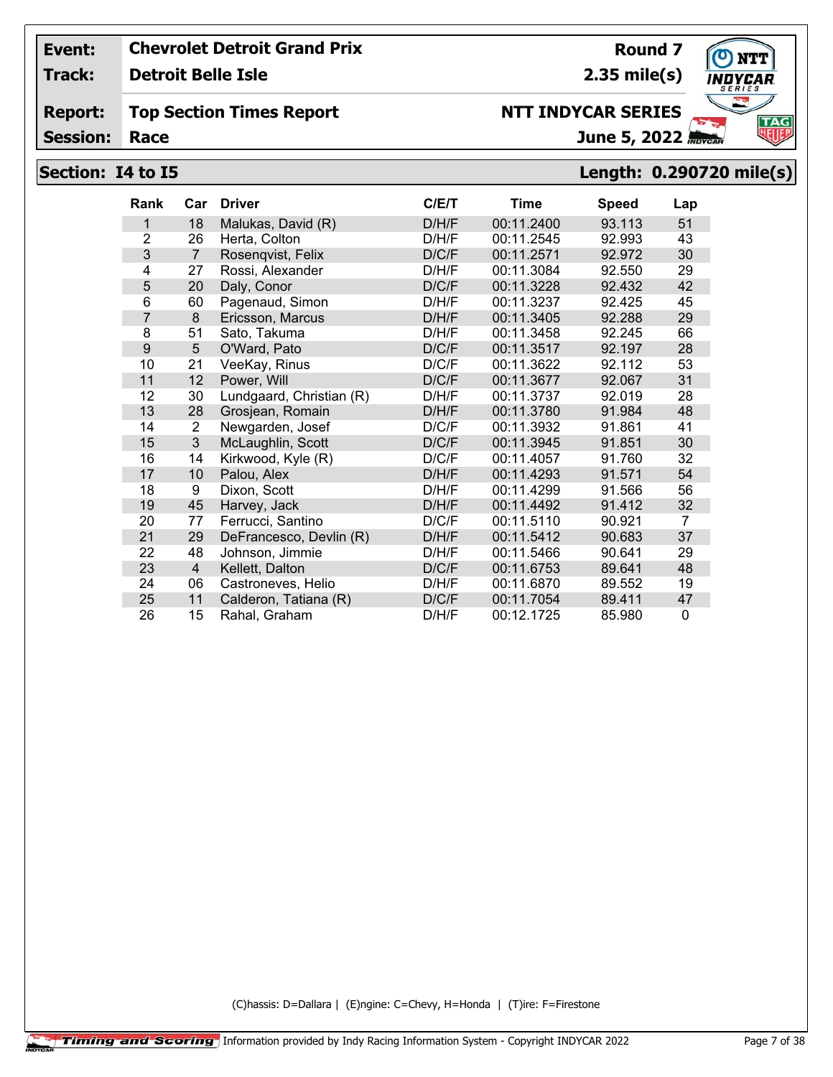**Track: Detroit Belle Isle**

#### **Report: Top Section Times Report**

**Session:**

# June 5, 2022

## **Section: I4 to I5 Length: 0.290720 mile(s)**

| <b>Rank</b>    | Car            | <b>Driver</b>            | C/E/T | <b>Time</b> | <b>Speed</b> | Lap            |
|----------------|----------------|--------------------------|-------|-------------|--------------|----------------|
| 1              | 18             | Malukas, David (R)       | D/H/F | 00:11.2400  | 93.113       | 51             |
| $\overline{2}$ | 26             | Herta, Colton            | D/H/F | 00:11.2545  | 92.993       | 43             |
| 3              | $\overline{7}$ | Rosenqvist, Felix        | D/C/F | 00:11.2571  | 92.972       | 30             |
| 4              | 27             | Rossi, Alexander         | D/H/F | 00:11.3084  | 92.550       | 29             |
| 5              | 20             | Daly, Conor              | D/C/F | 00:11.3228  | 92.432       | 42             |
| 6              | 60             | Pagenaud, Simon          | D/H/F | 00:11.3237  | 92.425       | 45             |
| 7              | 8              | Ericsson, Marcus         | D/H/F | 00:11.3405  | 92.288       | 29             |
| 8              | 51             | Sato, Takuma             | D/H/F | 00:11.3458  | 92.245       | 66             |
| 9              | 5              | O'Ward, Pato             | D/C/F | 00:11.3517  | 92.197       | 28             |
| 10             | 21             | VeeKay, Rinus            | D/C/F | 00:11.3622  | 92.112       | 53             |
| 11             | 12             | Power, Will              | D/C/F | 00:11.3677  | 92.067       | 31             |
| 12             | 30             | Lundgaard, Christian (R) | D/H/F | 00:11.3737  | 92.019       | 28             |
| 13             | 28             | Grosjean, Romain         | D/H/F | 00:11.3780  | 91.984       | 48             |
| 14             | 2              | Newgarden, Josef         | D/C/F | 00:11.3932  | 91.861       | 41             |
| 15             | 3              | McLaughlin, Scott        | D/C/F | 00:11.3945  | 91.851       | 30             |
| 16             | 14             | Kirkwood, Kyle (R)       | D/C/F | 00:11.4057  | 91.760       | 32             |
| 17             | 10             | Palou, Alex              | D/H/F | 00:11.4293  | 91.571       | 54             |
| 18             | 9              | Dixon, Scott             | D/H/F | 00:11.4299  | 91.566       | 56             |
| 19             | 45             | Harvey, Jack             | D/H/F | 00:11.4492  | 91.412       | 32             |
| 20             | 77             | Ferrucci, Santino        | D/C/F | 00:11.5110  | 90.921       | $\overline{7}$ |
| 21             | 29             | DeFrancesco, Devlin (R)  | D/H/F | 00:11.5412  | 90.683       | 37             |
| 22             | 48             | Johnson, Jimmie          | D/H/F | 00:11.5466  | 90.641       | 29             |
| 23             | $\overline{4}$ | Kellett, Dalton          | D/C/F | 00:11.6753  | 89.641       | 48             |
| 24             | 06             | Castroneves, Helio       | D/H/F | 00:11.6870  | 89.552       | 19             |
| 25             | 11             | Calderon, Tatiana (R)    | D/C/F | 00:11.7054  | 89.411       | 47             |
| 26             | 15             | Rahal, Graham            | D/H/F | 00:12.1725  | 85.980       | $\mathbf{0}$   |

(C)hassis: D=Dallara | (E)ngine: C=Chevy, H=Honda | (T)ire: F=Firestone



**Round 7**

**2.35 mile(s)**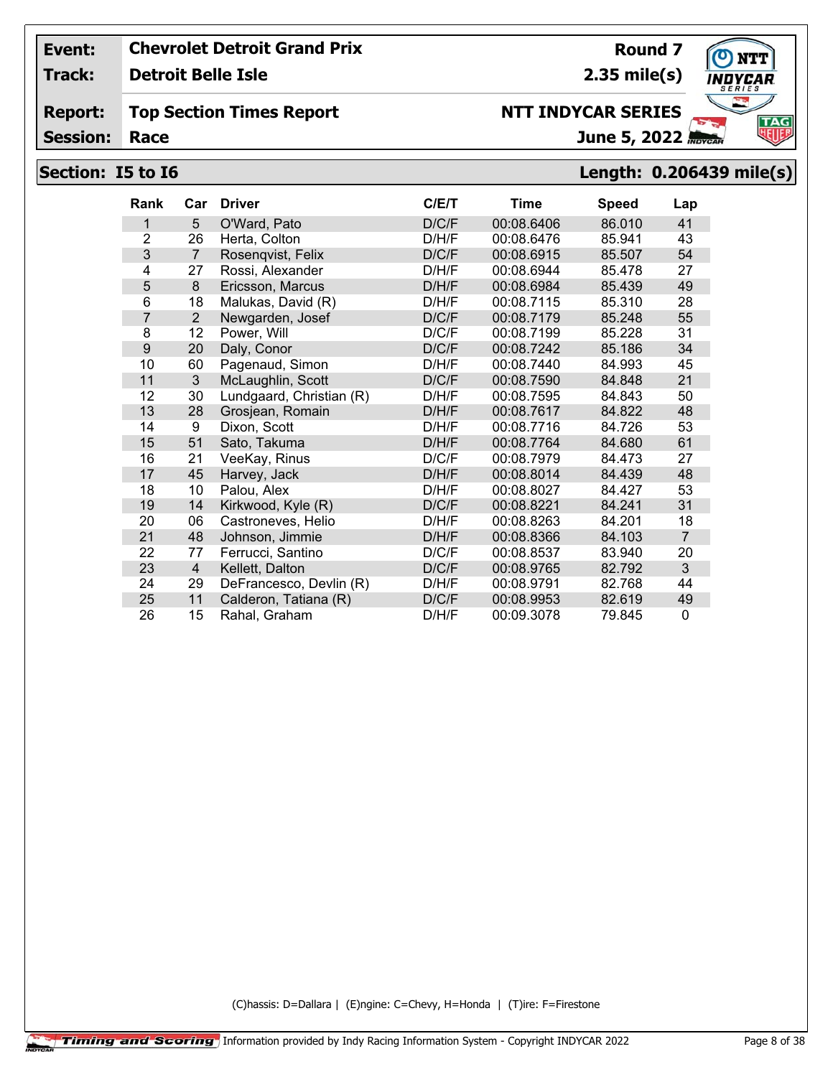**Track: Detroit Belle Isle**

#### **Report: Top Section Times Report**

**Session:**

# **Section: I5 to I6 Length: 0.206439 mile(s)**

| <b>Rank</b>    | Car            | <b>Driver</b>            | C/E/T | Time       | <b>Speed</b> | Lap            |
|----------------|----------------|--------------------------|-------|------------|--------------|----------------|
| 1              | 5              | O'Ward, Pato             | D/C/F | 00:08.6406 | 86.010       | 41             |
| $\overline{2}$ | 26             | Herta, Colton            | D/H/F | 00:08.6476 | 85.941       | 43             |
| 3              | $\overline{7}$ | Rosenqvist, Felix        | D/C/F | 00:08.6915 | 85.507       | 54             |
| 4              | 27             | Rossi, Alexander         | D/H/F | 00:08.6944 | 85.478       | 27             |
| 5              | 8              | Ericsson, Marcus         | D/H/F | 00:08.6984 | 85.439       | 49             |
| 6              | 18             | Malukas, David (R)       | D/H/F | 00:08.7115 | 85.310       | 28             |
| $\overline{7}$ | $\overline{2}$ | Newgarden, Josef         | D/C/F | 00:08.7179 | 85.248       | 55             |
| 8              | 12             | Power, Will              | D/C/F | 00:08.7199 | 85.228       | 31             |
| 9              | 20             | Daly, Conor              | D/C/F | 00:08.7242 | 85.186       | 34             |
| 10             | 60             | Pagenaud, Simon          | D/H/F | 00:08.7440 | 84.993       | 45             |
| 11             | 3              | McLaughlin, Scott        | D/C/F | 00:08.7590 | 84.848       | 21             |
| 12             | 30             | Lundgaard, Christian (R) | D/H/F | 00:08.7595 | 84.843       | 50             |
| 13             | 28             | Grosjean, Romain         | D/H/F | 00:08.7617 | 84.822       | 48             |
| 14             | 9              | Dixon, Scott             | D/H/F | 00:08.7716 | 84.726       | 53             |
| 15             | 51             | Sato, Takuma             | D/H/F | 00:08.7764 | 84.680       | 61             |
| 16             | 21             | VeeKay, Rinus            | D/C/F | 00:08.7979 | 84.473       | 27             |
| 17             | 45             | Harvey, Jack             | D/H/F | 00:08.8014 | 84.439       | 48             |
| 18             | 10             | Palou, Alex              | D/H/F | 00:08.8027 | 84.427       | 53             |
| 19             | 14             | Kirkwood, Kyle (R)       | D/C/F | 00:08.8221 | 84.241       | 31             |
| 20             | 06             | Castroneves, Helio       | D/H/F | 00:08.8263 | 84.201       | 18             |
| 21             | 48             | Johnson, Jimmie          | D/H/F | 00:08.8366 | 84.103       | $\overline{7}$ |
| 22             | 77             | Ferrucci, Santino        | D/C/F | 00:08.8537 | 83.940       | 20             |
| 23             | $\overline{4}$ | Kellett, Dalton          | D/C/F | 00:08.9765 | 82.792       | 3              |
| 24             | 29             | DeFrancesco, Devlin (R)  | D/H/F | 00:08.9791 | 82.768       | 44             |
| 25             | 11             | Calderon, Tatiana (R)    | D/C/F | 00:08.9953 | 82.619       | 49             |
| 26             | 15             | Rahal, Graham            | D/H/F | 00:09.3078 | 79.845       | 0              |

(C)hassis: D=Dallara | (E)ngine: C=Chevy, H=Honda | (T)ire: F=Firestone



**Round 7 2.35 mile(s)**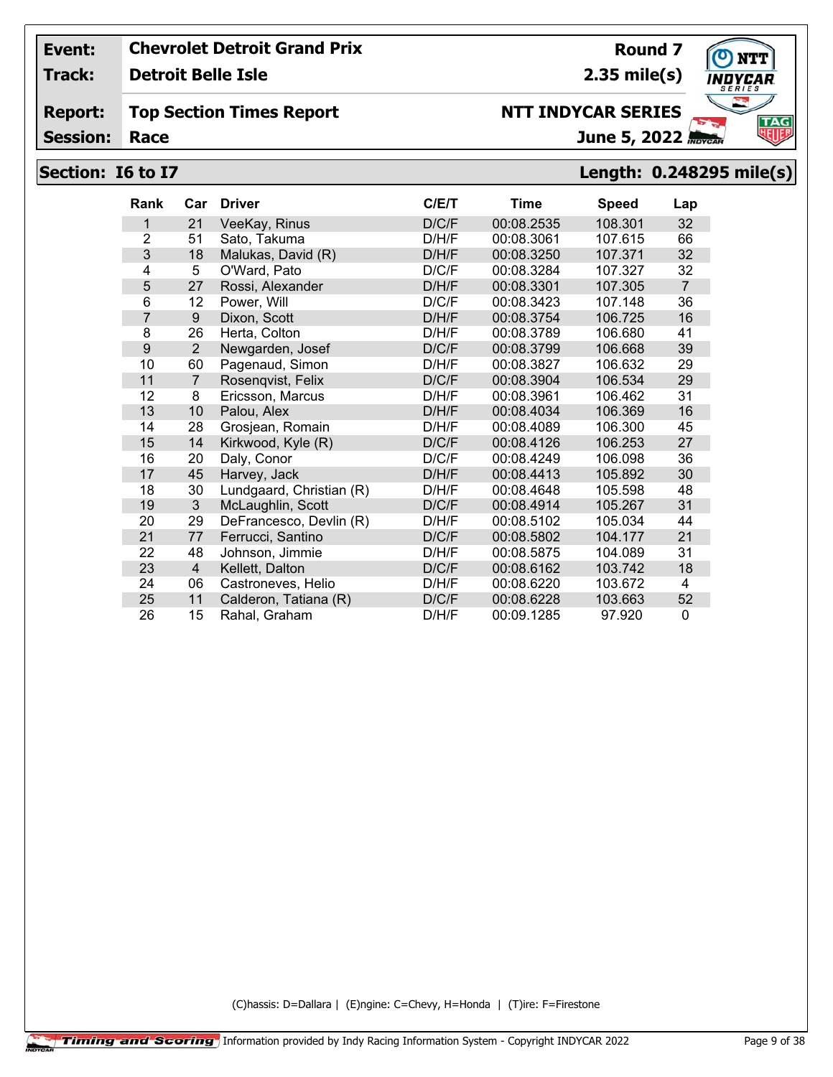**Track: Detroit Belle Isle**

#### **Report: Top Section Times Report**

**Session:**

# **Section: I6 to I7 Length: 0.248295 mile(s)**

| <b>Rank</b>    | Car            | <b>Driver</b>            | C/ET  | Time       | <b>Speed</b> | Lap            |
|----------------|----------------|--------------------------|-------|------------|--------------|----------------|
| 1              | 21             | VeeKay, Rinus            | D/C/F | 00:08.2535 | 108.301      | 32             |
| $\overline{2}$ | 51             | Sato, Takuma             | D/H/F | 00:08.3061 | 107.615      | 66             |
| 3              | 18             | Malukas, David (R)       | D/H/F | 00:08.3250 | 107.371      | 32             |
| 4              | 5              | O'Ward, Pato             | D/C/F | 00:08.3284 | 107.327      | 32             |
| 5              | 27             | Rossi, Alexander         | D/H/F | 00:08.3301 | 107.305      | $\overline{7}$ |
| 6              | 12             | Power, Will              | D/C/F | 00:08.3423 | 107.148      | 36             |
| $\overline{7}$ | 9              | Dixon, Scott             | D/H/F | 00:08.3754 | 106.725      | 16             |
| 8              | 26             | Herta, Colton            | D/H/F | 00:08.3789 | 106.680      | 41             |
| 9              | 2              | Newgarden, Josef         | D/C/F | 00:08.3799 | 106.668      | 39             |
| 10             | 60             | Pagenaud, Simon          | D/H/F | 00:08.3827 | 106.632      | 29             |
| 11             | $\overline{7}$ | Rosenqvist, Felix        | D/C/F | 00:08.3904 | 106.534      | 29             |
| 12             | 8              | Ericsson, Marcus         | D/H/F | 00:08.3961 | 106.462      | 31             |
| 13             | 10             | Palou, Alex              | D/H/F | 00:08.4034 | 106.369      | 16             |
| 14             | 28             | Grosjean, Romain         | D/H/F | 00:08.4089 | 106.300      | 45             |
| 15             | 14             | Kirkwood, Kyle (R)       | D/C/F | 00:08.4126 | 106.253      | 27             |
| 16             | 20             | Daly, Conor              | D/C/F | 00:08.4249 | 106.098      | 36             |
| 17             | 45             | Harvey, Jack             | D/H/F | 00:08.4413 | 105.892      | 30             |
| 18             | 30             | Lundgaard, Christian (R) | D/H/F | 00:08.4648 | 105.598      | 48             |
| 19             | 3              | McLaughlin, Scott        | D/C/F | 00:08.4914 | 105.267      | 31             |
| 20             | 29             | DeFrancesco, Devlin (R)  | D/H/F | 00:08.5102 | 105.034      | 44             |
| 21             | 77             | Ferrucci, Santino        | D/C/F | 00:08.5802 | 104.177      | 21             |
| 22             | 48             | Johnson, Jimmie          | D/H/F | 00:08.5875 | 104.089      | 31             |
| 23             | $\overline{4}$ | Kellett, Dalton          | D/C/F | 00:08.6162 | 103.742      | 18             |
| 24             | 06             | Castroneves, Helio       | D/H/F | 00:08.6220 | 103.672      | 4              |
| 25             | 11             | Calderon, Tatiana (R)    | D/C/F | 00:08.6228 | 103.663      | 52             |
| 26             | 15             | Rahal, Graham            | D/H/F | 00:09.1285 | 97.920       | 0              |

(C)hassis: D=Dallara | (E)ngine: C=Chevy, H=Honda | (T)ire: F=Firestone



**Round 7 2.35 mile(s)**

June 5, 2022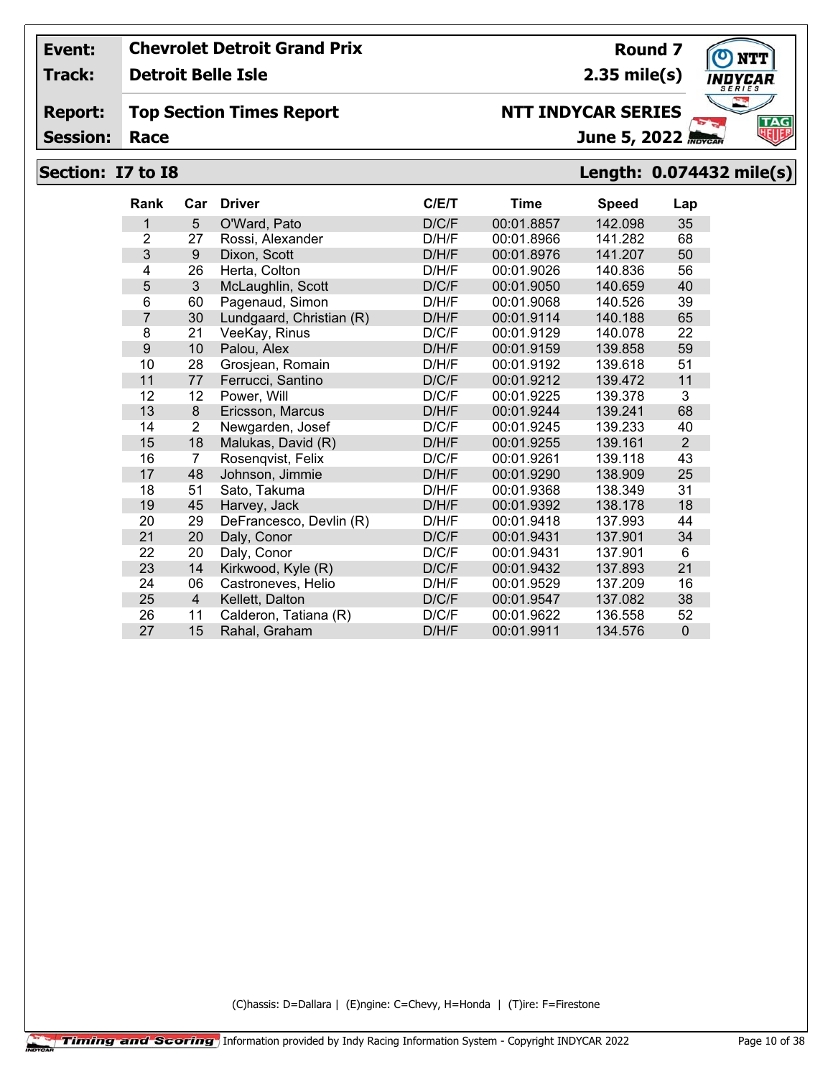**Track: Detroit Belle Isle**

#### **Report: Top Section Times Report**

**Session:**

# **Section: I7 to I8 Length: 0.074432 mile(s)**

| <b>Rank</b>    | Car              | <b>Driver</b>            | C/E/T | <b>Time</b> | <b>Speed</b> | Lap            |
|----------------|------------------|--------------------------|-------|-------------|--------------|----------------|
| 1              | 5                | O'Ward, Pato             | D/C/F | 00:01.8857  | 142.098      | 35             |
| $\overline{2}$ | 27               | Rossi, Alexander         | D/H/F | 00:01.8966  | 141.282      | 68             |
| 3              | 9                | Dixon, Scott             | D/H/F | 00:01.8976  | 141.207      | 50             |
| 4              | 26               | Herta, Colton            | D/H/F | 00:01.9026  | 140.836      | 56             |
| 5              | 3                | McLaughlin, Scott        | D/C/F | 00:01.9050  | 140.659      | 40             |
| 6              | 60               | Pagenaud, Simon          | D/H/F | 00:01.9068  | 140.526      | 39             |
| $\overline{7}$ | 30               | Lundgaard, Christian (R) | D/H/F | 00:01.9114  | 140.188      | 65             |
| 8              | 21               | VeeKay, Rinus            | D/C/F | 00:01.9129  | 140.078      | 22             |
| 9              | 10               | Palou, Alex              | D/H/F | 00:01.9159  | 139.858      | 59             |
| 10             | 28               | Grosjean, Romain         | D/H/F | 00:01.9192  | 139.618      | 51             |
| 11             | 77               | Ferrucci, Santino        | D/C/F | 00:01.9212  | 139.472      | 11             |
| 12             | 12               | Power, Will              | D/C/F | 00:01.9225  | 139.378      | 3              |
| 13             | $\boldsymbol{8}$ | Ericsson, Marcus         | D/H/F | 00:01.9244  | 139.241      | 68             |
| 14             | 2                | Newgarden, Josef         | D/C/F | 00:01.9245  | 139.233      | 40             |
| 15             | 18               | Malukas, David (R)       | D/H/F | 00:01.9255  | 139.161      | $\overline{2}$ |
| 16             | $\overline{7}$   | Rosenqvist, Felix        | D/C/F | 00:01.9261  | 139.118      | 43             |
| 17             | 48               | Johnson, Jimmie          | D/H/F | 00:01.9290  | 138.909      | 25             |
| 18             | 51               | Sato, Takuma             | D/H/F | 00:01.9368  | 138.349      | 31             |
| 19             | 45               | Harvey, Jack             | D/H/F | 00:01.9392  | 138.178      | 18             |
| 20             | 29               | DeFrancesco, Devlin (R)  | D/H/F | 00:01.9418  | 137.993      | 44             |
| 21             | 20               | Daly, Conor              | D/C/F | 00:01.9431  | 137.901      | 34             |
| 22             | 20               | Daly, Conor              | D/C/F | 00:01.9431  | 137.901      | 6              |
| 23             | 14               | Kirkwood, Kyle (R)       | D/C/F | 00:01.9432  | 137.893      | 21             |
| 24             | 06               | Castroneves, Helio       | D/H/F | 00:01.9529  | 137.209      | 16             |
| 25             | $\overline{4}$   | Kellett, Dalton          | D/C/F | 00:01.9547  | 137.082      | 38             |
| 26             | 11               | Calderon, Tatiana (R)    | D/C/F | 00:01.9622  | 136.558      | 52             |
| 27             | 15               | Rahal, Graham            | D/H/F | 00:01.9911  | 134.576      | $\mathbf 0$    |

(C)hassis: D=Dallara | (E)ngine: C=Chevy, H=Honda | (T)ire: F=Firestone



**TAG** 

**2.35 mile(s)**

June 5, 2022 **NTT INDYCAR SERIES**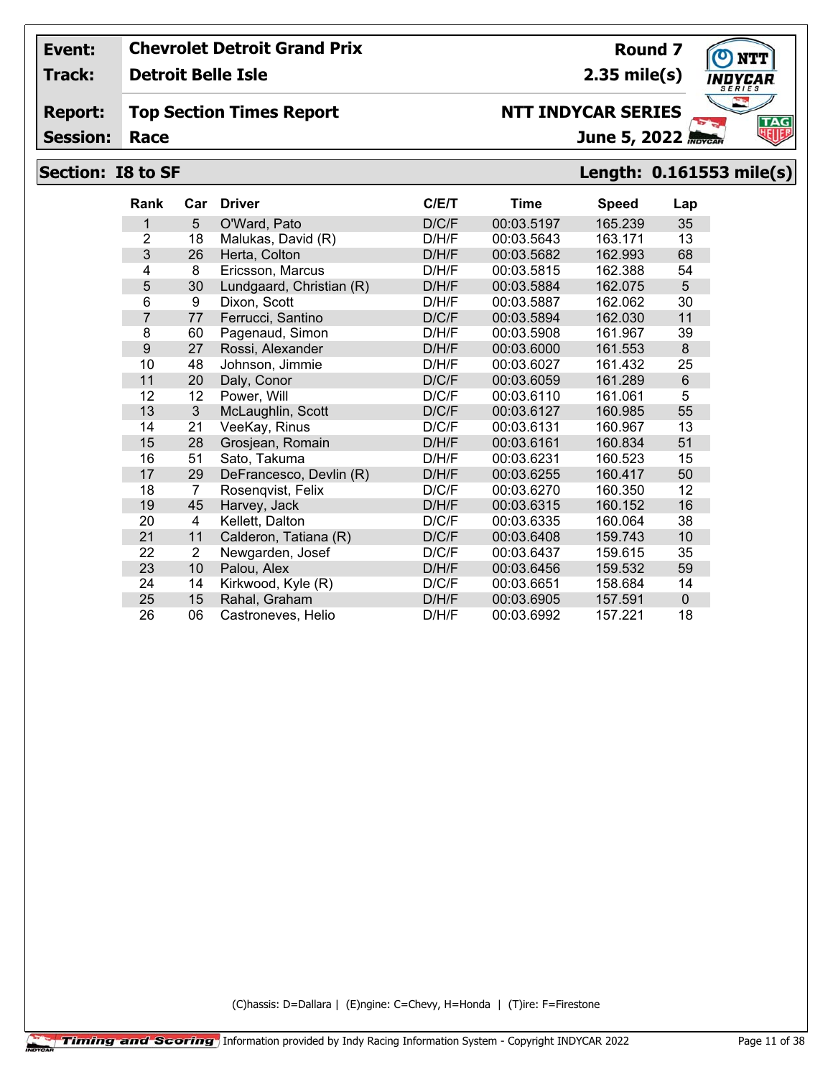**Track: Detroit Belle Isle**

#### **Report: Top Section Times Report**

**Session:**

# **Section: I8 to SF Length: 0.161553 mile(s)**

| <b>Rank</b>    | Car            | <b>Driver</b>            | C/ET  | <b>Time</b> | <b>Speed</b> | Lap            |
|----------------|----------------|--------------------------|-------|-------------|--------------|----------------|
| 1              | 5              | O'Ward, Pato             | D/C/F | 00:03.5197  | 165.239      | 35             |
| $\overline{2}$ | 18             | Malukas, David (R)       | D/H/F | 00:03.5643  | 163.171      | 13             |
| 3              | 26             | Herta, Colton            | D/H/F | 00:03.5682  | 162.993      | 68             |
| 4              | 8              | Ericsson, Marcus         | D/H/F | 00:03.5815  | 162.388      | 54             |
| 5              | 30             | Lundgaard, Christian (R) | D/H/F | 00:03.5884  | 162.075      | 5              |
| 6              | 9              | Dixon, Scott             | D/H/F | 00:03.5887  | 162.062      | 30             |
| $\overline{7}$ | 77             | Ferrucci, Santino        | D/C/F | 00:03.5894  | 162.030      | 11             |
| 8              | 60             | Pagenaud, Simon          | D/H/F | 00:03.5908  | 161.967      | 39             |
| 9              | 27             | Rossi, Alexander         | D/H/F | 00:03.6000  | 161.553      | 8              |
| 10             | 48             | Johnson, Jimmie          | D/H/F | 00:03.6027  | 161.432      | 25             |
| 11             | 20             | Daly, Conor              | D/C/F | 00:03.6059  | 161.289      | $6\phantom{1}$ |
| 12             | 12             | Power, Will              | D/C/F | 00:03.6110  | 161.061      | 5              |
| 13             | 3              | McLaughlin, Scott        | D/C/F | 00:03.6127  | 160.985      | 55             |
| 14             | 21             | VeeKay, Rinus            | D/C/F | 00:03.6131  | 160.967      | 13             |
| 15             | 28             | Grosjean, Romain         | D/H/F | 00:03.6161  | 160.834      | 51             |
| 16             | 51             | Sato, Takuma             | D/H/F | 00:03.6231  | 160.523      | 15             |
| 17             | 29             | DeFrancesco, Devlin (R)  | D/H/F | 00:03.6255  | 160.417      | 50             |
| 18             | 7              | Rosenqvist, Felix        | D/C/F | 00:03.6270  | 160.350      | 12             |
| 19             | 45             | Harvey, Jack             | D/H/F | 00:03.6315  | 160.152      | 16             |
| 20             | $\overline{4}$ | Kellett, Dalton          | D/C/F | 00:03.6335  | 160.064      | 38             |
| 21             | 11             | Calderon, Tatiana (R)    | D/C/F | 00:03.6408  | 159.743      | 10             |
| 22             | 2              | Newgarden, Josef         | D/C/F | 00:03.6437  | 159.615      | 35             |
| 23             | 10             | Palou, Alex              | D/H/F | 00:03.6456  | 159.532      | 59             |
| 24             | 14             | Kirkwood, Kyle (R)       | D/C/F | 00:03.6651  | 158.684      | 14             |
| 25             | 15             | Rahal, Graham            | D/H/F | 00:03.6905  | 157.591      | $\mathbf 0$    |
| 26             | 06             | Castroneves, Helio       | D/H/F | 00:03.6992  | 157.221      | 18             |

(C)hassis: D=Dallara | (E)ngine: C=Chevy, H=Honda | (T)ire: F=Firestone



**Round 7 2.35 mile(s)**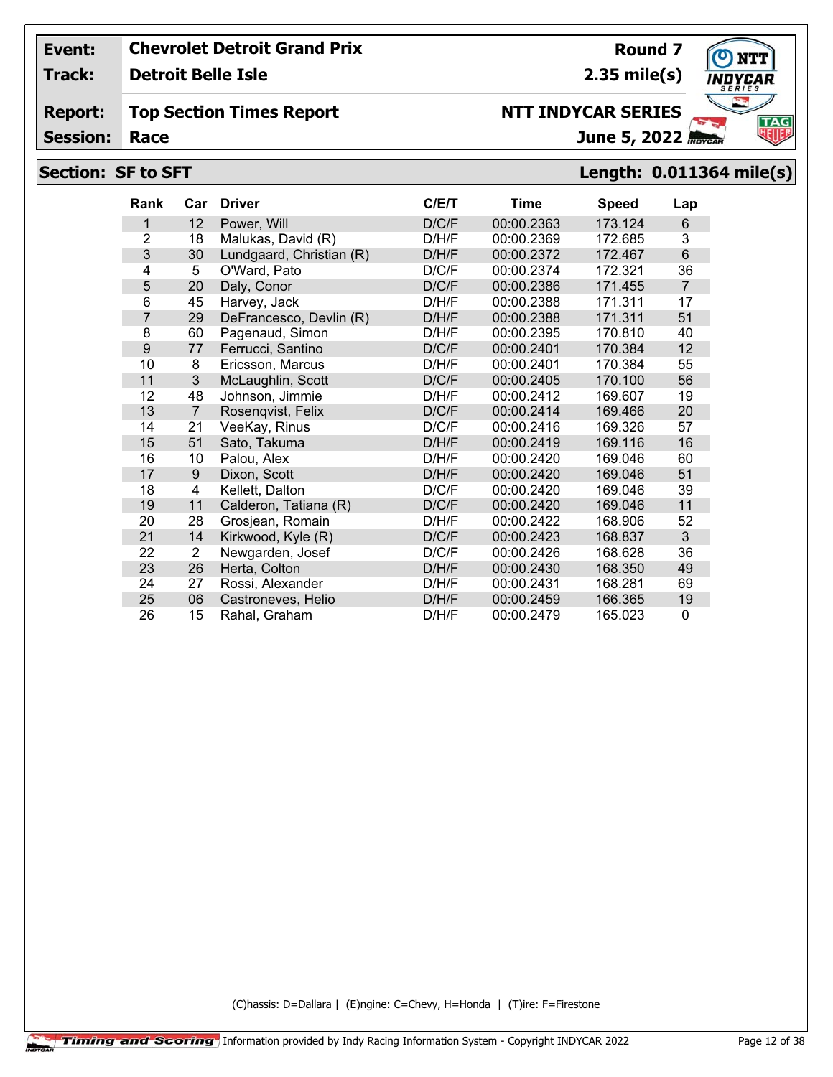**Track:**

**Detroit Belle Isle**

#### **Report: Top Section Times Report**

**Session:**

# **Section: SF to SFT Length: 0.011364 mile(s)**

| <b>Rank</b>    | Car            | <b>Driver</b>            | C/E/T | <b>Time</b> | <b>Speed</b> | Lap            |
|----------------|----------------|--------------------------|-------|-------------|--------------|----------------|
| 1              | 12             | Power, Will              | D/C/F | 00:00.2363  | 173.124      | 6              |
| $\overline{2}$ | 18             | Malukas, David (R)       | D/H/F | 00:00.2369  | 172.685      | 3              |
| 3              | 30             | Lundgaard, Christian (R) | D/H/F | 00:00.2372  | 172.467      | 6              |
| 4              | 5              | O'Ward, Pato             | D/C/F | 00:00.2374  | 172.321      | 36             |
| 5              | 20             | Daly, Conor              | D/C/F | 00:00.2386  | 171.455      | $\overline{7}$ |
| 6              | 45             | Harvey, Jack             | D/H/F | 00:00.2388  | 171.311      | 17             |
| $\overline{7}$ | 29             | DeFrancesco, Devlin (R)  | D/H/F | 00:00.2388  | 171.311      | 51             |
| 8              | 60             | Pagenaud, Simon          | D/H/F | 00:00.2395  | 170.810      | 40             |
| 9              | 77             | Ferrucci, Santino        | D/C/F | 00:00.2401  | 170.384      | 12             |
| 10             | 8              | Ericsson, Marcus         | D/H/F | 00:00.2401  | 170.384      | 55             |
| 11             | 3              | McLaughlin, Scott        | D/C/F | 00:00.2405  | 170.100      | 56             |
| 12             | 48             | Johnson, Jimmie          | D/H/F | 00:00.2412  | 169.607      | 19             |
| 13             | $\overline{7}$ | Rosenqvist, Felix        | D/C/F | 00:00.2414  | 169.466      | 20             |
| 14             | 21             | VeeKay, Rinus            | D/C/F | 00:00.2416  | 169.326      | 57             |
| 15             | 51             | Sato, Takuma             | D/H/F | 00:00.2419  | 169.116      | 16             |
| 16             | 10             | Palou, Alex              | D/H/F | 00:00.2420  | 169.046      | 60             |
| 17             | 9              | Dixon, Scott             | D/H/F | 00:00.2420  | 169.046      | 51             |
| 18             | 4              | Kellett, Dalton          | D/C/F | 00:00.2420  | 169.046      | 39             |
| 19             | 11             | Calderon, Tatiana (R)    | D/C/F | 00:00.2420  | 169.046      | 11             |
| 20             | 28             | Grosjean, Romain         | D/H/F | 00:00.2422  | 168.906      | 52             |
| 21             | 14             | Kirkwood, Kyle (R)       | D/C/F | 00:00.2423  | 168.837      | 3              |
| 22             | 2              | Newgarden, Josef         | D/C/F | 00:00.2426  | 168.628      | 36             |
| 23             | 26             | Herta, Colton            | D/H/F | 00:00.2430  | 168.350      | 49             |
| 24             | 27             | Rossi, Alexander         | D/H/F | 00:00.2431  | 168.281      | 69             |
| 25             | 06             | Castroneves, Helio       | D/H/F | 00:00.2459  | 166.365      | 19             |
| 26             | 15             | Rahal, Graham            | D/H/F | 00:00.2479  | 165.023      | 0              |

(C)hassis: D=Dallara | (E)ngine: C=Chevy, H=Honda | (T)ire: F=Firestone



**Round 7**

June 5, 2022

# **2.35 mile(s) NTT INDYCAR SERIES**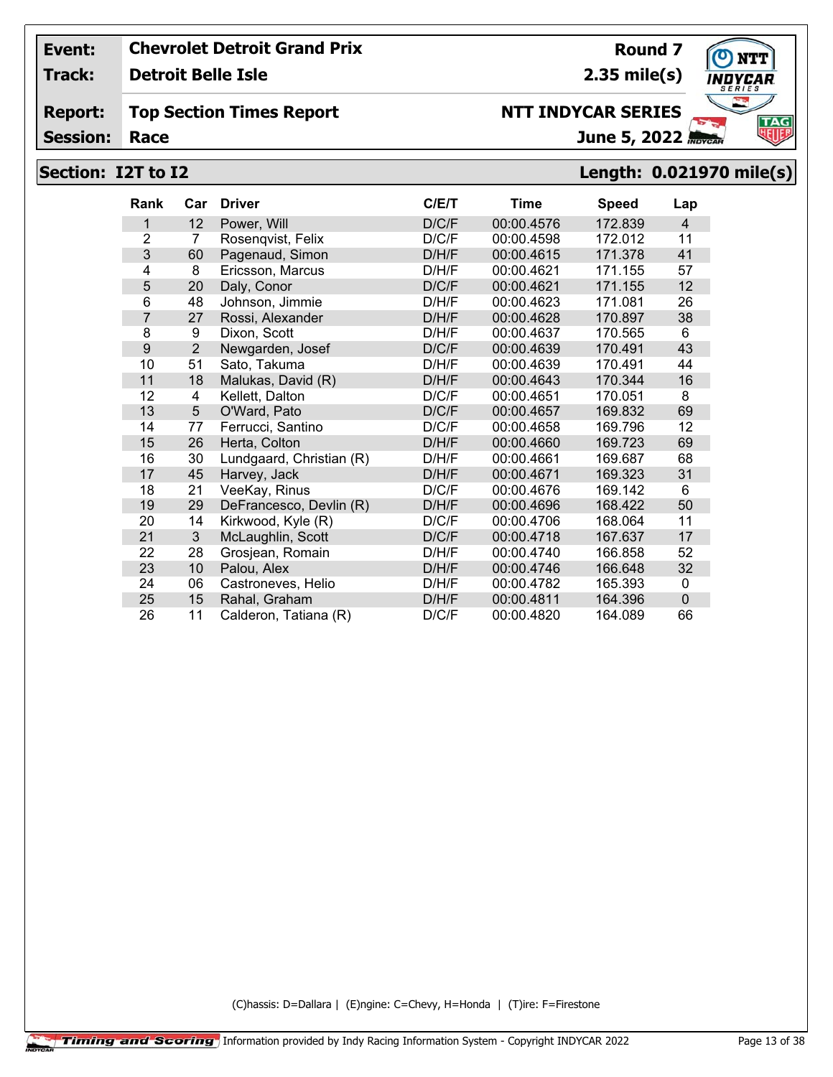**Track: Detroit Belle Isle**

#### **Report: Top Section Times Report**

**Session:**

## **NTT INDYCAR SERIES**

June 5, 2022

**2.35 mile(s)**

**Round 7**

# **Section: I2T to I2 Length: 0.021970 mile(s)**

| <b>Rank</b>    | Car            | <b>Driver</b>            | C/E/T | <b>Time</b> | <b>Speed</b> | Lap            |
|----------------|----------------|--------------------------|-------|-------------|--------------|----------------|
| 1              | 12             | Power, Will              | D/C/F | 00:00.4576  | 172.839      | $\overline{4}$ |
| $\overline{2}$ | 7              | Rosenqvist, Felix        | D/C/F | 00:00.4598  | 172.012      | 11             |
| 3              | 60             | Pagenaud, Simon          | D/H/F | 00:00.4615  | 171.378      | 41             |
| 4              | 8              | Ericsson, Marcus         | D/H/F | 00:00.4621  | 171.155      | 57             |
| 5              | 20             | Daly, Conor              | D/C/F | 00:00.4621  | 171.155      | 12             |
| 6              | 48             | Johnson, Jimmie          | D/H/F | 00:00.4623  | 171.081      | 26             |
| $\overline{7}$ | 27             | Rossi, Alexander         | D/H/F | 00:00.4628  | 170.897      | 38             |
| 8              | 9              | Dixon, Scott             | D/H/F | 00:00.4637  | 170.565      | 6              |
| 9              | $\overline{2}$ | Newgarden, Josef         | D/C/F | 00:00.4639  | 170.491      | 43             |
| 10             | 51             | Sato, Takuma             | D/H/F | 00:00.4639  | 170.491      | 44             |
| 11             | 18             | Malukas, David (R)       | D/H/F | 00:00.4643  | 170.344      | 16             |
| 12             | 4              | Kellett, Dalton          | D/C/F | 00:00.4651  | 170.051      | 8              |
| 13             | 5              | O'Ward, Pato             | D/C/F | 00:00.4657  | 169.832      | 69             |
| 14             | 77             | Ferrucci, Santino        | D/C/F | 00:00.4658  | 169.796      | 12             |
| 15             | 26             | Herta, Colton            | D/H/F | 00:00.4660  | 169.723      | 69             |
| 16             | 30             | Lundgaard, Christian (R) | D/H/F | 00:00.4661  | 169.687      | 68             |
| 17             | 45             | Harvey, Jack             | D/H/F | 00:00.4671  | 169.323      | 31             |
| 18             | 21             | VeeKay, Rinus            | D/C/F | 00:00.4676  | 169.142      | 6              |
| 19             | 29             | DeFrancesco, Devlin (R)  | D/H/F | 00:00.4696  | 168.422      | 50             |
| 20             | 14             | Kirkwood, Kyle (R)       | D/C/F | 00:00.4706  | 168.064      | 11             |
| 21             | 3              | McLaughlin, Scott        | D/C/F | 00:00.4718  | 167.637      | 17             |
| 22             | 28             | Grosjean, Romain         | D/H/F | 00:00.4740  | 166.858      | 52             |
| 23             | 10             | Palou, Alex              | D/H/F | 00:00.4746  | 166.648      | 32             |
| 24             | 06             | Castroneves, Helio       | D/H/F | 00:00.4782  | 165.393      | 0              |
| 25             | 15             | Rahal, Graham            | D/H/F | 00:00.4811  | 164.396      | $\mathbf 0$    |
| 26             | 11             | Calderon, Tatiana (R)    | D/C/F | 00:00.4820  | 164.089      | 66             |

(C)hassis: D=Dallara | (E)ngine: C=Chevy, H=Honda | (T)ire: F=Firestone

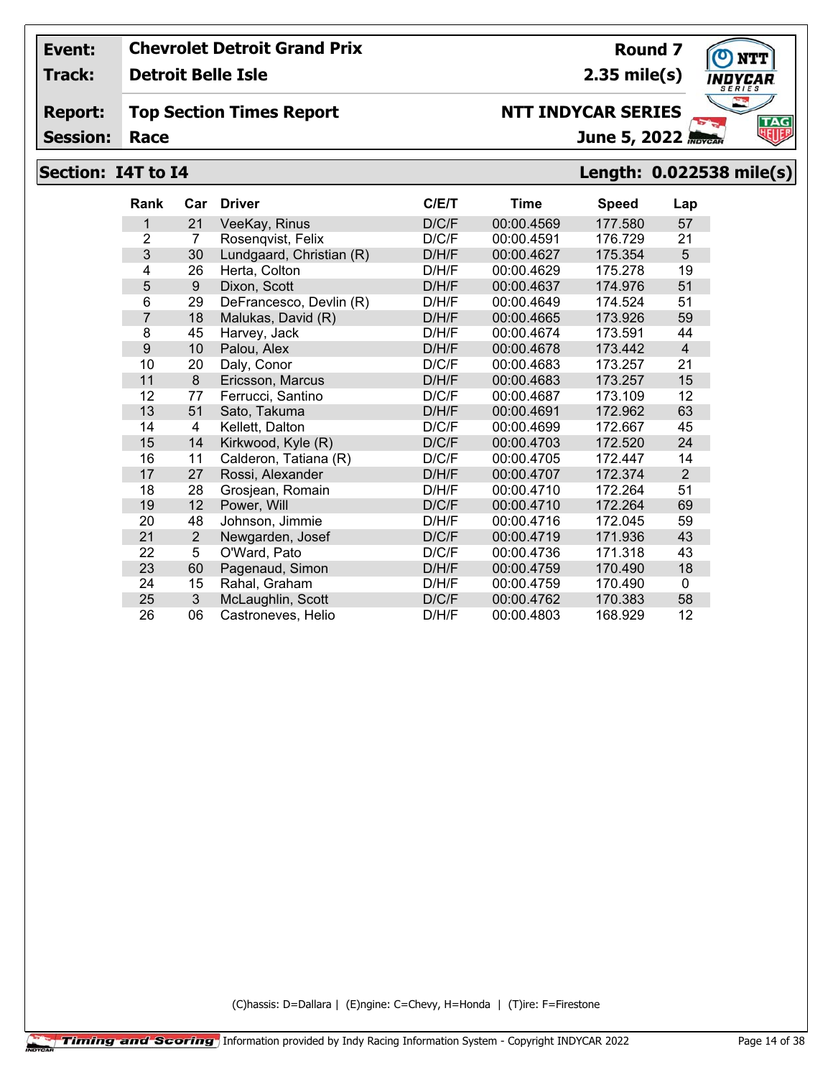**Track: Detroit Belle Isle**

#### **Report: Top Section Times Report**

**Session:**

# June 5, 2022

**Round 7**

**2.35 mile(s)**

**NTT INDYCAR SERIES**

## **Section: I4T to I4 Length: 0.022538 mile(s)**

| <b>Rank</b>    | Car            | <b>Driver</b>            | C/ET  | Time       | <b>Speed</b> | Lap            |
|----------------|----------------|--------------------------|-------|------------|--------------|----------------|
| 1              | 21             | VeeKay, Rinus            | D/C/F | 00:00.4569 | 177.580      | 57             |
| $\overline{2}$ | 7              | Rosenqvist, Felix        | D/C/F | 00:00.4591 | 176.729      | 21             |
| 3              | 30             | Lundgaard, Christian (R) | D/H/F | 00:00.4627 | 175.354      | 5              |
| 4              | 26             | Herta, Colton            | D/H/F | 00:00.4629 | 175.278      | 19             |
| 5              | 9              | Dixon, Scott             | D/H/F | 00:00.4637 | 174.976      | 51             |
| 6              | 29             | DeFrancesco, Devlin (R)  | D/H/F | 00:00.4649 | 174.524      | 51             |
| $\overline{7}$ | 18             | Malukas, David (R)       | D/H/F | 00:00.4665 | 173.926      | 59             |
| 8              | 45             | Harvey, Jack             | D/H/F | 00:00.4674 | 173.591      | 44             |
| 9              | 10             | Palou, Alex              | D/H/F | 00:00.4678 | 173.442      | $\overline{4}$ |
| 10             | 20             | Daly, Conor              | D/C/F | 00:00.4683 | 173.257      | 21             |
| 11             | 8              | Ericsson, Marcus         | D/H/F | 00:00.4683 | 173.257      | 15             |
| 12             | 77             | Ferrucci, Santino        | D/C/F | 00:00.4687 | 173.109      | 12             |
| 13             | 51             | Sato, Takuma             | D/H/F | 00:00.4691 | 172.962      | 63             |
| 14             | 4              | Kellett, Dalton          | D/C/F | 00:00.4699 | 172.667      | 45             |
| 15             | 14             | Kirkwood, Kyle (R)       | D/C/F | 00:00.4703 | 172.520      | 24             |
| 16             | 11             | Calderon, Tatiana (R)    | D/C/F | 00:00.4705 | 172.447      | 14             |
| 17             | 27             | Rossi, Alexander         | D/H/F | 00:00.4707 | 172.374      | 2              |
| 18             | 28             | Grosjean, Romain         | D/H/F | 00:00.4710 | 172.264      | 51             |
| 19             | 12             | Power, Will              | D/C/F | 00:00.4710 | 172.264      | 69             |
| 20             | 48             | Johnson, Jimmie          | D/H/F | 00:00.4716 | 172.045      | 59             |
| 21             | $\overline{2}$ | Newgarden, Josef         | D/C/F | 00:00.4719 | 171.936      | 43             |
| 22             | 5              | O'Ward, Pato             | D/C/F | 00:00.4736 | 171.318      | 43             |
| 23             | 60             | Pagenaud, Simon          | D/H/F | 00:00.4759 | 170.490      | 18             |
| 24             | 15             | Rahal, Graham            | D/H/F | 00:00.4759 | 170.490      | $\mathbf{0}$   |
| 25             | 3              | McLaughlin, Scott        | D/C/F | 00:00.4762 | 170.383      | 58             |
| 26             | 06             | Castroneves, Helio       | D/H/F | 00:00.4803 | 168.929      | 12             |

(C)hassis: D=Dallara | (E)ngine: C=Chevy, H=Honda | (T)ire: F=Firestone

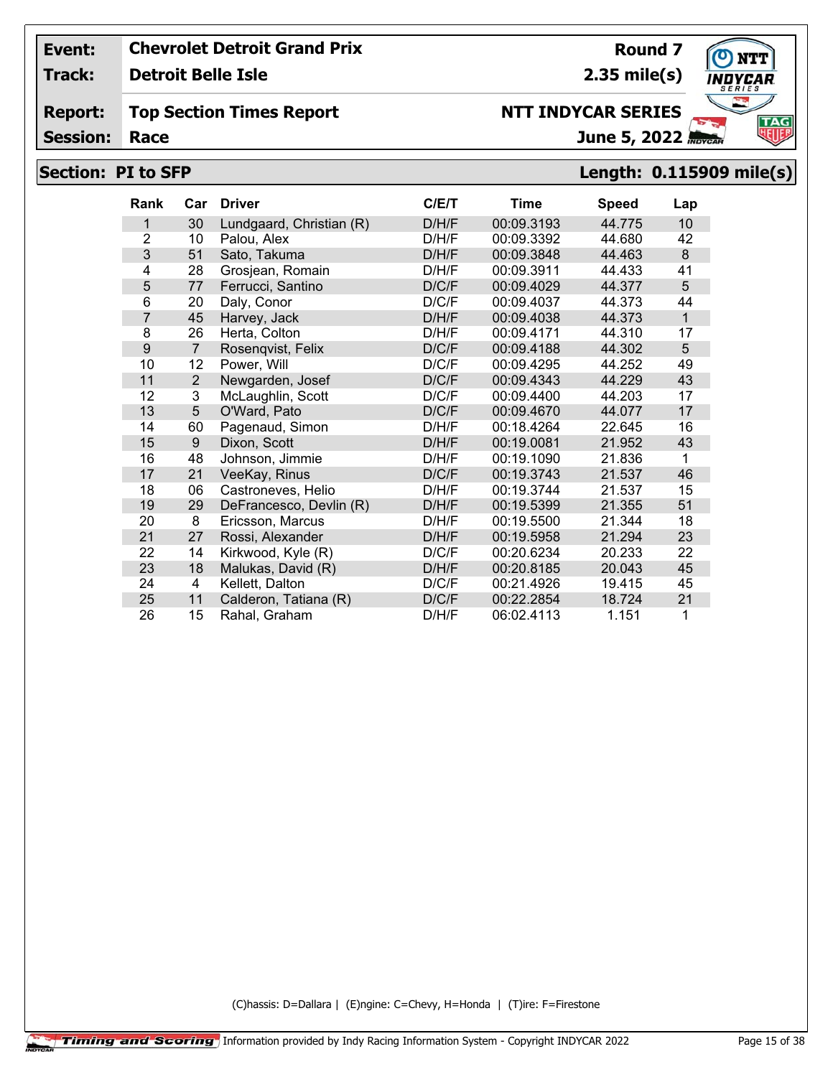**Track: Detroit Belle Isle**

## **Top Section Times Report**

**Session:**

# **Section: PI to SFP Length: 0.115909 mile(s)**

| <b>Rank</b>    | Car            | <b>Driver</b>            | C/E/T | <b>Time</b> | <b>Speed</b> | Lap          |
|----------------|----------------|--------------------------|-------|-------------|--------------|--------------|
| 1              | 30             | Lundgaard, Christian (R) | D/H/F | 00:09.3193  | 44.775       | 10           |
| $\overline{2}$ | 10             | Palou, Alex              | D/H/F | 00:09.3392  | 44.680       | 42           |
| $\mathbf{3}$   | 51             | Sato, Takuma             | D/H/F | 00:09.3848  | 44.463       | 8            |
| 4              | 28             | Grosjean, Romain         | D/H/F | 00:09.3911  | 44.433       | 41           |
| 5              | 77             | Ferrucci, Santino        | D/C/F | 00:09.4029  | 44.377       | 5            |
| 6              | 20             | Daly, Conor              | D/C/F | 00:09.4037  | 44.373       | 44           |
| $\overline{7}$ | 45             | Harvey, Jack             | D/H/F | 00:09.4038  | 44.373       | $\mathbf{1}$ |
| 8              | 26             | Herta, Colton            | D/H/F | 00:09.4171  | 44.310       | 17           |
| 9              | $\overline{7}$ | Rosenqvist, Felix        | D/C/F | 00:09.4188  | 44.302       | 5            |
| 10             | 12             | Power, Will              | D/C/F | 00:09.4295  | 44.252       | 49           |
| 11             | $\overline{2}$ | Newgarden, Josef         | D/C/F | 00:09.4343  | 44.229       | 43           |
| 12             | 3              | McLaughlin, Scott        | D/C/F | 00:09.4400  | 44.203       | 17           |
| 13             | 5              | O'Ward, Pato             | D/C/F | 00:09.4670  | 44.077       | 17           |
| 14             | 60             | Pagenaud, Simon          | D/H/F | 00:18.4264  | 22.645       | 16           |
| 15             | 9              | Dixon, Scott             | D/H/F | 00:19.0081  | 21.952       | 43           |
| 16             | 48             | Johnson, Jimmie          | D/H/F | 00:19.1090  | 21.836       | 1            |
| 17             | 21             | VeeKay, Rinus            | D/C/F | 00:19.3743  | 21.537       | 46           |
| 18             | 06             | Castroneves, Helio       | D/H/F | 00:19.3744  | 21.537       | 15           |
| 19             | 29             | DeFrancesco, Devlin (R)  | D/H/F | 00:19.5399  | 21.355       | 51           |
| 20             | 8              | Ericsson, Marcus         | D/H/F | 00:19.5500  | 21.344       | 18           |
| 21             | 27             | Rossi, Alexander         | D/H/F | 00:19.5958  | 21.294       | 23           |
| 22             | 14             | Kirkwood, Kyle (R)       | D/C/F | 00:20.6234  | 20.233       | 22           |
| 23             | 18             | Malukas, David (R)       | D/H/F | 00:20.8185  | 20.043       | 45           |
| 24             | 4              | Kellett, Dalton          | D/C/F | 00:21.4926  | 19.415       | 45           |
| 25             | 11             | Calderon, Tatiana (R)    | D/C/F | 00:22.2854  | 18.724       | 21           |
| 26             | 15             | Rahal, Graham            | D/H/F | 06:02.4113  | 1.151        | 1            |

(C)hassis: D=Dallara | (E)ngine: C=Chevy, H=Honda | (T)ire: F=Firestone



**Round 7 2.35 mile(s)**

June 5, 2022 **NTT INDYCAR SERIES**

**Report:**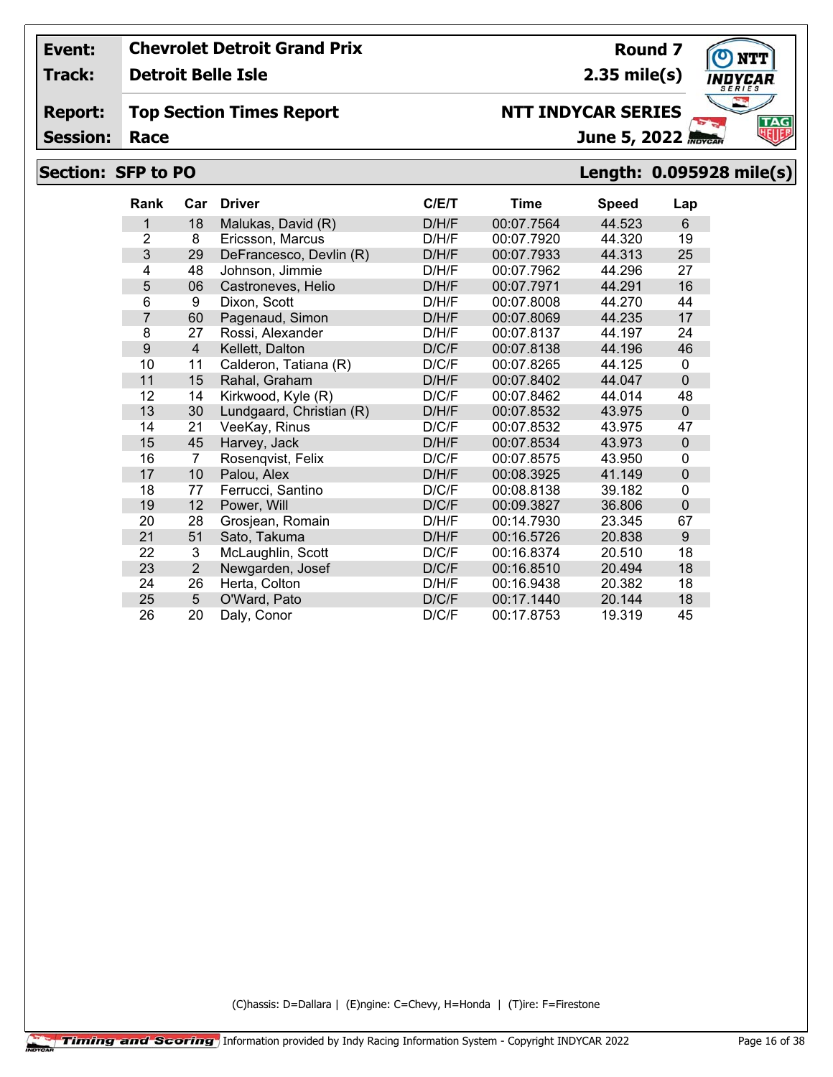**Track: Detroit Belle Isle**

#### **Report: Top Section Times Report**

**Session:**

# **Section: SFP to PO Length: 0.095928 mile(s)**

| <b>Rank</b>    | Car            | <b>Driver</b>            | C/ET  | <b>Time</b> | <b>Speed</b> | Lap            |
|----------------|----------------|--------------------------|-------|-------------|--------------|----------------|
| 1              | 18             | Malukas, David (R)       | D/H/F | 00:07.7564  | 44.523       | 6              |
| $\overline{2}$ | 8              | Ericsson, Marcus         | D/H/F | 00:07.7920  | 44.320       | 19             |
| 3              | 29             | DeFrancesco, Devlin (R)  | D/H/F | 00:07.7933  | 44.313       | 25             |
| $\overline{4}$ | 48             | Johnson, Jimmie          | D/H/F | 00:07.7962  | 44.296       | 27             |
| 5              | 06             | Castroneves, Helio       | D/H/F | 00:07.7971  | 44.291       | 16             |
| 6              | 9              | Dixon, Scott             | D/H/F | 00:07.8008  | 44.270       | 44             |
| $\overline{7}$ | 60             | Pagenaud, Simon          | D/H/F | 00:07.8069  | 44.235       | 17             |
| 8              | 27             | Rossi, Alexander         | D/H/F | 00:07.8137  | 44.197       | 24             |
| 9              | $\overline{4}$ | Kellett, Dalton          | D/C/F | 00:07.8138  | 44.196       | 46             |
| 10             | 11             | Calderon, Tatiana (R)    | D/C/F | 00:07.8265  | 44.125       | 0              |
| 11             | 15             | Rahal, Graham            | D/H/F | 00:07.8402  | 44.047       | $\Omega$       |
| 12             | 14             | Kirkwood, Kyle (R)       | D/C/F | 00:07.8462  | 44.014       | 48             |
| 13             | 30             | Lundgaard, Christian (R) | D/H/F | 00:07.8532  | 43.975       | $\Omega$       |
| 14             | 21             | VeeKay, Rinus            | D/C/F | 00:07.8532  | 43.975       | 47             |
| 15             | 45             | Harvey, Jack             | D/H/F | 00:07.8534  | 43.973       | $\mathbf 0$    |
| 16             | 7              | Rosenqvist, Felix        | D/C/F | 00:07.8575  | 43.950       | 0              |
| 17             | 10             | Palou, Alex              | D/H/F | 00:08.3925  | 41.149       | $\mathbf 0$    |
| 18             | 77             | Ferrucci, Santino        | D/C/F | 00:08.8138  | 39.182       | 0              |
| 19             | 12             | Power, Will              | D/C/F | 00:09.3827  | 36.806       | $\overline{0}$ |
| 20             | 28             | Grosjean, Romain         | D/H/F | 00:14.7930  | 23.345       | 67             |
| 21             | 51             | Sato, Takuma             | D/H/F | 00:16.5726  | 20.838       | 9              |
| 22             | 3              | McLaughlin, Scott        | D/C/F | 00:16.8374  | 20.510       | 18             |
| 23             | $\overline{2}$ | Newgarden, Josef         | D/C/F | 00:16.8510  | 20.494       | 18             |
| 24             | 26             | Herta, Colton            | D/H/F | 00:16.9438  | 20.382       | 18             |
| 25             | 5              | O'Ward, Pato             | D/C/F | 00:17.1440  | 20.144       | 18             |
| 26             | 20             | Daly, Conor              | D/C/F | 00:17.8753  | 19.319       | 45             |

(C)hassis: D=Dallara | (E)ngine: C=Chevy, H=Honda | (T)ire: F=Firestone



**2.35 mile(s)**

June 5, 2022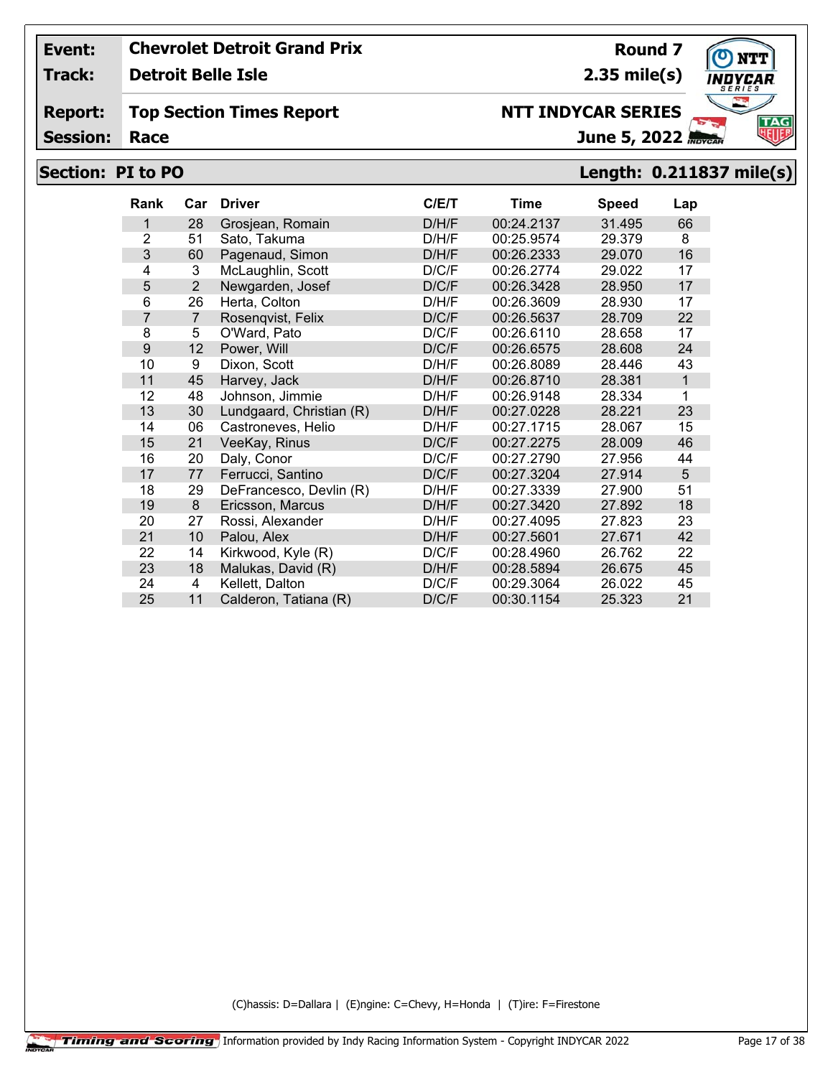**Track: Detroit Belle Isle**

#### **Report: Top Section Times Report**

**Session:**

# **Section: PI to PO Length: 0.211837 mile(s)**

| <b>Rank</b>    | Car            | <b>Driver</b>            | C/E/T | Time       | <b>Speed</b> | Lap          |
|----------------|----------------|--------------------------|-------|------------|--------------|--------------|
| 1              | 28             | Grosjean, Romain         | D/H/F | 00:24.2137 | 31.495       | 66           |
| $\overline{2}$ | 51             | Sato, Takuma             | D/H/F | 00:25.9574 | 29.379       | 8            |
| 3              | 60             | Pagenaud, Simon          | D/H/F | 00:26.2333 | 29.070       | 16           |
| 4              | 3              | McLaughlin, Scott        | D/C/F | 00:26.2774 | 29.022       | 17           |
| 5              | 2              | Newgarden, Josef         | D/C/F | 00:26.3428 | 28.950       | 17           |
| 6              | 26             | Herta, Colton            | D/H/F | 00:26.3609 | 28.930       | 17           |
| $\overline{7}$ | $\overline{7}$ | Rosenqvist, Felix        | D/C/F | 00:26.5637 | 28.709       | 22           |
| 8              | 5              | O'Ward, Pato             | D/C/F | 00:26.6110 | 28.658       | 17           |
| 9              | 12             | Power, Will              | D/C/F | 00:26.6575 | 28.608       | 24           |
| 10             | 9              | Dixon, Scott             | D/H/F | 00:26.8089 | 28.446       | 43           |
| 11             | 45             | Harvey, Jack             | D/H/F | 00:26.8710 | 28.381       | $\mathbf{1}$ |
| 12             | 48             | Johnson, Jimmie          | D/H/F | 00:26.9148 | 28.334       | 1            |
| 13             | 30             | Lundgaard, Christian (R) | D/H/F | 00:27.0228 | 28.221       | 23           |
| 14             | 06             | Castroneves, Helio       | D/H/F | 00:27.1715 | 28.067       | 15           |
| 15             | 21             | VeeKay, Rinus            | D/C/F | 00:27.2275 | 28.009       | 46           |
| 16             | 20             | Daly, Conor              | D/C/F | 00:27.2790 | 27.956       | 44           |
| 17             | 77             | Ferrucci, Santino        | D/C/F | 00:27.3204 | 27.914       | 5            |
| 18             | 29             | DeFrancesco, Devlin (R)  | D/H/F | 00:27.3339 | 27.900       | 51           |
| 19             | 8              | Ericsson, Marcus         | D/H/F | 00:27.3420 | 27.892       | 18           |
| 20             | 27             | Rossi, Alexander         | D/H/F | 00:27.4095 | 27.823       | 23           |
| 21             | 10             | Palou, Alex              | D/H/F | 00:27.5601 | 27.671       | 42           |
| 22             | 14             | Kirkwood, Kyle (R)       | D/C/F | 00:28.4960 | 26.762       | 22           |
| 23             | 18             | Malukas, David (R)       | D/H/F | 00:28.5894 | 26.675       | 45           |
| 24             | 4              | Kellett, Dalton          | D/C/F | 00:29.3064 | 26.022       | 45           |
| 25             | 11             | Calderon, Tatiana (R)    | D/C/F | 00:30.1154 | 25.323       | 21           |

(C)hassis: D=Dallara | (E)ngine: C=Chevy, H=Honda | (T)ire: F=Firestone



**Round 7 2.35 mile(s)**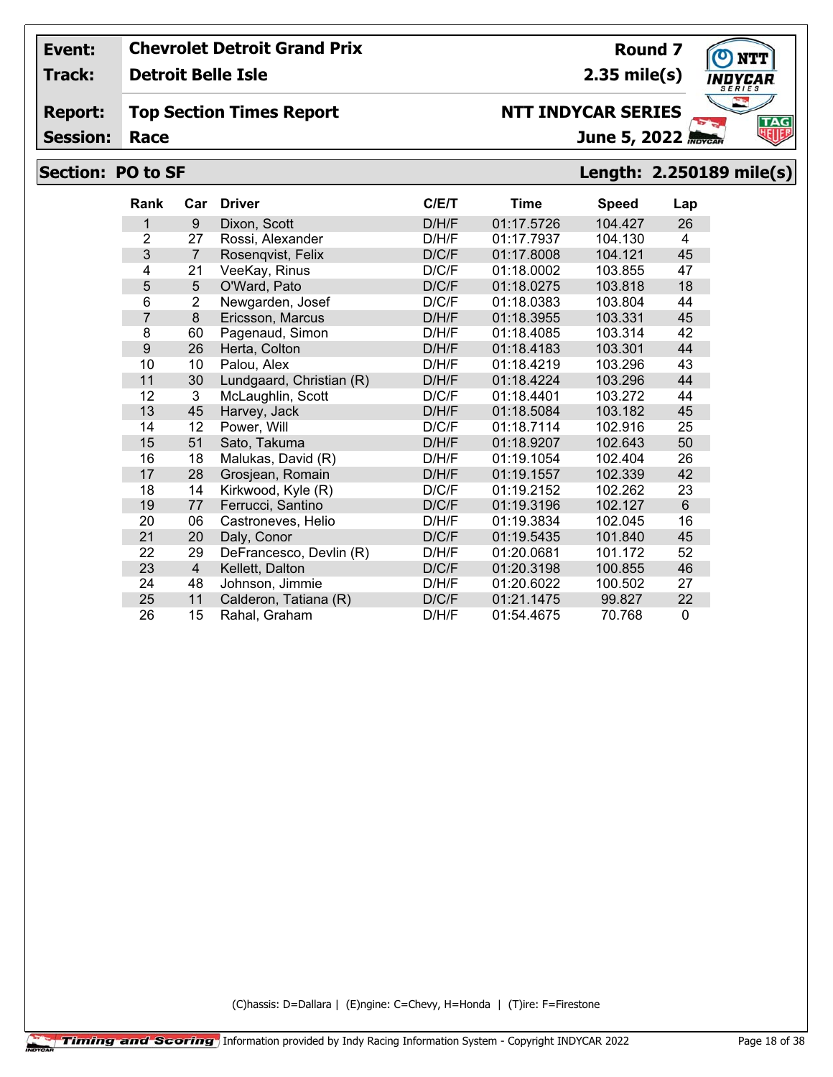**Track: Detroit Belle Isle**

#### **Report: Top Section Times Report**

**Session:**

# **Section: PO to SF Length: 2.250189 mile(s)**

| Rank | Car            | <b>Driver</b>            | C/ET  | <b>Time</b> | <b>Speed</b> | Lap |
|------|----------------|--------------------------|-------|-------------|--------------|-----|
| 1    | 9              | Dixon, Scott             | D/H/F | 01:17.5726  | 104.427      | 26  |
| 2    | 27             | Rossi, Alexander         | D/H/F | 01:17.7937  | 104.130      | 4   |
| 3    | $\overline{7}$ | Rosenqvist, Felix        | D/C/F | 01:17.8008  | 104.121      | 45  |
| 4    | 21             | VeeKay, Rinus            | D/C/F | 01:18.0002  | 103.855      | 47  |
| 5    | 5              | O'Ward, Pato             | D/C/F | 01:18.0275  | 103.818      | 18  |
| 6    | $\overline{2}$ | Newgarden, Josef         | D/C/F | 01:18.0383  | 103.804      | 44  |
| 7    | 8              | Ericsson, Marcus         | D/H/F | 01:18.3955  | 103.331      | 45  |
| 8    | 60             | Pagenaud, Simon          | D/H/F | 01:18.4085  | 103.314      | 42  |
| 9    | 26             | Herta, Colton            | D/H/F | 01:18.4183  | 103.301      | 44  |
| 10   | 10             | Palou, Alex              | D/H/F | 01:18.4219  | 103.296      | 43  |
| 11   | 30             | Lundgaard, Christian (R) | D/H/F | 01:18.4224  | 103.296      | 44  |
| 12   | 3              | McLaughlin, Scott        | D/C/F | 01:18.4401  | 103.272      | 44  |
| 13   | 45             | Harvey, Jack             | D/H/F | 01:18.5084  | 103.182      | 45  |
| 14   | 12             | Power, Will              | D/C/F | 01:18.7114  | 102.916      | 25  |
| 15   | 51             | Sato, Takuma             | D/H/F | 01:18.9207  | 102.643      | 50  |
| 16   | 18             | Malukas, David (R)       | D/H/F | 01:19.1054  | 102.404      | 26  |
| 17   | 28             | Grosjean, Romain         | D/H/F | 01:19.1557  | 102.339      | 42  |
| 18   | 14             | Kirkwood, Kyle (R)       | D/C/F | 01:19.2152  | 102.262      | 23  |
| 19   | 77             | Ferrucci, Santino        | D/C/F | 01:19.3196  | 102.127      | 6   |
| 20   | 06             | Castroneves, Helio       | D/H/F | 01:19.3834  | 102.045      | 16  |
| 21   | 20             | Daly, Conor              | D/C/F | 01:19.5435  | 101.840      | 45  |
| 22   | 29             | DeFrancesco, Devlin (R)  | D/H/F | 01:20.0681  | 101.172      | 52  |
| 23   | $\overline{4}$ | Kellett, Dalton          | D/C/F | 01:20.3198  | 100.855      | 46  |
| 24   | 48             | Johnson, Jimmie          | D/H/F | 01:20.6022  | 100.502      | 27  |
| 25   | 11             | Calderon, Tatiana (R)    | D/C/F | 01:21.1475  | 99.827       | 22  |
| 26   | 15             | Rahal, Graham            | D/H/F | 01:54.4675  | 70.768       | 0   |

(C)hassis: D=Dallara | (E)ngine: C=Chevy, H=Honda | (T)ire: F=Firestone



**Round 7**

**2.35 mile(s) NTT INDYCAR SERIES**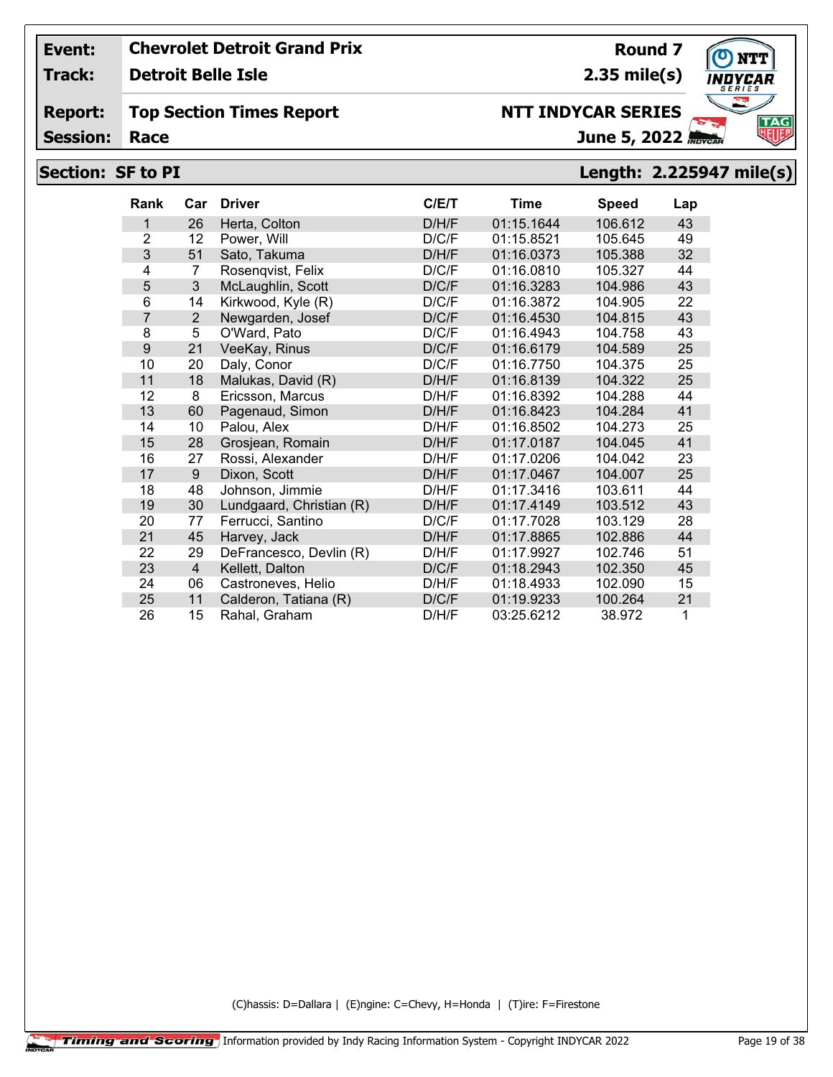**Track: Detroit Belle Isle**

#### **Report: Top Section Times Report**

**Session:**

# **NTT INDYCAR SERIES**

**2.35 mile(s)**

**Round 7**

June 5, 2022

# **Section: SF to PI Length: 2.225947 mile(s)**

| Rank           | Car            | <b>Driver</b>            | C/E/T | Time       | <b>Speed</b> | Lap |
|----------------|----------------|--------------------------|-------|------------|--------------|-----|
| 1              | 26             | Herta, Colton            | D/H/F | 01:15.1644 | 106.612      | 43  |
| $\overline{2}$ | 12             | Power, Will              | D/C/F | 01:15.8521 | 105.645      | 49  |
| 3              | 51             | Sato, Takuma             | D/H/F | 01:16.0373 | 105.388      | 32  |
| 4              | $\overline{7}$ | Rosenqvist, Felix        | D/C/F | 01:16.0810 | 105.327      | 44  |
| 5              | 3              | McLaughlin, Scott        | D/C/F | 01:16.3283 | 104.986      | 43  |
| 6              | 14             | Kirkwood, Kyle (R)       | D/C/F | 01:16.3872 | 104.905      | 22  |
| $\overline{7}$ | 2              | Newgarden, Josef         | D/C/F | 01:16.4530 | 104.815      | 43  |
| 8              | 5              | O'Ward, Pato             | D/C/F | 01:16.4943 | 104.758      | 43  |
| 9              | 21             | VeeKay, Rinus            | D/C/F | 01:16.6179 | 104.589      | 25  |
| 10             | 20             | Daly, Conor              | D/C/F | 01:16.7750 | 104.375      | 25  |
| 11             | 18             | Malukas, David (R)       | D/H/F | 01:16.8139 | 104.322      | 25  |
| 12             | 8              | Ericsson, Marcus         | D/H/F | 01:16.8392 | 104.288      | 44  |
| 13             | 60             | Pagenaud, Simon          | D/H/F | 01:16.8423 | 104.284      | 41  |
| 14             | 10             | Palou, Alex              | D/H/F | 01:16.8502 | 104.273      | 25  |
| 15             | 28             | Grosjean, Romain         | D/H/F | 01:17.0187 | 104.045      | 41  |
| 16             | 27             | Rossi, Alexander         | D/H/F | 01:17.0206 | 104.042      | 23  |
| 17             | 9              | Dixon, Scott             | D/H/F | 01:17.0467 | 104.007      | 25  |
| 18             | 48             | Johnson, Jimmie          | D/H/F | 01:17.3416 | 103.611      | 44  |
| 19             | 30             | Lundgaard, Christian (R) | D/H/F | 01:17.4149 | 103.512      | 43  |
| 20             | 77             | Ferrucci, Santino        | D/C/F | 01:17.7028 | 103.129      | 28  |
| 21             | 45             | Harvey, Jack             | D/H/F | 01:17.8865 | 102.886      | 44  |
| 22             | 29             | DeFrancesco, Devlin (R)  | D/H/F | 01:17.9927 | 102.746      | 51  |
| 23             | $\overline{4}$ | Kellett, Dalton          | D/C/F | 01:18.2943 | 102.350      | 45  |
| 24             | 06             | Castroneves, Helio       | D/H/F | 01:18.4933 | 102.090      | 15  |
| 25             | 11             | Calderon, Tatiana (R)    | D/C/F | 01:19.9233 | 100.264      | 21  |
| 26             | 15             | Rahal, Graham            | D/H/F | 03:25.6212 | 38.972       | 1   |

(C)hassis: D=Dallara | (E)ngine: C=Chevy, H=Honda | (T)ire: F=Firestone

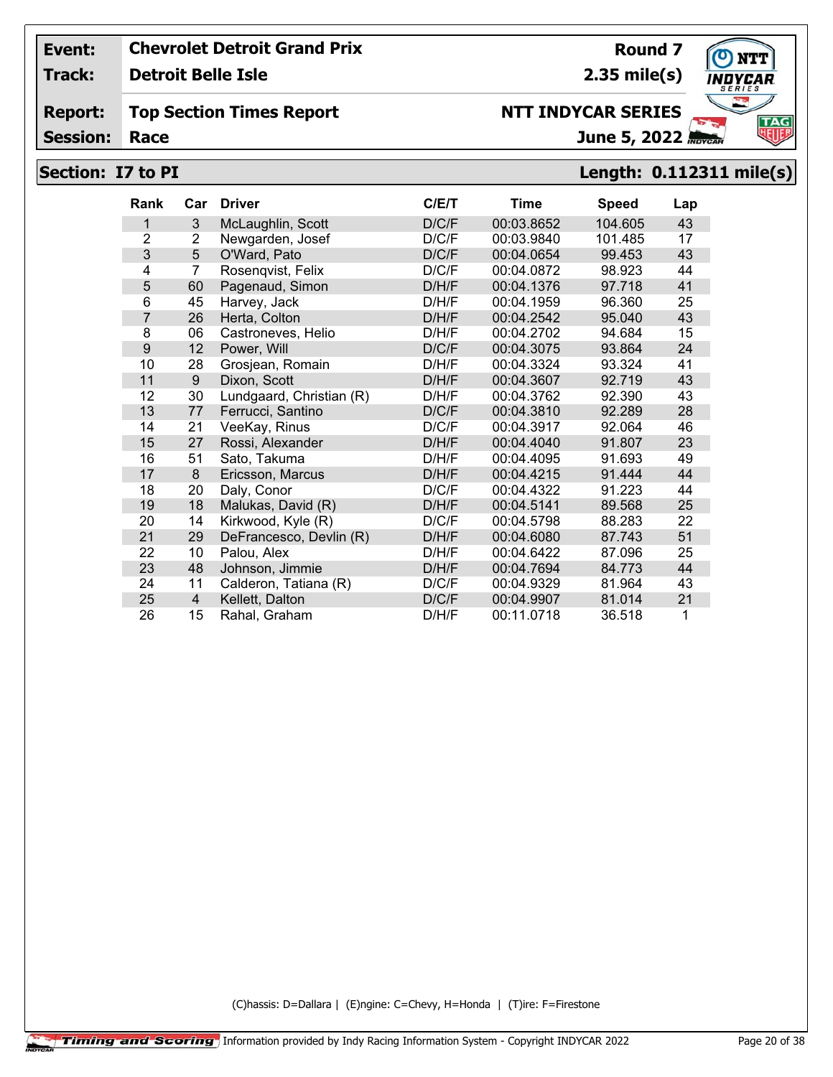**Track: Detroit Belle Isle**

**Report: Top Section Times Report**

**Session:**

## **Section: I7 to PI Length: 0.112311 mile(s)**

| <b>Rank</b>    | Car            | <b>Driver</b>            | C/ET  | Time       | <b>Speed</b> | Lap |
|----------------|----------------|--------------------------|-------|------------|--------------|-----|
| 1              | 3              | McLaughlin, Scott        | D/C/F | 00:03.8652 | 104.605      | 43  |
| $\overline{2}$ | $\overline{2}$ | Newgarden, Josef         | D/C/F | 00:03.9840 | 101.485      | 17  |
| 3              | 5              | O'Ward, Pato             | D/C/F | 00:04.0654 | 99.453       | 43  |
| 4              | 7              | Rosenqvist, Felix        | D/C/F | 00:04.0872 | 98.923       | 44  |
| 5              | 60             | Pagenaud, Simon          | D/H/F | 00:04.1376 | 97.718       | 41  |
| 6              | 45             | Harvey, Jack             | D/H/F | 00:04.1959 | 96.360       | 25  |
| $\overline{7}$ | 26             | Herta, Colton            | D/H/F | 00:04.2542 | 95.040       | 43  |
| 8              | 06             | Castroneves, Helio       | D/H/F | 00:04.2702 | 94.684       | 15  |
| 9              | 12             | Power, Will              | D/C/F | 00:04.3075 | 93.864       | 24  |
| 10             | 28             | Grosjean, Romain         | D/H/F | 00:04.3324 | 93.324       | 41  |
| 11             | 9              | Dixon, Scott             | D/H/F | 00:04.3607 | 92.719       | 43  |
| 12             | 30             | Lundgaard, Christian (R) | D/H/F | 00:04.3762 | 92.390       | 43  |
| 13             | 77             | Ferrucci, Santino        | D/C/F | 00:04.3810 | 92.289       | 28  |
| 14             | 21             | VeeKay, Rinus            | D/C/F | 00:04.3917 | 92.064       | 46  |
| 15             | 27             | Rossi, Alexander         | D/H/F | 00:04.4040 | 91.807       | 23  |
| 16             | 51             | Sato, Takuma             | D/H/F | 00:04.4095 | 91.693       | 49  |
| 17             | 8              | Ericsson, Marcus         | D/H/F | 00:04.4215 | 91.444       | 44  |
| 18             | 20             | Daly, Conor              | D/C/F | 00:04.4322 | 91.223       | 44  |
| 19             | 18             | Malukas, David (R)       | D/H/F | 00:04.5141 | 89.568       | 25  |
| 20             | 14             | Kirkwood, Kyle (R)       | D/C/F | 00:04.5798 | 88.283       | 22  |
| 21             | 29             | DeFrancesco, Devlin (R)  | D/H/F | 00:04.6080 | 87.743       | 51  |
| 22             | 10             | Palou, Alex              | D/H/F | 00:04.6422 | 87.096       | 25  |
| 23             | 48             | Johnson, Jimmie          | D/H/F | 00:04.7694 | 84.773       | 44  |
| 24             | 11             | Calderon, Tatiana (R)    | D/C/F | 00:04.9329 | 81.964       | 43  |
| 25             | $\overline{4}$ | Kellett, Dalton          | D/C/F | 00:04.9907 | 81.014       | 21  |
| 26             | 15             | Rahal, Graham            | D/H/F | 00:11.0718 | 36.518       | 1   |

(C)hassis: D=Dallara | (E)ngine: C=Chevy, H=Honda | (T)ire: F=Firestone



**Round 7 2.35 mile(s)**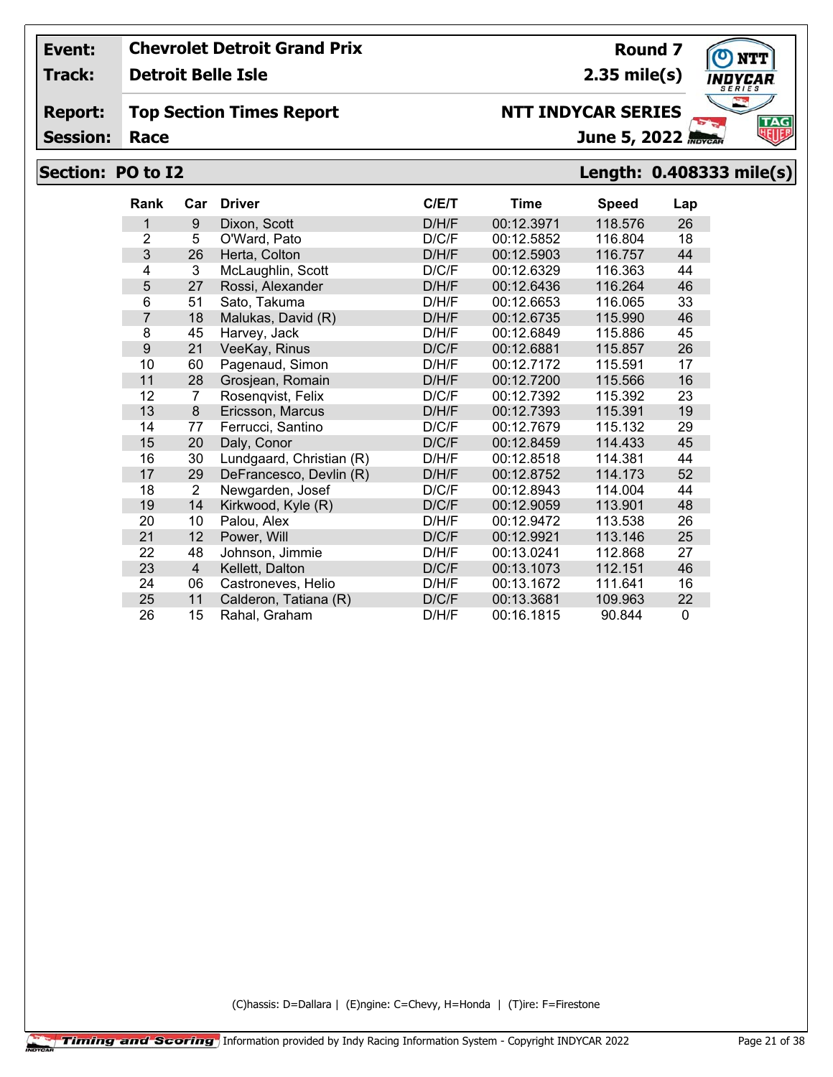**Track: Detroit Belle Isle**

#### **Report: Top Section Times Report**

**Session:**

# **NTT INDYCAR SERIES**

**2.35 mile(s)**

June 5, 2022

## **Section: PO to I2 Length: 0.408333 mile(s)**

| <b>Rank</b>    | Car | <b>Driver</b>            | C/ET  | <b>Time</b> | <b>Speed</b> | Lap          |
|----------------|-----|--------------------------|-------|-------------|--------------|--------------|
| 1              | 9   | Dixon, Scott             | D/H/F | 00:12.3971  | 118.576      | 26           |
| $\overline{2}$ | 5   | O'Ward, Pato             | D/C/F | 00:12.5852  | 116.804      | 18           |
| 3              | 26  | Herta, Colton            | D/H/F | 00:12.5903  | 116.757      | 44           |
| 4              | 3   | McLaughlin, Scott        | D/C/F | 00:12.6329  | 116.363      | 44           |
| 5              | 27  | Rossi, Alexander         | D/H/F | 00:12.6436  | 116.264      | 46           |
| 6              | 51  | Sato, Takuma             | D/H/F | 00:12.6653  | 116.065      | 33           |
| 7              | 18  | Malukas, David (R)       | D/H/F | 00:12.6735  | 115.990      | 46           |
| 8              | 45  | Harvey, Jack             | D/H/F | 00:12.6849  | 115.886      | 45           |
| 9              | 21  | VeeKay, Rinus            | D/C/F | 00:12.6881  | 115.857      | 26           |
| 10             | 60  | Pagenaud, Simon          | D/H/F | 00:12.7172  | 115.591      | 17           |
| 11             | 28  | Grosjean, Romain         | D/H/F | 00:12.7200  | 115.566      | 16           |
| 12             | 7   | Rosenqvist, Felix        | D/C/F | 00:12.7392  | 115.392      | 23           |
| 13             | 8   | Ericsson, Marcus         | D/H/F | 00:12.7393  | 115.391      | 19           |
| 14             | 77  | Ferrucci, Santino        | D/C/F | 00:12.7679  | 115.132      | 29           |
| 15             | 20  | Daly, Conor              | D/C/F | 00:12.8459  | 114.433      | 45           |
| 16             | 30  | Lundgaard, Christian (R) | D/H/F | 00:12.8518  | 114.381      | 44           |
| 17             | 29  | DeFrancesco, Devlin (R)  | D/H/F | 00:12.8752  | 114.173      | 52           |
| 18             | 2   | Newgarden, Josef         | D/C/F | 00:12.8943  | 114.004      | 44           |
| 19             | 14  | Kirkwood, Kyle (R)       | D/C/F | 00:12.9059  | 113.901      | 48           |
| 20             | 10  | Palou, Alex              | D/H/F | 00:12.9472  | 113.538      | 26           |
| 21             | 12  | Power, Will              | D/C/F | 00:12.9921  | 113.146      | 25           |
| 22             | 48  | Johnson, Jimmie          | D/H/F | 00:13.0241  | 112.868      | 27           |
| 23             | 4   | Kellett, Dalton          | D/C/F | 00:13.1073  | 112.151      | 46           |
| 24             | 06  | Castroneves, Helio       | D/H/F | 00:13.1672  | 111.641      | 16           |
| 25             | 11  | Calderon, Tatiana (R)    | D/C/F | 00:13.3681  | 109.963      | 22           |
| 26             | 15  | Rahal, Graham            | D/H/F | 00:16.1815  | 90.844       | $\mathbf{0}$ |

(C)hassis: D=Dallara | (E)ngine: C=Chevy, H=Honda | (T)ire: F=Firestone



**Round 7**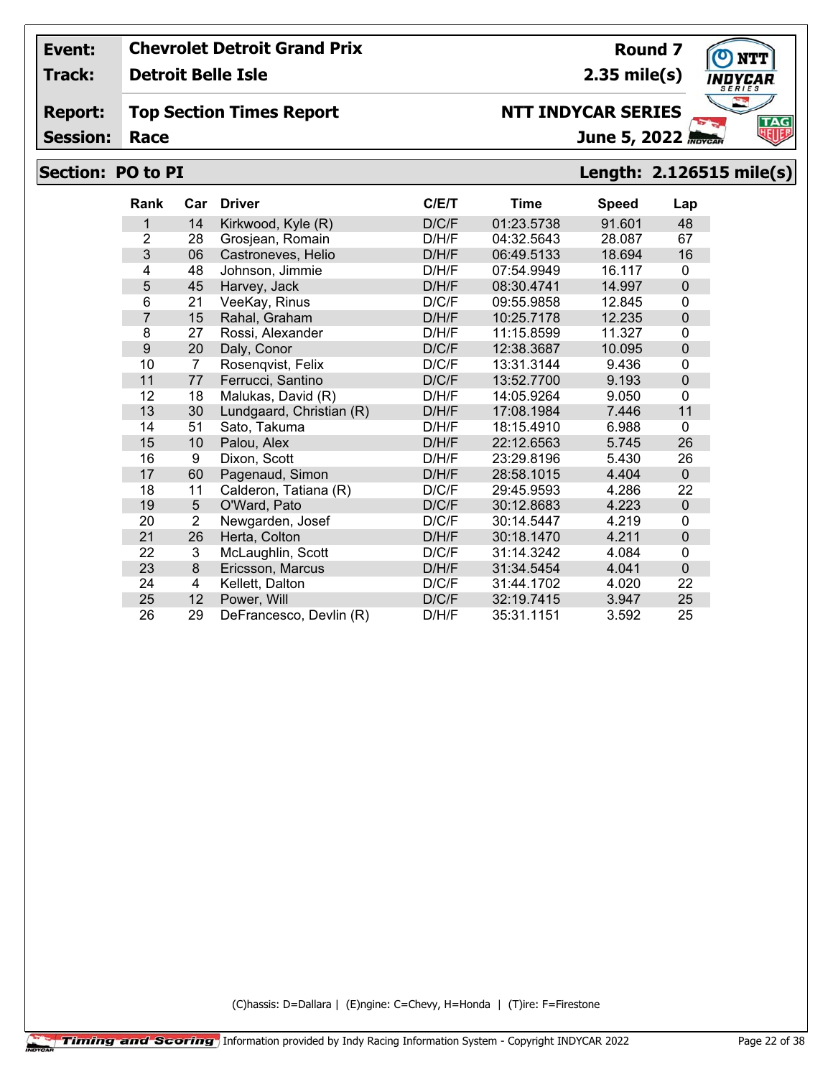**Track: Detroit Belle Isle**

#### **Report: Top Section Times Report**

**Session:**

## **NTT INDYCAR SERIES**

June 5, 2022

# **Section: PO to PI Length: 2.126515 mile(s)**

| <b>Rank</b>    | Car            | <b>Driver</b>            | C/E/T | Time       | <b>Speed</b> | Lap            |
|----------------|----------------|--------------------------|-------|------------|--------------|----------------|
| 1              | 14             | Kirkwood, Kyle (R)       | D/C/F | 01:23.5738 | 91.601       | 48             |
| $\overline{2}$ | 28             | Grosjean, Romain         | D/H/F | 04:32.5643 | 28.087       | 67             |
| 3              | 06             | Castroneves, Helio       | D/H/F | 06:49.5133 | 18.694       | 16             |
| 4              | 48             | Johnson, Jimmie          | D/H/F | 07:54.9949 | 16.117       | $\mathbf{0}$   |
| 5              | 45             | Harvey, Jack             | D/H/F | 08:30.4741 | 14.997       | $\overline{0}$ |
| 6              | 21             | VeeKay, Rinus            | D/C/F | 09:55.9858 | 12.845       | 0              |
| 7              | 15             | Rahal, Graham            | D/H/F | 10:25.7178 | 12.235       | $\mathbf 0$    |
| 8              | 27             | Rossi, Alexander         | D/H/F | 11:15.8599 | 11.327       | $\mathbf{0}$   |
| 9              | 20             | Daly, Conor              | D/C/F | 12:38.3687 | 10.095       | 0              |
| 10             | $\overline{7}$ | Rosenqvist, Felix        | D/C/F | 13:31.3144 | 9.436        | 0              |
| 11             | 77             | Ferrucci, Santino        | D/C/F | 13:52.7700 | 9.193        | 0              |
| 12             | 18             | Malukas, David (R)       | D/H/F | 14:05.9264 | 9.050        | 0              |
| 13             | 30             | Lundgaard, Christian (R) | D/H/F | 17:08.1984 | 7.446        | 11             |
| 14             | 51             | Sato, Takuma             | D/H/F | 18:15.4910 | 6.988        | 0              |
| 15             | 10             | Palou, Alex              | D/H/F | 22:12.6563 | 5.745        | 26             |
| 16             | 9              | Dixon, Scott             | D/H/F | 23:29.8196 | 5.430        | 26             |
| 17             | 60             | Pagenaud, Simon          | D/H/F | 28:58.1015 | 4.404        | $\mathbf 0$    |
| 18             | 11             | Calderon, Tatiana (R)    | D/C/F | 29:45.9593 | 4.286        | 22             |
| 19             | 5              | O'Ward, Pato             | D/C/F | 30:12.8683 | 4.223        | $\mathbf 0$    |
| 20             | $\overline{2}$ | Newgarden, Josef         | D/C/F | 30:14.5447 | 4.219        | 0              |
| 21             | 26             | Herta, Colton            | D/H/F | 30:18.1470 | 4.211        | 0              |
| 22             | 3              | McLaughlin, Scott        | D/C/F | 31:14.3242 | 4.084        | $\mathbf{0}$   |
| 23             | 8              | Ericsson, Marcus         | D/H/F | 31:34.5454 | 4.041        | 0              |
| 24             | 4              | Kellett, Dalton          | D/C/F | 31:44.1702 | 4.020        | 22             |
| 25             | 12             | Power, Will              | D/C/F | 32:19.7415 | 3.947        | 25             |
| 26             | 29             | DeFrancesco, Devlin (R)  | D/H/F | 35:31.1151 | 3.592        | 25             |

(C)hassis: D=Dallara | (E)ngine: C=Chevy, H=Honda | (T)ire: F=Firestone



**Round 7**

**2.35 mile(s)**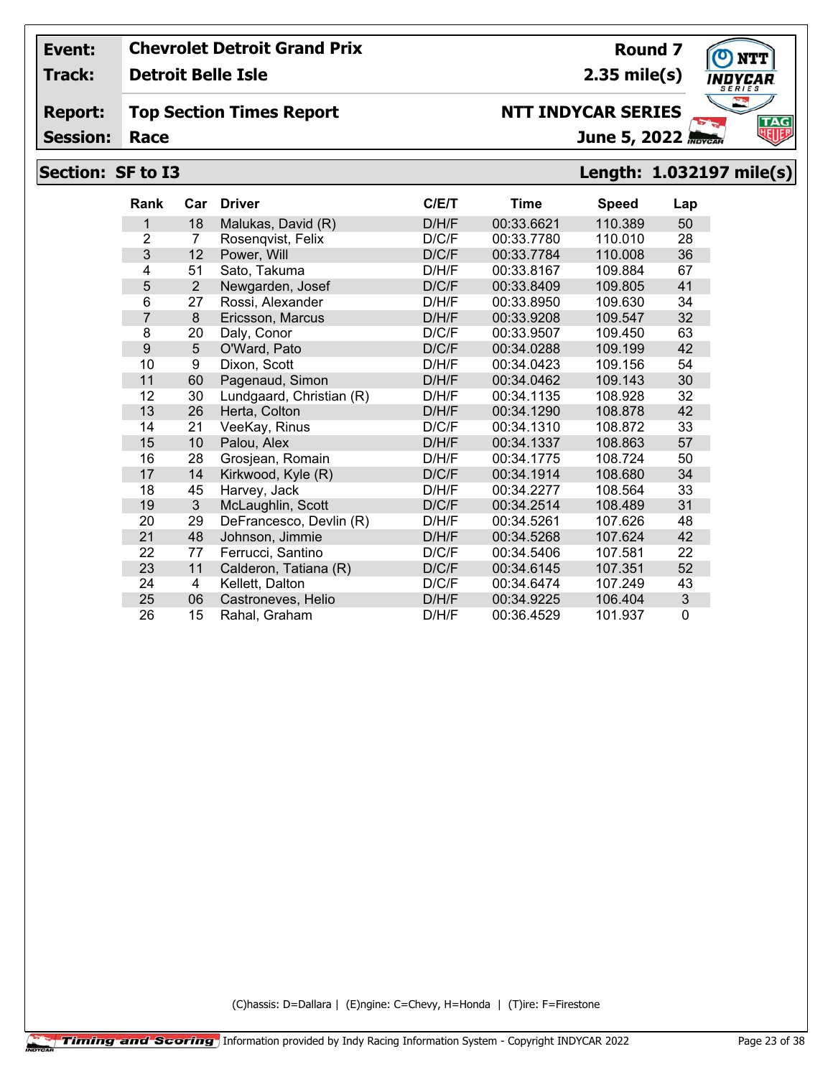**Track: Detroit Belle Isle**

#### **Report: Top Section Times Report**

**Session:**

# **June 5, 2022**

# **Section: SF to I3 Length: 1.032197 mile(s)**

**NTT INDYCAR SERIES**

| <b>Rank</b>    | Car | <b>Driver</b>            | C/ET  | <b>Time</b> | <b>Speed</b> | Lap |
|----------------|-----|--------------------------|-------|-------------|--------------|-----|
| 1              | 18  | Malukas, David (R)       | D/H/F | 00:33.6621  | 110.389      | 50  |
| $\overline{2}$ | 7   | Rosengvist, Felix        | D/C/F | 00:33.7780  | 110.010      | 28  |
| 3              | 12  | Power, Will              | D/C/F | 00:33.7784  | 110.008      | 36  |
| 4              | 51  | Sato, Takuma             | D/H/F | 00:33.8167  | 109.884      | 67  |
| 5              | 2   | Newgarden, Josef         | D/C/F | 00:33.8409  | 109.805      | 41  |
| 6              | 27  | Rossi, Alexander         | D/H/F | 00:33.8950  | 109.630      | 34  |
| $\overline{7}$ | 8   | Ericsson, Marcus         | D/H/F | 00:33.9208  | 109.547      | 32  |
| 8              | 20  | Daly, Conor              | D/C/F | 00:33.9507  | 109.450      | 63  |
| 9              | 5   | O'Ward, Pato             | D/C/F | 00:34.0288  | 109.199      | 42  |
| 10             | 9   | Dixon, Scott             | D/H/F | 00:34.0423  | 109.156      | 54  |
| 11             | 60  | Pagenaud, Simon          | D/H/F | 00:34.0462  | 109.143      | 30  |
| 12             | 30  | Lundgaard, Christian (R) | D/H/F | 00:34.1135  | 108.928      | 32  |
| 13             | 26  | Herta, Colton            | D/H/F | 00:34.1290  | 108.878      | 42  |
| 14             | 21  | VeeKay, Rinus            | D/C/F | 00:34.1310  | 108.872      | 33  |
| 15             | 10  | Palou, Alex              | D/H/F | 00:34.1337  | 108.863      | 57  |
| 16             | 28  | Grosjean, Romain         | D/H/F | 00:34.1775  | 108.724      | 50  |
| 17             | 14  | Kirkwood, Kyle (R)       | D/C/F | 00:34.1914  | 108.680      | 34  |
| 18             | 45  | Harvey, Jack             | D/H/F | 00:34.2277  | 108.564      | 33  |
| 19             | 3   | McLaughlin, Scott        | D/C/F | 00:34.2514  | 108.489      | 31  |
| 20             | 29  | DeFrancesco, Devlin (R)  | D/H/F | 00:34.5261  | 107.626      | 48  |
| 21             | 48  | Johnson, Jimmie          | D/H/F | 00:34.5268  | 107.624      | 42  |
| 22             | 77  | Ferrucci, Santino        | D/C/F | 00:34.5406  | 107.581      | 22  |
| 23             | 11  | Calderon, Tatiana (R)    | D/C/F | 00:34.6145  | 107.351      | 52  |
| 24             | 4   | Kellett, Dalton          | D/C/F | 00:34.6474  | 107.249      | 43  |
| 25             | 06  | Castroneves, Helio       | D/H/F | 00:34.9225  | 106.404      | 3   |
| 26             | 15  | Rahal, Graham            | D/H/F | 00:36.4529  | 101.937      | 0   |

(C)hassis: D=Dallara | (E)ngine: C=Chevy, H=Honda | (T)ire: F=Firestone



**Round 7 2.35 mile(s)**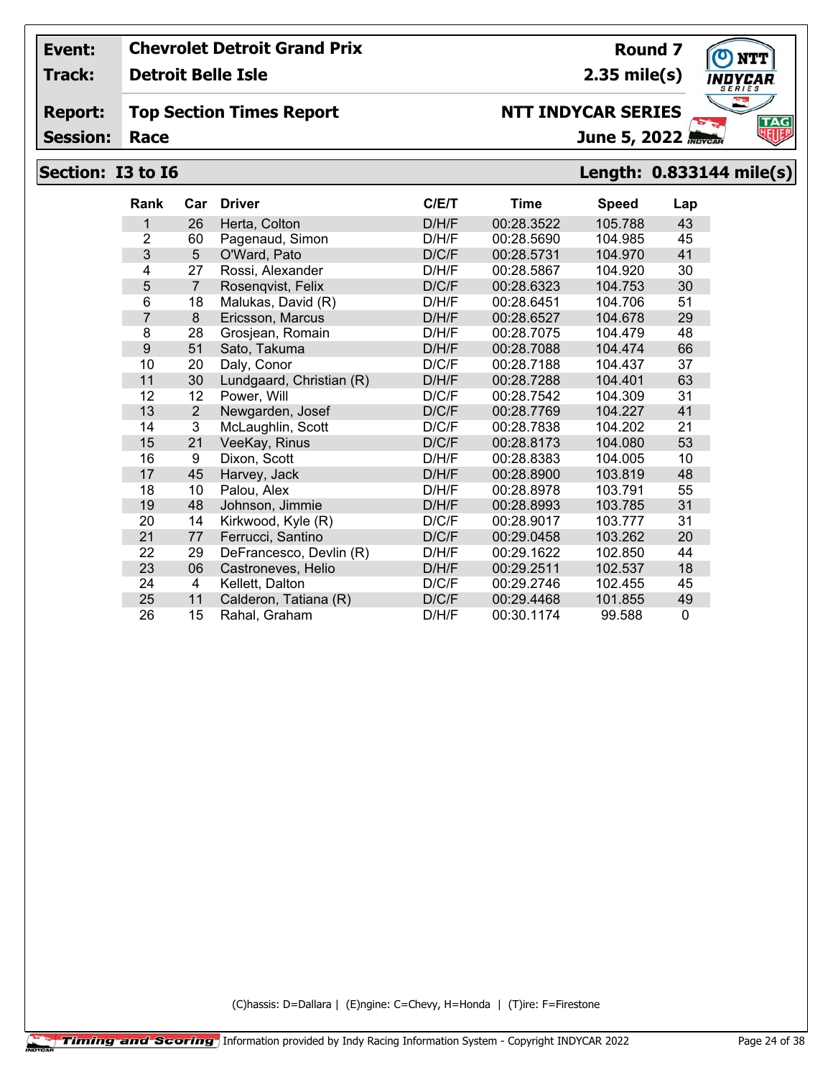**Track: Detroit Belle Isle**

#### **Report: Top Section Times Report**

**Session:**

# **Section: I3 to I6 Length: 0.833144 mile(s)**

| <b>Rank</b>    | Car            | <b>Driver</b>            | C/ET  | Time       | <b>Speed</b> | Lap          |
|----------------|----------------|--------------------------|-------|------------|--------------|--------------|
| 1              | 26             | Herta, Colton            | D/H/F | 00:28.3522 | 105.788      | 43           |
| $\overline{2}$ | 60             | Pagenaud, Simon          | D/H/F | 00:28.5690 | 104.985      | 45           |
| 3              | 5              | O'Ward, Pato             | D/C/F | 00:28.5731 | 104.970      | 41           |
| 4              | 27             | Rossi, Alexander         | D/H/F | 00:28.5867 | 104.920      | 30           |
| 5              | $\overline{7}$ | Rosenqvist, Felix        | D/C/F | 00:28.6323 | 104.753      | 30           |
| 6              | 18             | Malukas, David (R)       | D/H/F | 00:28.6451 | 104.706      | 51           |
| $\overline{7}$ | 8              | Ericsson, Marcus         | D/H/F | 00:28.6527 | 104.678      | 29           |
| 8              | 28             | Grosjean, Romain         | D/H/F | 00:28.7075 | 104.479      | 48           |
| 9              | 51             | Sato, Takuma             | D/H/F | 00:28.7088 | 104.474      | 66           |
| 10             | 20             | Daly, Conor              | D/C/F | 00:28.7188 | 104.437      | 37           |
| 11             | 30             | Lundgaard, Christian (R) | D/H/F | 00:28.7288 | 104.401      | 63           |
| 12             | 12             | Power, Will              | D/C/F | 00:28.7542 | 104.309      | 31           |
| 13             | $\overline{2}$ | Newgarden, Josef         | D/C/F | 00:28.7769 | 104.227      | 41           |
| 14             | 3              | McLaughlin, Scott        | D/C/F | 00:28.7838 | 104.202      | 21           |
| 15             | 21             | VeeKay, Rinus            | D/C/F | 00:28.8173 | 104.080      | 53           |
| 16             | 9              | Dixon, Scott             | D/H/F | 00:28.8383 | 104.005      | 10           |
| 17             | 45             | Harvey, Jack             | D/H/F | 00:28.8900 | 103.819      | 48           |
| 18             | 10             | Palou, Alex              | D/H/F | 00:28.8978 | 103.791      | 55           |
| 19             | 48             | Johnson, Jimmie          | D/H/F | 00:28.8993 | 103.785      | 31           |
| 20             | 14             | Kirkwood, Kyle (R)       | D/C/F | 00:28.9017 | 103.777      | 31           |
| 21             | 77             | Ferrucci, Santino        | D/C/F | 00:29.0458 | 103.262      | 20           |
| 22             | 29             | DeFrancesco, Devlin (R)  | D/H/F | 00:29.1622 | 102.850      | 44           |
| 23             | 06             | Castroneves, Helio       | D/H/F | 00:29.2511 | 102.537      | 18           |
| 24             | 4              | Kellett, Dalton          | D/C/F | 00:29.2746 | 102.455      | 45           |
| 25             | 11             | Calderon, Tatiana (R)    | D/C/F | 00:29.4468 | 101.855      | 49           |
| 26             | 15             | Rahal, Graham            | D/H/F | 00:30.1174 | 99.588       | $\mathbf{0}$ |

(C)hassis: D=Dallara | (E)ngine: C=Chevy, H=Honda | (T)ire: F=Firestone



**Round 7 2.35 mile(s)**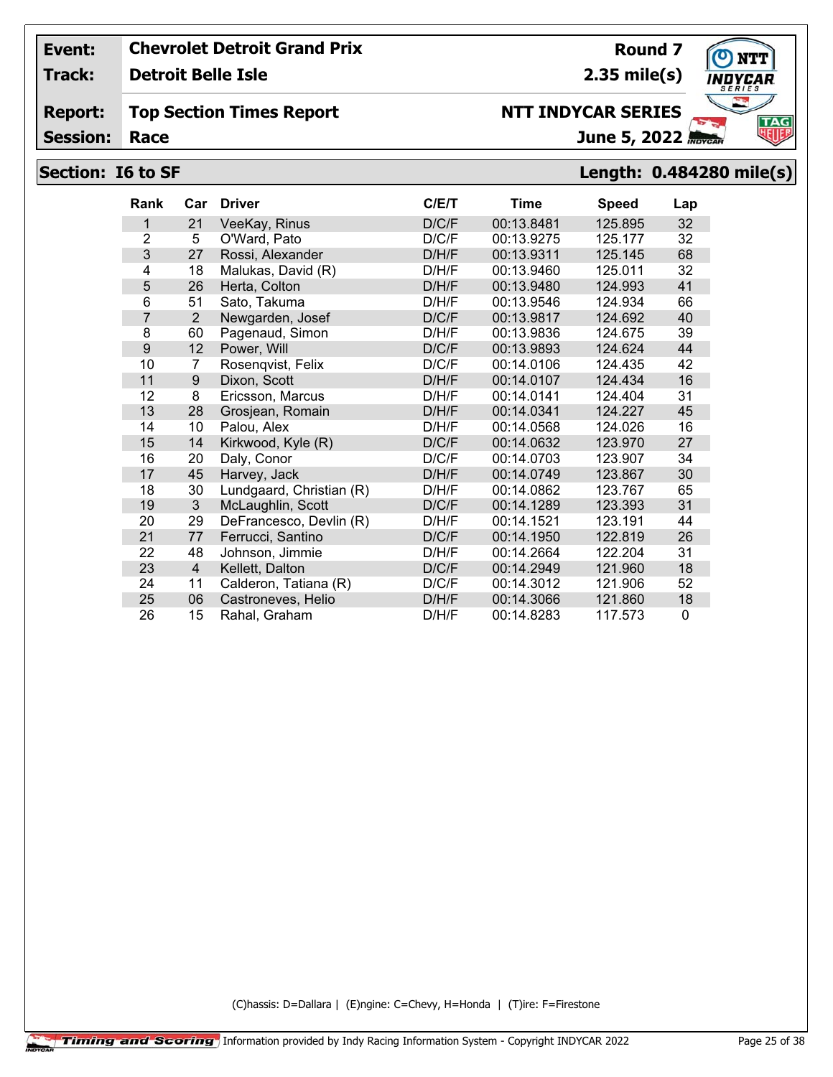**Track: Detroit Belle Isle**

#### **Report: Top Section Times Report**

**Session:**

# **Section: I6 to SF Length: 0.484280 mile(s)**

| Rank           | Car            | <b>Driver</b>            | C/ET  | Time       | <b>Speed</b> | Lap      |
|----------------|----------------|--------------------------|-------|------------|--------------|----------|
| 1              | 21             | VeeKay, Rinus            | D/C/F | 00:13.8481 | 125.895      | 32       |
| $\overline{2}$ | 5              | O'Ward, Pato             | D/C/F | 00:13.9275 | 125.177      | 32       |
| 3              | 27             | Rossi, Alexander         | D/H/F | 00:13.9311 | 125.145      | 68       |
| 4              | 18             | Malukas, David (R)       | D/H/F | 00:13.9460 | 125.011      | 32       |
| 5              | 26             | Herta, Colton            | D/H/F | 00:13.9480 | 124.993      | 41       |
| 6              | 51             | Sato, Takuma             | D/H/F | 00:13.9546 | 124.934      | 66       |
| $\overline{7}$ | 2              | Newgarden, Josef         | D/C/F | 00:13.9817 | 124.692      | 40       |
| 8              | 60             | Pagenaud, Simon          | D/H/F | 00:13.9836 | 124.675      | 39       |
| 9              | 12             | Power, Will              | D/C/F | 00:13.9893 | 124.624      | 44       |
| 10             | 7              | Rosenqvist, Felix        | D/C/F | 00:14.0106 | 124.435      | 42       |
| 11             | 9              | Dixon, Scott             | D/H/F | 00:14.0107 | 124.434      | 16       |
| 12             | 8              | Ericsson, Marcus         | D/H/F | 00:14.0141 | 124.404      | 31       |
| 13             | 28             | Grosjean, Romain         | D/H/F | 00:14.0341 | 124.227      | 45       |
| 14             | 10             | Palou, Alex              | D/H/F | 00:14.0568 | 124.026      | 16       |
| 15             | 14             | Kirkwood, Kyle (R)       | D/C/F | 00:14.0632 | 123.970      | 27       |
| 16             | 20             | Daly, Conor              | D/C/F | 00:14.0703 | 123.907      | 34       |
| 17             | 45             | Harvey, Jack             | D/H/F | 00:14.0749 | 123.867      | 30       |
| 18             | 30             | Lundgaard, Christian (R) | D/H/F | 00:14.0862 | 123.767      | 65       |
| 19             | 3              | McLaughlin, Scott        | D/C/F | 00:14.1289 | 123.393      | 31       |
| 20             | 29             | DeFrancesco, Devlin (R)  | D/H/F | 00:14.1521 | 123.191      | 44       |
| 21             | 77             | Ferrucci, Santino        | D/C/F | 00:14.1950 | 122.819      | 26       |
| 22             | 48             | Johnson, Jimmie          | D/H/F | 00:14.2664 | 122.204      | 31       |
| 23             | $\overline{4}$ | Kellett, Dalton          | D/C/F | 00:14.2949 | 121.960      | 18       |
| 24             | 11             | Calderon, Tatiana (R)    | D/C/F | 00:14.3012 | 121.906      | 52       |
| 25             | 06             | Castroneves, Helio       | D/H/F | 00:14.3066 | 121.860      | 18       |
| 26             | 15             | Rahal, Graham            | D/H/F | 00:14.8283 | 117.573      | $\Omega$ |

(C)hassis: D=Dallara | (E)ngine: C=Chevy, H=Honda | (T)ire: F=Firestone



**Round 7 2.35 mile(s)**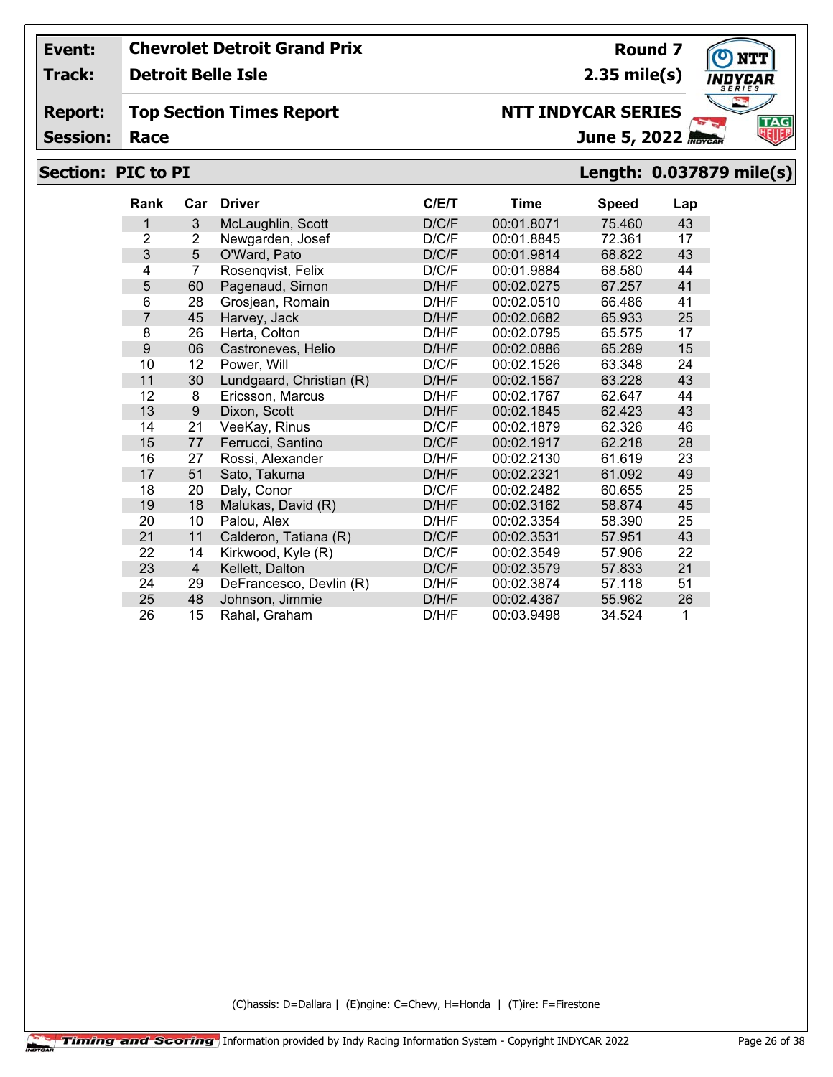**Track:**

**Detroit Belle Isle**

#### **Report: Top Section Times Report**

**Session:**

# **Section: PIC to PI Length: 0.037879 mile(s)**

| Rank           | Car            | <b>Driver</b>            | C/ET  | <b>Time</b> | <b>Speed</b> | Lap |
|----------------|----------------|--------------------------|-------|-------------|--------------|-----|
| 1              | 3              | McLaughlin, Scott        | D/C/F | 00:01.8071  | 75.460       | 43  |
| $\overline{2}$ | 2              | Newgarden, Josef         | D/C/F | 00:01.8845  | 72.361       | 17  |
| 3              | 5              | O'Ward, Pato             | D/C/F | 00:01.9814  | 68.822       | 43  |
| 4              | $\overline{7}$ | Rosenqvist, Felix        | D/C/F | 00:01.9884  | 68.580       | 44  |
| 5              | 60             | Pagenaud, Simon          | D/H/F | 00:02.0275  | 67.257       | 41  |
| 6              | 28             | Grosjean, Romain         | D/H/F | 00:02.0510  | 66.486       | 41  |
| $\overline{7}$ | 45             | Harvey, Jack             | D/H/F | 00:02.0682  | 65.933       | 25  |
| 8              | 26             | Herta, Colton            | D/H/F | 00:02.0795  | 65.575       | 17  |
| 9              | 06             | Castroneves, Helio       | D/H/F | 00:02.0886  | 65.289       | 15  |
| 10             | 12             | Power, Will              | D/C/F | 00:02.1526  | 63.348       | 24  |
| 11             | 30             | Lundgaard, Christian (R) | D/H/F | 00:02.1567  | 63.228       | 43  |
| 12             | 8              | Ericsson, Marcus         | D/H/F | 00:02.1767  | 62.647       | 44  |
| 13             | 9              | Dixon, Scott             | D/H/F | 00:02.1845  | 62.423       | 43  |
| 14             | 21             | VeeKay, Rinus            | D/C/F | 00:02.1879  | 62.326       | 46  |
| 15             | 77             | Ferrucci, Santino        | D/C/F | 00:02.1917  | 62.218       | 28  |
| 16             | 27             | Rossi, Alexander         | D/H/F | 00:02.2130  | 61.619       | 23  |
| 17             | 51             | Sato, Takuma             | D/H/F | 00:02.2321  | 61.092       | 49  |
| 18             | 20             | Daly, Conor              | D/C/F | 00:02.2482  | 60.655       | 25  |
| 19             | 18             | Malukas, David (R)       | D/H/F | 00:02.3162  | 58.874       | 45  |
| 20             | 10             | Palou, Alex              | D/H/F | 00:02.3354  | 58.390       | 25  |
| 21             | 11             | Calderon, Tatiana (R)    | D/C/F | 00:02.3531  | 57.951       | 43  |
| 22             | 14             | Kirkwood, Kyle (R)       | D/C/F | 00:02.3549  | 57.906       | 22  |
| 23             | $\overline{4}$ | Kellett, Dalton          | D/C/F | 00:02.3579  | 57.833       | 21  |
| 24             | 29             | DeFrancesco, Devlin (R)  | D/H/F | 00:02.3874  | 57.118       | 51  |
| 25             | 48             | Johnson, Jimmie          | D/H/F | 00:02.4367  | 55.962       | 26  |
| 26             | 15             | Rahal, Graham            | D/H/F | 00:03.9498  | 34.524       | 1   |

(C)hassis: D=Dallara | (E)ngine: C=Chevy, H=Honda | (T)ire: F=Firestone



**Round 7**

**2.35 mile(s)**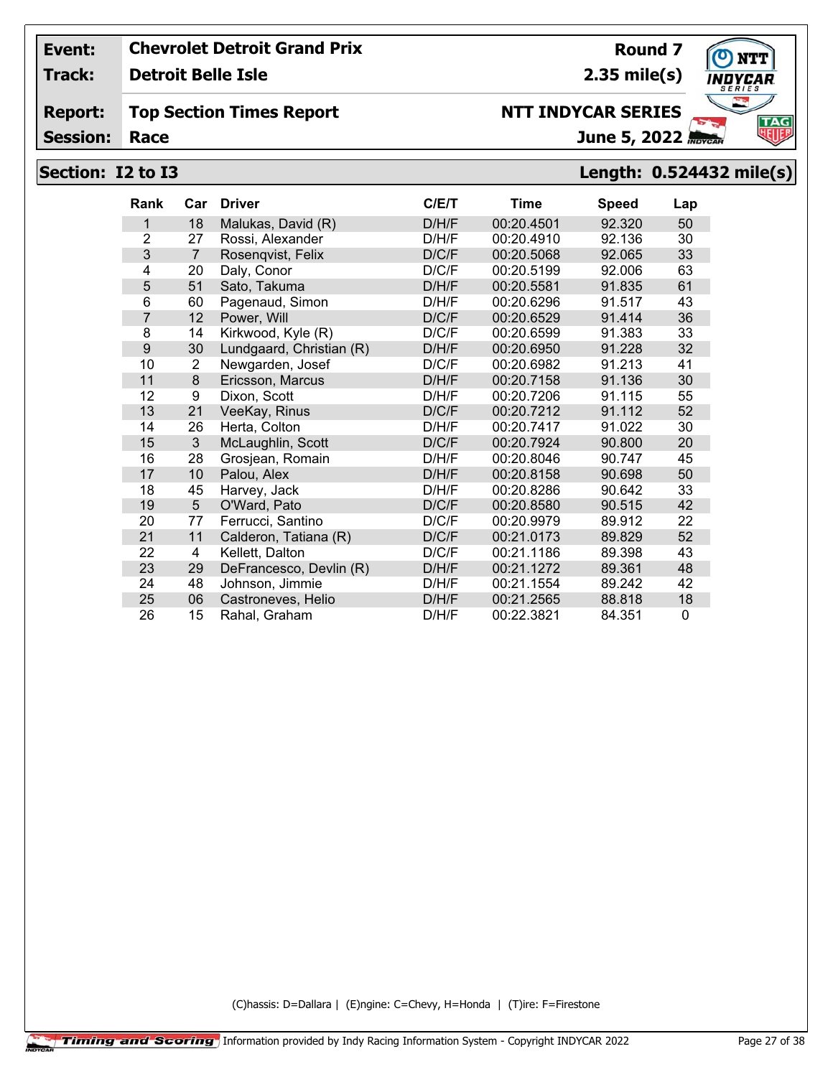**Track: Detroit Belle Isle**

#### **Report: Top Section Times Report**

**Session:**

# **Section: I2 to I3 Length: 0.524432 mile(s)**

| <b>Rank</b>    | Car | <b>Driver</b>            | C/ET  | <b>Time</b> | <b>Speed</b> | Lap |
|----------------|-----|--------------------------|-------|-------------|--------------|-----|
| 1              | 18  | Malukas, David (R)       | D/H/F | 00:20.4501  | 92.320       | 50  |
| $\overline{2}$ | 27  | Rossi, Alexander         | D/H/F | 00:20.4910  | 92.136       | 30  |
| 3              | 7   | Rosenqvist, Felix        | D/C/F | 00:20.5068  | 92.065       | 33  |
| 4              | 20  | Daly, Conor              | D/C/F | 00:20.5199  | 92,006       | 63  |
| 5              | 51  | Sato, Takuma             | D/H/F | 00:20.5581  | 91.835       | 61  |
| 6              | 60  | Pagenaud, Simon          | D/H/F | 00:20.6296  | 91.517       | 43  |
| $\overline{7}$ | 12  | Power, Will              | D/C/F | 00:20.6529  | 91.414       | 36  |
| 8              | 14  | Kirkwood, Kyle (R)       | D/C/F | 00:20.6599  | 91.383       | 33  |
| 9              | 30  | Lundgaard, Christian (R) | D/H/F | 00:20.6950  | 91.228       | 32  |
| 10             | 2   | Newgarden, Josef         | D/C/F | 00:20.6982  | 91.213       | 41  |
| 11             | 8   | Ericsson, Marcus         | D/H/F | 00:20.7158  | 91.136       | 30  |
| 12             | 9   | Dixon, Scott             | D/H/F | 00:20.7206  | 91.115       | 55  |
| 13             | 21  | VeeKay, Rinus            | D/C/F | 00:20.7212  | 91.112       | 52  |
| 14             | 26  | Herta, Colton            | D/H/F | 00:20.7417  | 91.022       | 30  |
| 15             | 3   | McLaughlin, Scott        | D/C/F | 00:20.7924  | 90.800       | 20  |
| 16             | 28  | Grosjean, Romain         | D/H/F | 00:20.8046  | 90.747       | 45  |
| 17             | 10  | Palou, Alex              | D/H/F | 00:20.8158  | 90.698       | 50  |
| 18             | 45  | Harvey, Jack             | D/H/F | 00:20.8286  | 90.642       | 33  |
| 19             | 5   | O'Ward, Pato             | D/C/F | 00:20.8580  | 90.515       | 42  |
| 20             | 77  | Ferrucci, Santino        | D/C/F | 00:20.9979  | 89.912       | 22  |
| 21             | 11  | Calderon, Tatiana (R)    | D/C/F | 00:21.0173  | 89.829       | 52  |
| 22             | 4   | Kellett, Dalton          | D/C/F | 00:21.1186  | 89.398       | 43  |
| 23             | 29  | DeFrancesco, Devlin (R)  | D/H/F | 00:21.1272  | 89.361       | 48  |
| 24             | 48  | Johnson, Jimmie          | D/H/F | 00:21.1554  | 89.242       | 42  |
| 25             | 06  | Castroneves, Helio       | D/H/F | 00:21.2565  | 88.818       | 18  |
| 26             | 15  | Rahal, Graham            | D/H/F | 00:22.3821  | 84.351       | 0   |

(C)hassis: D=Dallara | (E)ngine: C=Chevy, H=Honda | (T)ire: F=Firestone



**Round 7 2.35 mile(s)**

June 5, 2022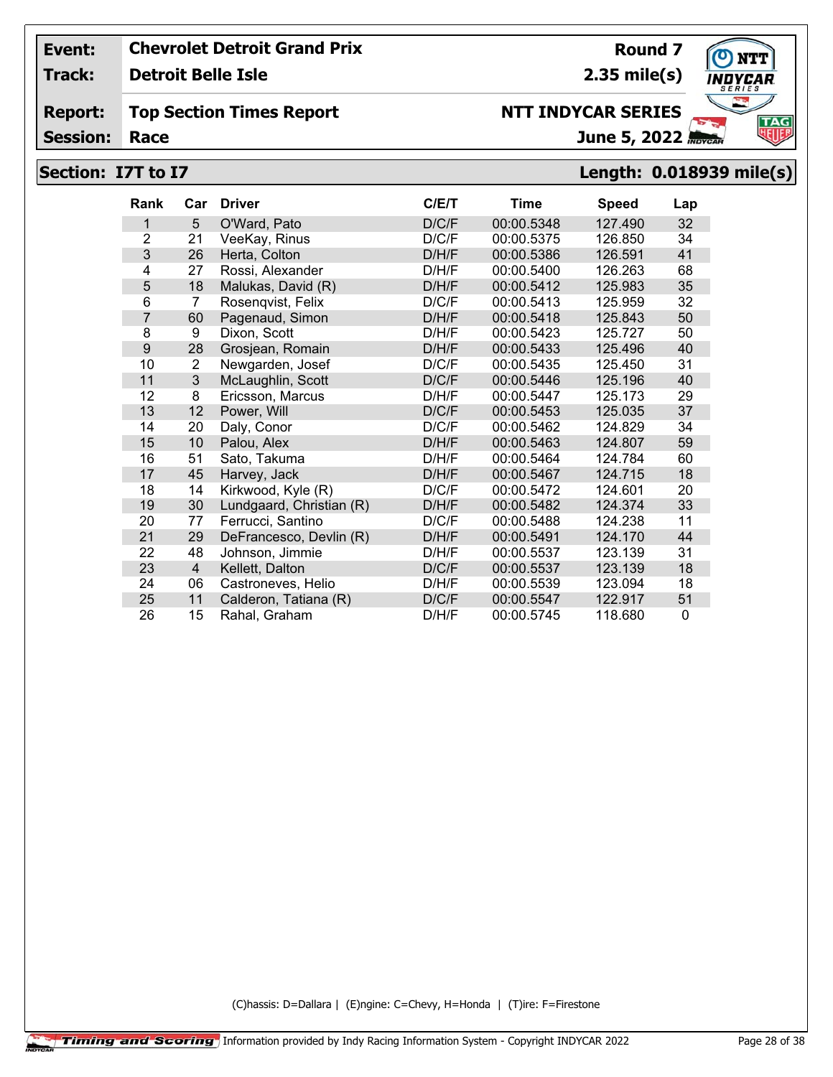**Track: Detroit Belle Isle**

#### **Report: Top Section Times Report**

**Session:**

# **Section: I7T to I7 Length: 0.018939 mile(s)**

| <b>Rank</b>    | Car            | <b>Driver</b>            | C/E/T | Time       | Speed   | Lap          |
|----------------|----------------|--------------------------|-------|------------|---------|--------------|
| 1              | 5              | O'Ward, Pato             | D/C/F | 00:00.5348 | 127.490 | 32           |
| $\overline{2}$ | 21             | VeeKay, Rinus            | D/C/F | 00:00.5375 | 126.850 | 34           |
| 3              | 26             | Herta, Colton            | D/H/F | 00:00.5386 | 126.591 | 41           |
| 4              | 27             | Rossi, Alexander         | D/H/F | 00:00.5400 | 126.263 | 68           |
| 5              | 18             | Malukas, David (R)       | D/H/F | 00:00.5412 | 125.983 | 35           |
| 6              | 7              | Rosenqvist, Felix        | D/C/F | 00:00.5413 | 125.959 | 32           |
| $\overline{7}$ | 60             | Pagenaud, Simon          | D/H/F | 00:00.5418 | 125.843 | 50           |
| 8              | 9              | Dixon, Scott             | D/H/F | 00:00.5423 | 125.727 | 50           |
| 9              | 28             | Grosjean, Romain         | D/H/F | 00:00.5433 | 125.496 | 40           |
| 10             | 2              | Newgarden, Josef         | D/C/F | 00:00.5435 | 125.450 | 31           |
| 11             | 3              | McLaughlin, Scott        | D/C/F | 00:00.5446 | 125.196 | 40           |
| 12             | 8              | Ericsson, Marcus         | D/H/F | 00:00.5447 | 125.173 | 29           |
| 13             | 12             | Power, Will              | D/C/F | 00:00.5453 | 125.035 | 37           |
| 14             | 20             | Daly, Conor              | D/C/F | 00:00.5462 | 124.829 | 34           |
| 15             | 10             | Palou, Alex              | D/H/F | 00:00.5463 | 124.807 | 59           |
| 16             | 51             | Sato, Takuma             | D/H/F | 00:00.5464 | 124.784 | 60           |
| 17             | 45             | Harvey, Jack             | D/H/F | 00:00.5467 | 124.715 | 18           |
| 18             | 14             | Kirkwood, Kyle (R)       | D/C/F | 00:00.5472 | 124.601 | 20           |
| 19             | 30             | Lundgaard, Christian (R) | D/H/F | 00:00.5482 | 124.374 | 33           |
| 20             | 77             | Ferrucci, Santino        | D/C/F | 00:00.5488 | 124.238 | 11           |
| 21             | 29             | DeFrancesco, Devlin (R)  | D/H/F | 00:00.5491 | 124.170 | 44           |
| 22             | 48             | Johnson, Jimmie          | D/H/F | 00:00.5537 | 123.139 | 31           |
| 23             | $\overline{4}$ | Kellett, Dalton          | D/C/F | 00:00.5537 | 123.139 | 18           |
| 24             | 06             | Castroneves, Helio       | D/H/F | 00:00.5539 | 123.094 | 18           |
| 25             | 11             | Calderon, Tatiana (R)    | D/C/F | 00:00.5547 | 122.917 | 51           |
| 26             | 15             | Rahal, Graham            | D/H/F | 00:00.5745 | 118.680 | $\mathbf{0}$ |

(C)hassis: D=Dallara | (E)ngine: C=Chevy, H=Honda | (T)ire: F=Firestone



**Round 7 2.35 mile(s)**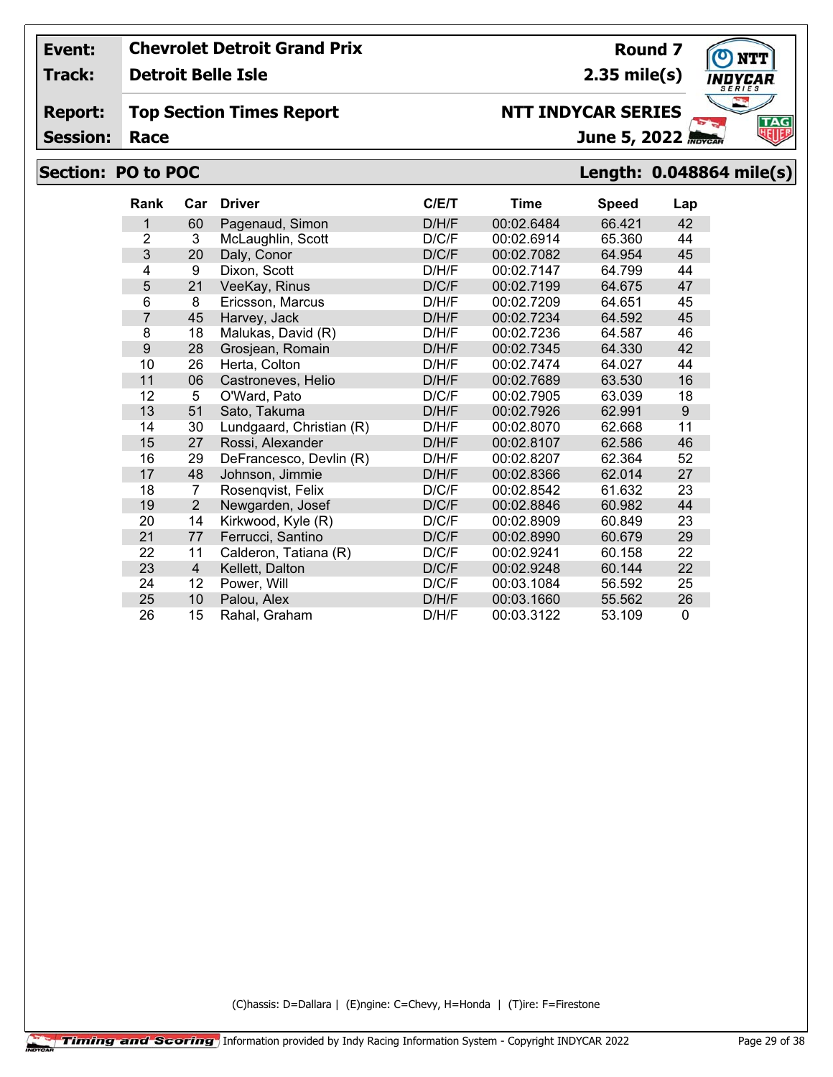**Track: Detroit Belle Isle**

#### **Report: Top Section Times Report**

**Session:**

# **Section: PO to POC Length: 0.048864 mile(s)**

| <b>Rank</b>      | Car            | <b>Driver</b>            | C/E/T | Time       | <b>Speed</b> | Lap         |
|------------------|----------------|--------------------------|-------|------------|--------------|-------------|
| 1                | 60             | Pagenaud, Simon          | D/H/F | 00:02.6484 | 66.421       | 42          |
| $\overline{2}$   | 3              | McLaughlin, Scott        | D/C/F | 00:02.6914 | 65.360       | 44          |
| 3                | 20             | Daly, Conor              | D/C/F | 00:02.7082 | 64.954       | 45          |
| 4                | 9              | Dixon, Scott             | D/H/F | 00:02.7147 | 64.799       | 44          |
| 5                | 21             | VeeKay, Rinus            | D/C/F | 00:02.7199 | 64.675       | 47          |
| 6                | 8              | Ericsson, Marcus         | D/H/F | 00:02.7209 | 64.651       | 45          |
| $\overline{7}$   | 45             | Harvey, Jack             | D/H/F | 00:02.7234 | 64.592       | 45          |
| 8                | 18             | Malukas, David (R)       | D/H/F | 00:02.7236 | 64.587       | 46          |
| $\boldsymbol{9}$ | 28             | Grosjean, Romain         | D/H/F | 00:02.7345 | 64.330       | 42          |
| 10               | 26             | Herta, Colton            | D/H/F | 00:02.7474 | 64.027       | 44          |
| 11               | 06             | Castroneves, Helio       | D/H/F | 00:02.7689 | 63.530       | 16          |
| 12               | 5              | O'Ward, Pato             | D/C/F | 00:02.7905 | 63.039       | 18          |
| 13               | 51             | Sato, Takuma             | D/H/F | 00:02.7926 | 62.991       | 9           |
| 14               | 30             | Lundgaard, Christian (R) | D/H/F | 00:02.8070 | 62.668       | 11          |
| 15               | 27             | Rossi, Alexander         | D/H/F | 00:02.8107 | 62.586       | 46          |
| 16               | 29             | DeFrancesco, Devlin (R)  | D/H/F | 00:02.8207 | 62.364       | 52          |
| 17               | 48             | Johnson, Jimmie          | D/H/F | 00:02.8366 | 62.014       | 27          |
| 18               | 7              | Rosenqvist, Felix        | D/C/F | 00:02.8542 | 61.632       | 23          |
| 19               | $\overline{2}$ | Newgarden, Josef         | D/C/F | 00:02.8846 | 60.982       | 44          |
| 20               | 14             | Kirkwood, Kyle (R)       | D/C/F | 00:02.8909 | 60.849       | 23          |
| 21               | 77             | Ferrucci, Santino        | D/C/F | 00:02.8990 | 60.679       | 29          |
| 22               | 11             | Calderon, Tatiana (R)    | D/C/F | 00:02.9241 | 60.158       | 22          |
| 23               | 4              | Kellett, Dalton          | D/C/F | 00:02.9248 | 60.144       | 22          |
| 24               | 12             | Power, Will              | D/C/F | 00:03.1084 | 56.592       | 25          |
| 25               | 10             | Palou, Alex              | D/H/F | 00:03.1660 | 55.562       | 26          |
| 26               | 15             | Rahal, Graham            | D/H/F | 00:03.3122 | 53.109       | $\mathbf 0$ |

(C)hassis: D=Dallara | (E)ngine: C=Chevy, H=Honda | (T)ire: F=Firestone



**Round 7**

**2.35 mile(s)**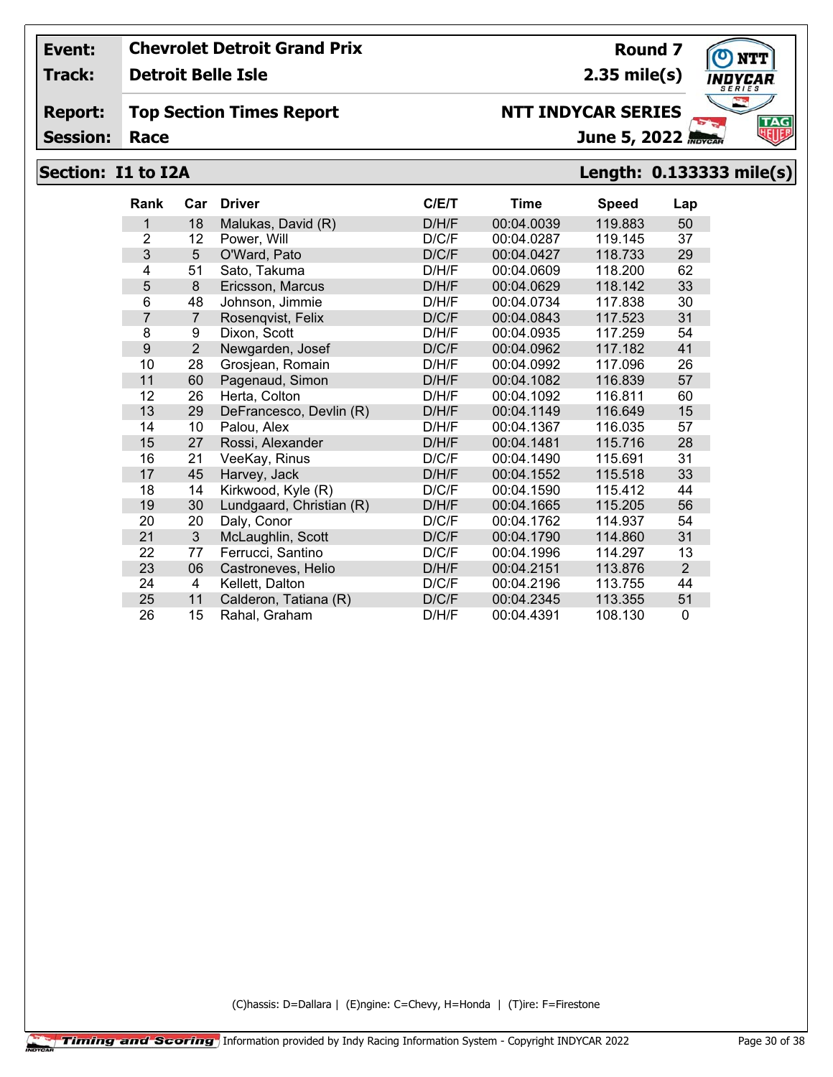**Track: Detroit Belle Isle**

#### **Report: Top Section Times Report**

**Session:**

# **Section: I1 to I2A Length: 0.133333 mile(s)**

| <b>Rank</b>    | Car            | <b>Driver</b>            | C/ET  | Time       | <b>Speed</b> | Lap            |
|----------------|----------------|--------------------------|-------|------------|--------------|----------------|
| 1              | 18             | Malukas, David (R)       | D/H/F | 00:04.0039 | 119.883      | 50             |
| $\overline{2}$ | 12             | Power, Will              | D/C/F | 00:04.0287 | 119.145      | 37             |
| 3              | 5              | O'Ward, Pato             | D/C/F | 00:04.0427 | 118.733      | 29             |
| 4              | 51             | Sato, Takuma             | D/H/F | 00:04.0609 | 118.200      | 62             |
| 5              | 8              | Ericsson, Marcus         | D/H/F | 00:04.0629 | 118.142      | 33             |
| 6              | 48             | Johnson, Jimmie          | D/H/F | 00:04.0734 | 117.838      | 30             |
| $\overline{7}$ | $\overline{7}$ | Rosenqvist, Felix        | D/C/F | 00:04.0843 | 117.523      | 31             |
| 8              | 9              | Dixon, Scott             | D/H/F | 00:04.0935 | 117.259      | 54             |
| 9              | $\overline{2}$ | Newgarden, Josef         | D/C/F | 00:04.0962 | 117.182      | 41             |
| 10             | 28             | Grosjean, Romain         | D/H/F | 00:04.0992 | 117.096      | 26             |
| 11             | 60             | Pagenaud, Simon          | D/H/F | 00:04.1082 | 116.839      | 57             |
| 12             | 26             | Herta, Colton            | D/H/F | 00:04.1092 | 116.811      | 60             |
| 13             | 29             | DeFrancesco, Devlin (R)  | D/H/F | 00:04.1149 | 116.649      | 15             |
| 14             | 10             | Palou, Alex              | D/H/F | 00:04.1367 | 116.035      | 57             |
| 15             | 27             | Rossi, Alexander         | D/H/F | 00:04.1481 | 115.716      | 28             |
| 16             | 21             | VeeKay, Rinus            | D/C/F | 00:04.1490 | 115.691      | 31             |
| 17             | 45             | Harvey, Jack             | D/H/F | 00:04.1552 | 115.518      | 33             |
| 18             | 14             | Kirkwood, Kyle (R)       | D/C/F | 00:04.1590 | 115.412      | 44             |
| 19             | 30             | Lundgaard, Christian (R) | D/H/F | 00:04.1665 | 115.205      | 56             |
| 20             | 20             | Daly, Conor              | D/C/F | 00:04.1762 | 114.937      | 54             |
| 21             | 3              | McLaughlin, Scott        | D/C/F | 00:04.1790 | 114.860      | 31             |
| 22             | 77             | Ferrucci, Santino        | D/C/F | 00:04.1996 | 114.297      | 13             |
| 23             | 06             | Castroneves, Helio       | D/H/F | 00:04.2151 | 113.876      | $\overline{2}$ |
| 24             | 4              | Kellett, Dalton          | D/C/F | 00:04.2196 | 113.755      | 44             |
| 25             | 11             | Calderon, Tatiana (R)    | D/C/F | 00:04.2345 | 113.355      | 51             |
| 26             | 15             | Rahal, Graham            | D/H/F | 00:04.4391 | 108.130      | 0              |

(C)hassis: D=Dallara | (E)ngine: C=Chevy, H=Honda | (T)ire: F=Firestone



**Round 7 2.35 mile(s)**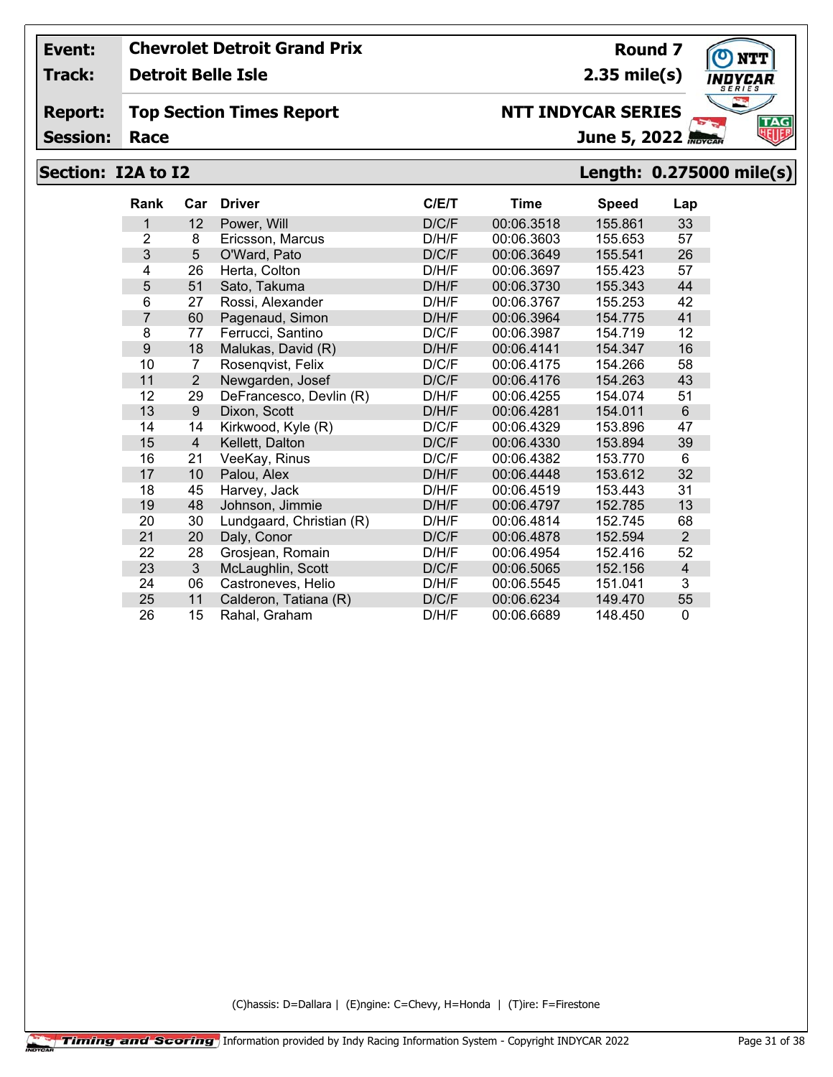**Track: Detroit Belle Isle**

#### **Report: Top Section Times Report**

**Session:**

# June 5, 2022

## **Section: I2A to I2 Length: 0.275000 mile(s)**

| <b>Rank</b>    | Car            | <b>Driver</b>            | C/ET  | Time       | <b>Speed</b> | Lap      |
|----------------|----------------|--------------------------|-------|------------|--------------|----------|
| 1              | 12             | Power, Will              | D/C/F | 00:06.3518 | 155.861      | 33       |
| $\overline{2}$ | 8              | Ericsson, Marcus         | D/H/F | 00:06.3603 | 155.653      | 57       |
| 3              | 5              | O'Ward, Pato             | D/C/F | 00:06.3649 | 155.541      | 26       |
| 4              | 26             | Herta, Colton            | D/H/F | 00:06.3697 | 155.423      | 57       |
| 5              | 51             | Sato, Takuma             | D/H/F | 00:06.3730 | 155.343      | 44       |
| 6              | 27             | Rossi, Alexander         | D/H/F | 00:06.3767 | 155.253      | 42       |
| $\overline{7}$ | 60             | Pagenaud, Simon          | D/H/F | 00:06.3964 | 154.775      | 41       |
| 8              | 77             | Ferrucci, Santino        | D/C/F | 00:06.3987 | 154.719      | 12       |
| 9              | 18             | Malukas, David (R)       | D/H/F | 00:06.4141 | 154.347      | 16       |
| 10             | 7              | Rosenqvist, Felix        | D/C/F | 00:06.4175 | 154.266      | 58       |
| 11             | 2              | Newgarden, Josef         | D/C/F | 00:06.4176 | 154.263      | 43       |
| 12             | 29             | DeFrancesco, Devlin (R)  | D/H/F | 00:06.4255 | 154.074      | 51       |
| 13             | 9              | Dixon, Scott             | D/H/F | 00:06.4281 | 154.011      | 6        |
| 14             | 14             | Kirkwood, Kyle (R)       | D/C/F | 00:06.4329 | 153.896      | 47       |
| 15             | $\overline{4}$ | Kellett, Dalton          | D/C/F | 00:06.4330 | 153.894      | 39       |
| 16             | 21             | VeeKay, Rinus            | D/C/F | 00:06.4382 | 153.770      | 6        |
| 17             | 10             | Palou, Alex              | D/H/F | 00:06.4448 | 153.612      | 32       |
| 18             | 45             | Harvey, Jack             | D/H/F | 00:06.4519 | 153.443      | 31       |
| 19             | 48             | Johnson, Jimmie          | D/H/F | 00:06.4797 | 152.785      | 13       |
| 20             | 30             | Lundgaard, Christian (R) | D/H/F | 00:06.4814 | 152.745      | 68       |
| 21             | 20             | Daly, Conor              | D/C/F | 00:06.4878 | 152.594      | 2        |
| 22             | 28             | Grosjean, Romain         | D/H/F | 00:06.4954 | 152.416      | 52       |
| 23             | 3              | McLaughlin, Scott        | D/C/F | 00:06.5065 | 152.156      | 4        |
| 24             | 06             | Castroneves, Helio       | D/H/F | 00:06.5545 | 151.041      | 3        |
| 25             | 11             | Calderon, Tatiana (R)    | D/C/F | 00:06.6234 | 149.470      | 55       |
| 26             | 15             | Rahal, Graham            | D/H/F | 00:06.6689 | 148.450      | $\Omega$ |

(C)hassis: D=Dallara | (E)ngine: C=Chevy, H=Honda | (T)ire: F=Firestone



**Round 7 2.35 mile(s)**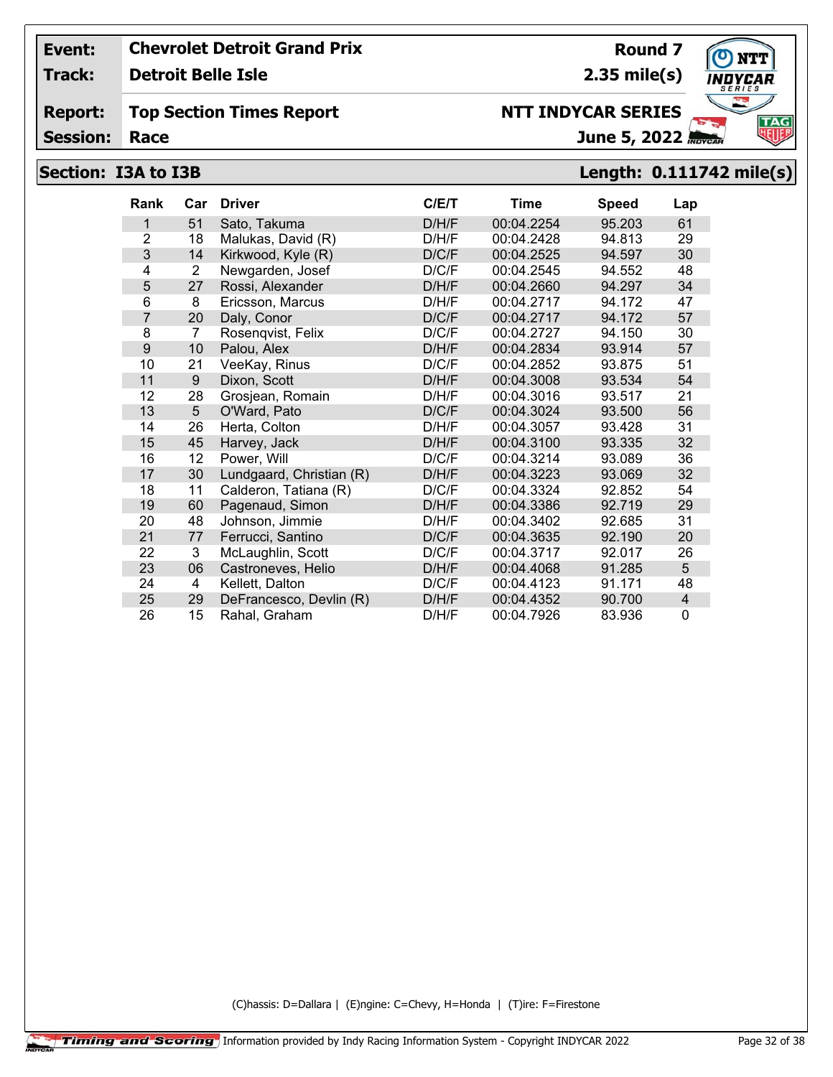**Track: Detroit Belle Isle**

#### **Report: Top Section Times Report**

**Session:**

## **Section: I3A to I3B Length: 0.111742 mile(s)**

| <b>Rank</b>    | Car | <b>Driver</b>            | C/E/T | <b>Time</b> | <b>Speed</b> | Lap          |
|----------------|-----|--------------------------|-------|-------------|--------------|--------------|
| 1              | 51  | Sato, Takuma             | D/H/F | 00:04.2254  | 95.203       | 61           |
| $\overline{2}$ | 18  | Malukas, David (R)       | D/H/F | 00:04.2428  | 94.813       | 29           |
| 3              | 14  | Kirkwood, Kyle (R)       | D/C/F | 00:04.2525  | 94.597       | 30           |
| 4              | 2   | Newgarden, Josef         | D/C/F | 00:04.2545  | 94.552       | 48           |
| 5              | 27  | Rossi, Alexander         | D/H/F | 00:04.2660  | 94.297       | 34           |
| 6              | 8   | Ericsson, Marcus         | D/H/F | 00:04.2717  | 94.172       | 47           |
| $\overline{7}$ | 20  | Daly, Conor              | D/C/F | 00:04.2717  | 94.172       | 57           |
| 8              | 7   | Rosenqvist, Felix        | D/C/F | 00:04.2727  | 94.150       | 30           |
| 9              | 10  | Palou, Alex              | D/H/F | 00:04.2834  | 93.914       | 57           |
| 10             | 21  | VeeKay, Rinus            | D/C/F | 00:04.2852  | 93.875       | 51           |
| 11             | 9   | Dixon, Scott             | D/H/F | 00:04.3008  | 93.534       | 54           |
| 12             | 28  | Grosjean, Romain         | D/H/F | 00:04.3016  | 93.517       | 21           |
| 13             | 5   | O'Ward, Pato             | D/C/F | 00:04.3024  | 93.500       | 56           |
| 14             | 26  | Herta, Colton            | D/H/F | 00:04.3057  | 93.428       | 31           |
| 15             | 45  | Harvey, Jack             | D/H/F | 00:04.3100  | 93.335       | 32           |
| 16             | 12  | Power, Will              | D/C/F | 00:04.3214  | 93.089       | 36           |
| 17             | 30  | Lundgaard, Christian (R) | D/H/F | 00:04.3223  | 93.069       | 32           |
| 18             | 11  | Calderon, Tatiana (R)    | D/C/F | 00:04.3324  | 92.852       | 54           |
| 19             | 60  | Pagenaud, Simon          | D/H/F | 00:04.3386  | 92.719       | 29           |
| 20             | 48  | Johnson, Jimmie          | D/H/F | 00:04.3402  | 92.685       | 31           |
| 21             | 77  | Ferrucci, Santino        | D/C/F | 00:04.3635  | 92.190       | 20           |
| 22             | 3   | McLaughlin, Scott        | D/C/F | 00:04.3717  | 92.017       | 26           |
| 23             | 06  | Castroneves, Helio       | D/H/F | 00:04.4068  | 91.285       | 5            |
| 24             | 4   | Kellett, Dalton          | D/C/F | 00:04.4123  | 91.171       | 48           |
| 25             | 29  | DeFrancesco, Devlin (R)  | D/H/F | 00:04.4352  | 90.700       | 4            |
| 26             | 15  | Rahal, Graham            | D/H/F | 00:04.7926  | 83.936       | $\mathbf{0}$ |

(C)hassis: D=Dallara | (E)ngine: C=Chevy, H=Honda | (T)ire: F=Firestone



**Round 7 2.35 mile(s)**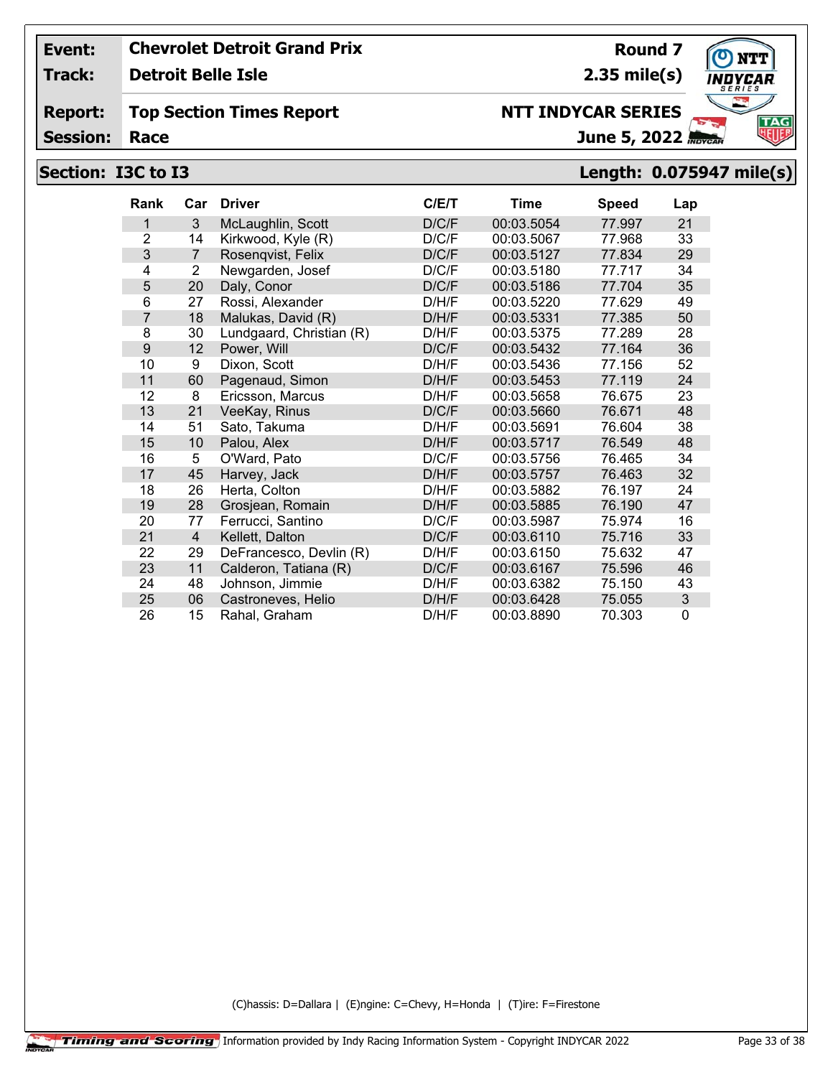**Track: Detroit Belle Isle**

#### **Report: Top Section Times Report**

**Session:**

# **Section: I3C to I3 Length: 0.075947 mile(s)**

| <b>Rank</b> | Car            | <b>Driver</b>            | C/ET  | <b>Time</b> | <b>Speed</b> | Lap            |
|-------------|----------------|--------------------------|-------|-------------|--------------|----------------|
| 1           | 3              | McLaughlin, Scott        | D/C/F | 00:03.5054  | 77.997       | 21             |
| 2           | 14             | Kirkwood, Kyle (R)       | D/C/F | 00:03.5067  | 77.968       | 33             |
| 3           | $\overline{7}$ | Rosenqvist, Felix        | D/C/F | 00:03.5127  | 77.834       | 29             |
| 4           | $\overline{2}$ | Newgarden, Josef         | D/C/F | 00:03.5180  | 77.717       | 34             |
| 5           | 20             | Daly, Conor              | D/C/F | 00:03.5186  | 77.704       | 35             |
| 6           | 27             | Rossi, Alexander         | D/H/F | 00:03.5220  | 77.629       | 49             |
| 7           | 18             | Malukas, David (R)       | D/H/F | 00:03.5331  | 77.385       | 50             |
| 8           | 30             | Lundgaard, Christian (R) | D/H/F | 00:03.5375  | 77.289       | 28             |
| 9           | 12             | Power, Will              | D/C/F | 00:03.5432  | 77.164       | 36             |
| 10          | 9              | Dixon, Scott             | D/H/F | 00:03.5436  | 77.156       | 52             |
| 11          | 60             | Pagenaud, Simon          | D/H/F | 00:03.5453  | 77.119       | 24             |
| 12          | 8              | Ericsson, Marcus         | D/H/F | 00:03.5658  | 76.675       | 23             |
| 13          | 21             | VeeKay, Rinus            | D/C/F | 00:03.5660  | 76.671       | 48             |
| 14          | 51             | Sato, Takuma             | D/H/F | 00:03.5691  | 76.604       | 38             |
| 15          | 10             | Palou, Alex              | D/H/F | 00:03.5717  | 76.549       | 48             |
| 16          | 5              | O'Ward, Pato             | D/C/F | 00:03.5756  | 76.465       | 34             |
| 17          | 45             | Harvey, Jack             | D/H/F | 00:03.5757  | 76.463       | 32             |
| 18          | 26             | Herta, Colton            | D/H/F | 00:03.5882  | 76.197       | 24             |
| 19          | 28             | Grosjean, Romain         | D/H/F | 00:03.5885  | 76.190       | 47             |
| 20          | 77             | Ferrucci, Santino        | D/C/F | 00:03.5987  | 75.974       | 16             |
| 21          | $\overline{4}$ | Kellett, Dalton          | D/C/F | 00:03.6110  | 75.716       | 33             |
| 22          | 29             | DeFrancesco, Devlin (R)  | D/H/F | 00:03.6150  | 75.632       | 47             |
| 23          | 11             | Calderon, Tatiana (R)    | D/C/F | 00:03.6167  | 75.596       | 46             |
| 24          | 48             | Johnson, Jimmie          | D/H/F | 00:03.6382  | 75.150       | 43             |
| 25          | 06             | Castroneves, Helio       | D/H/F | 00:03.6428  | 75.055       | $\mathfrak{B}$ |
| 26          | 15             | Rahal, Graham            | D/H/F | 00:03.8890  | 70.303       | $\Omega$       |

(C)hassis: D=Dallara | (E)ngine: C=Chevy, H=Honda | (T)ire: F=Firestone



**Round 7 2.35 mile(s)**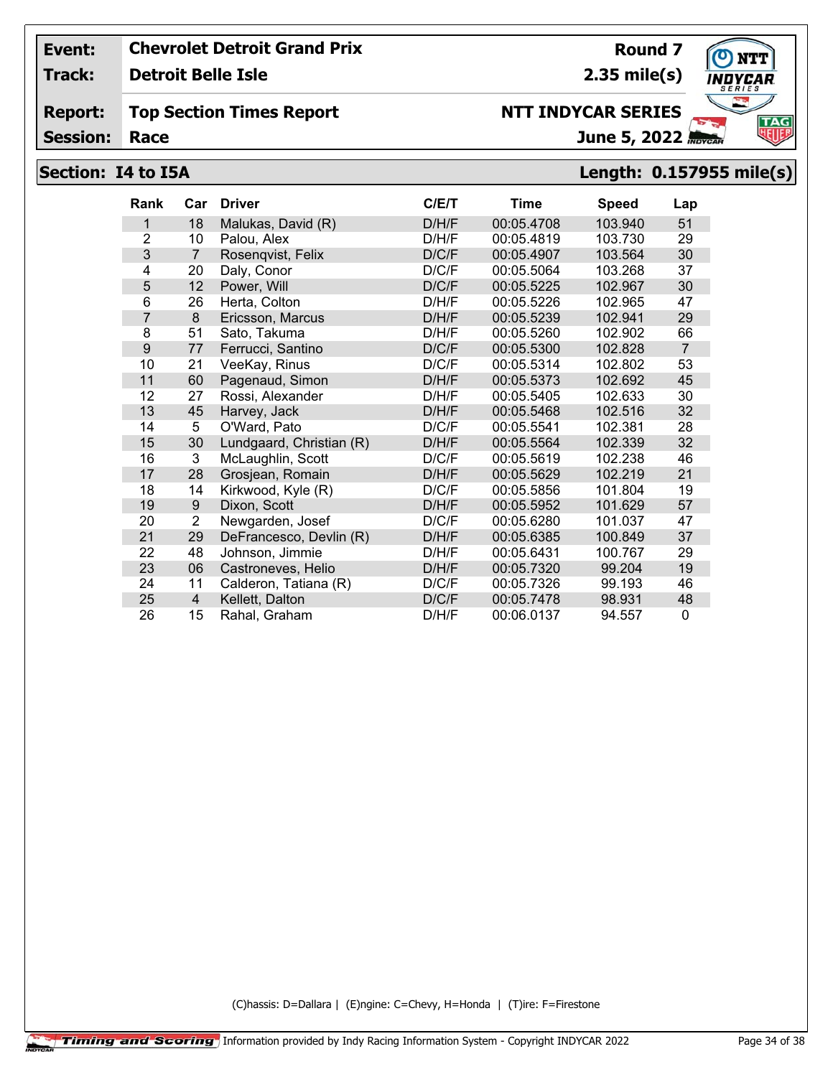**Track: Detroit Belle Isle**

#### **Report: Top Section Times Report**

**Session:**

# **Section: I4 to I5A Length: 0.157955 mile(s)**

| <b>Rank</b>    | Car            | <b>Driver</b>            | C/ET  | Time       | Speed   | Lap            |
|----------------|----------------|--------------------------|-------|------------|---------|----------------|
| 1              | 18             | Malukas, David (R)       | D/H/F | 00:05.4708 | 103.940 | 51             |
| $\overline{2}$ | 10             | Palou, Alex              | D/H/F | 00:05.4819 | 103.730 | 29             |
| 3              | $\overline{7}$ | Rosenqvist, Felix        | D/C/F | 00:05.4907 | 103.564 | 30             |
| 4              | 20             | Daly, Conor              | D/C/F | 00:05.5064 | 103.268 | 37             |
| 5              | 12             | Power, Will              | D/C/F | 00:05.5225 | 102.967 | 30             |
| 6              | 26             | Herta, Colton            | D/H/F | 00:05.5226 | 102.965 | 47             |
| $\overline{7}$ | 8              | Ericsson, Marcus         | D/H/F | 00:05.5239 | 102.941 | 29             |
| 8              | 51             | Sato, Takuma             | D/H/F | 00:05.5260 | 102.902 | 66             |
| 9              | 77             | Ferrucci, Santino        | D/C/F | 00:05.5300 | 102.828 | $\overline{7}$ |
| 10             | 21             | VeeKay, Rinus            | D/C/F | 00:05.5314 | 102.802 | 53             |
| 11             | 60             | Pagenaud, Simon          | D/H/F | 00:05.5373 | 102.692 | 45             |
| 12             | 27             | Rossi, Alexander         | D/H/F | 00:05.5405 | 102.633 | 30             |
| 13             | 45             | Harvey, Jack             | D/H/F | 00:05.5468 | 102.516 | 32             |
| 14             | 5              | O'Ward, Pato             | D/C/F | 00:05.5541 | 102.381 | 28             |
| 15             | 30             | Lundgaard, Christian (R) | D/H/F | 00:05.5564 | 102.339 | 32             |
| 16             | 3              | McLaughlin, Scott        | D/C/F | 00:05.5619 | 102.238 | 46             |
| 17             | 28             | Grosjean, Romain         | D/H/F | 00:05.5629 | 102.219 | 21             |
| 18             | 14             | Kirkwood, Kyle (R)       | D/C/F | 00:05.5856 | 101.804 | 19             |
| 19             | 9              | Dixon, Scott             | D/H/F | 00:05.5952 | 101.629 | 57             |
| 20             | $\overline{2}$ | Newgarden, Josef         | D/C/F | 00:05.6280 | 101.037 | 47             |
| 21             | 29             | DeFrancesco, Devlin (R)  | D/H/F | 00:05.6385 | 100.849 | 37             |
| 22             | 48             | Johnson, Jimmie          | D/H/F | 00:05.6431 | 100.767 | 29             |
| 23             | 06             | Castroneves, Helio       | D/H/F | 00:05.7320 | 99.204  | 19             |
| 24             | 11             | Calderon, Tatiana (R)    | D/C/F | 00:05.7326 | 99.193  | 46             |
| 25             | $\overline{4}$ | Kellett, Dalton          | D/C/F | 00:05.7478 | 98.931  | 48             |
| 26             | 15             | Rahal, Graham            | D/H/F | 00:06.0137 | 94.557  | $\Omega$       |

(C)hassis: D=Dallara | (E)ngine: C=Chevy, H=Honda | (T)ire: F=Firestone



**Round 7 2.35 mile(s)**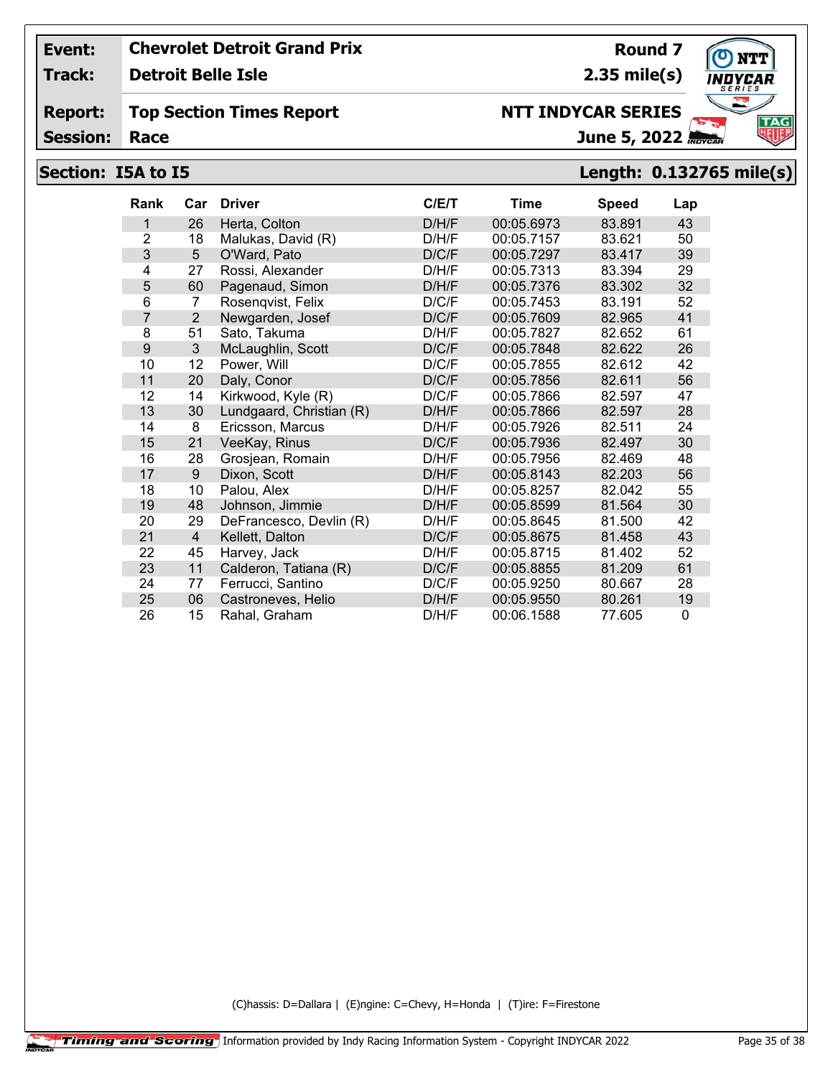**Track: Detroit Belle Isle**

#### **Report: Top Section Times Report**

**Session:**

# **Section: I5A to I5 Length: 0.132765 mile(s)**

| <b>Rank</b>    | Car            | <b>Driver</b>            | C/E/T | <b>Time</b> | <b>Speed</b> | Lap |
|----------------|----------------|--------------------------|-------|-------------|--------------|-----|
| 1              | 26             | Herta, Colton            | D/H/F | 00:05.6973  | 83.891       | 43  |
| $\overline{2}$ | 18             | Malukas, David (R)       | D/H/F | 00:05.7157  | 83.621       | 50  |
| 3              | 5              | O'Ward, Pato             | D/C/F | 00:05.7297  | 83.417       | 39  |
| 4              | 27             | Rossi, Alexander         | D/H/F | 00:05.7313  | 83.394       | 29  |
| 5              | 60             | Pagenaud, Simon          | D/H/F | 00:05.7376  | 83.302       | 32  |
| 6              | 7              | Rosenqvist, Felix        | D/C/F | 00:05.7453  | 83.191       | 52  |
| $\overline{7}$ | $\overline{2}$ | Newgarden, Josef         | D/C/F | 00:05.7609  | 82.965       | 41  |
| 8              | 51             | Sato, Takuma             | D/H/F | 00:05.7827  | 82.652       | 61  |
| 9              | 3              | McLaughlin, Scott        | D/C/F | 00:05.7848  | 82.622       | 26  |
| 10             | 12             | Power, Will              | D/C/F | 00:05.7855  | 82.612       | 42  |
| 11             | 20             | Daly, Conor              | D/C/F | 00:05.7856  | 82.611       | 56  |
| 12             | 14             | Kirkwood, Kyle (R)       | D/C/F | 00:05.7866  | 82.597       | 47  |
| 13             | 30             | Lundgaard, Christian (R) | D/H/F | 00:05.7866  | 82.597       | 28  |
| 14             | 8              | Ericsson, Marcus         | D/H/F | 00:05.7926  | 82.511       | 24  |
| 15             | 21             | VeeKay, Rinus            | D/C/F | 00:05.7936  | 82.497       | 30  |
| 16             | 28             | Grosjean, Romain         | D/H/F | 00:05.7956  | 82.469       | 48  |
| 17             | 9              | Dixon, Scott             | D/H/F | 00:05.8143  | 82.203       | 56  |
| 18             | 10             | Palou, Alex              | D/H/F | 00:05.8257  | 82.042       | 55  |
| 19             | 48             | Johnson, Jimmie          | D/H/F | 00:05.8599  | 81.564       | 30  |
| 20             | 29             | DeFrancesco, Devlin (R)  | D/H/F | 00:05.8645  | 81.500       | 42  |
| 21             | 4              | Kellett, Dalton          | D/C/F | 00:05.8675  | 81.458       | 43  |
| 22             | 45             | Harvey, Jack             | D/H/F | 00:05.8715  | 81.402       | 52  |
| 23             | 11             | Calderon, Tatiana (R)    | D/C/F | 00:05.8855  | 81.209       | 61  |
| 24             | 77             | Ferrucci, Santino        | D/C/F | 00:05.9250  | 80.667       | 28  |
| 25             | 06             | Castroneves, Helio       | D/H/F | 00:05.9550  | 80.261       | 19  |
| 26             | 15             | Rahal, Graham            | D/H/F | 00:06.1588  | 77.605       | 0   |

(C)hassis: D=Dallara | (E)ngine: C=Chevy, H=Honda | (T)ire: F=Firestone



**Round 7 2.35 mile(s)**

June 5, 2022 **NTT INDYCAR SERIES**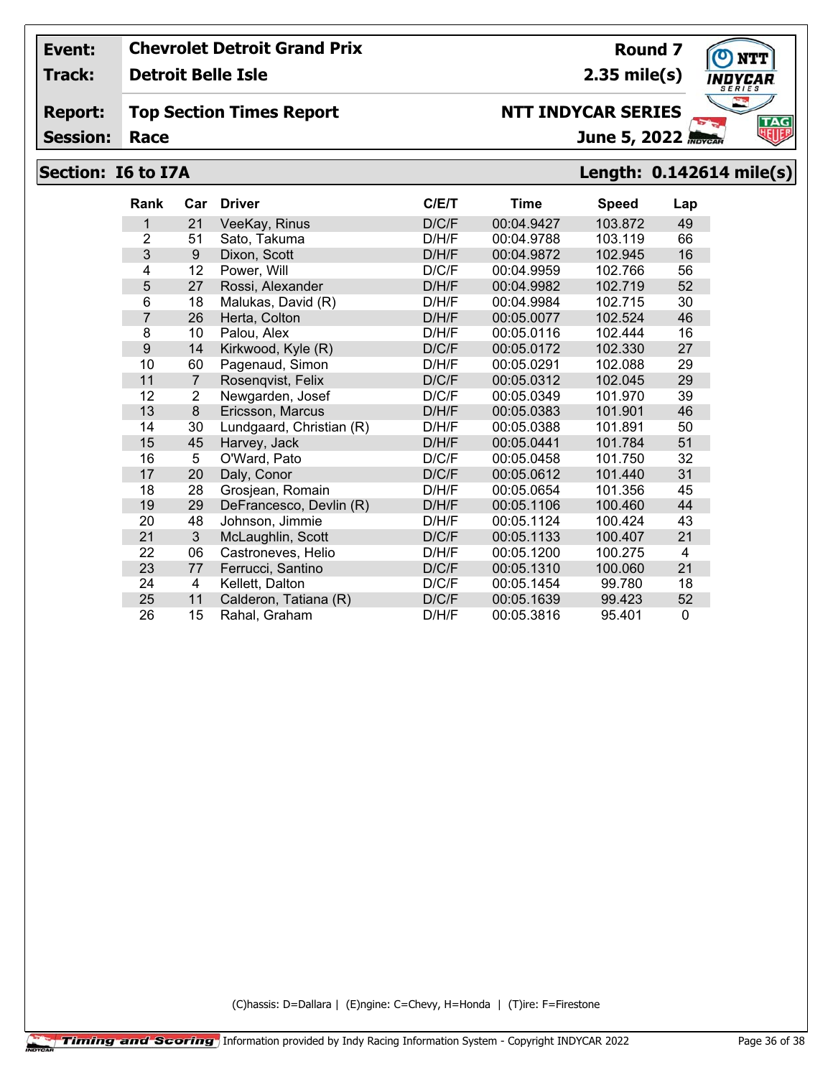**Track: Detroit Belle Isle**

#### **Report: Top Section Times Report**

**Session:**

# **NTT INDYCAR SERIES**

**Round 7**

June 5, 2022

**2.35 mile(s)**

# **Section: I6 to I7A Length: 0.142614 mile(s)**

| <b>Rank</b>    | Car            | <b>Driver</b>            | C/E/T | Time       | <b>Speed</b> | Lap      |
|----------------|----------------|--------------------------|-------|------------|--------------|----------|
| 1              | 21             | VeeKay, Rinus            | D/C/F | 00:04.9427 | 103.872      | 49       |
| $\overline{2}$ | 51             | Sato, Takuma             | D/H/F | 00:04.9788 | 103.119      | 66       |
| 3              | 9              | Dixon, Scott             | D/H/F | 00:04.9872 | 102.945      | 16       |
| 4              | 12             | Power, Will              | D/C/F | 00:04.9959 | 102.766      | 56       |
| 5              | 27             | Rossi, Alexander         | D/H/F | 00:04.9982 | 102.719      | 52       |
| 6              | 18             | Malukas, David (R)       | D/H/F | 00:04.9984 | 102.715      | 30       |
| $\overline{7}$ | 26             | Herta, Colton            | D/H/F | 00:05.0077 | 102.524      | 46       |
| 8              | 10             | Palou. Alex              | D/H/F | 00:05.0116 | 102.444      | 16       |
| 9              | 14             | Kirkwood, Kyle (R)       | D/C/F | 00:05.0172 | 102.330      | 27       |
| 10             | 60             | Pagenaud, Simon          | D/H/F | 00:05.0291 | 102.088      | 29       |
| 11             | $\overline{7}$ | Rosenqvist, Felix        | D/C/F | 00:05.0312 | 102.045      | 29       |
| 12             | 2              | Newgarden, Josef         | D/C/F | 00:05.0349 | 101.970      | 39       |
| 13             | 8              | Ericsson, Marcus         | D/H/F | 00:05.0383 | 101.901      | 46       |
| 14             | 30             | Lundgaard, Christian (R) | D/H/F | 00:05.0388 | 101.891      | 50       |
| 15             | 45             | Harvey, Jack             | D/H/F | 00:05.0441 | 101.784      | 51       |
| 16             | 5              | O'Ward, Pato             | D/C/F | 00:05.0458 | 101.750      | 32       |
| 17             | 20             | Daly, Conor              | D/C/F | 00:05.0612 | 101.440      | 31       |
| 18             | 28             | Grosjean, Romain         | D/H/F | 00:05.0654 | 101.356      | 45       |
| 19             | 29             | DeFrancesco, Devlin (R)  | D/H/F | 00:05.1106 | 100.460      | 44       |
| 20             | 48             | Johnson, Jimmie          | D/H/F | 00:05.1124 | 100.424      | 43       |
| 21             | $\mathbf{3}$   | McLaughlin, Scott        | D/C/F | 00:05.1133 | 100.407      | 21       |
| 22             | 06             | Castroneves, Helio       | D/H/F | 00:05.1200 | 100.275      | 4        |
| 23             | 77             | Ferrucci, Santino        | D/C/F | 00:05.1310 | 100.060      | 21       |
| 24             | 4              | Kellett, Dalton          | D/C/F | 00:05.1454 | 99.780       | 18       |
| 25             | 11             | Calderon, Tatiana (R)    | D/C/F | 00:05.1639 | 99.423       | 52       |
| 26             | 15             | Rahal, Graham            | D/H/F | 00:05.3816 | 95.401       | $\Omega$ |

(C)hassis: D=Dallara | (E)ngine: C=Chevy, H=Honda | (T)ire: F=Firestone

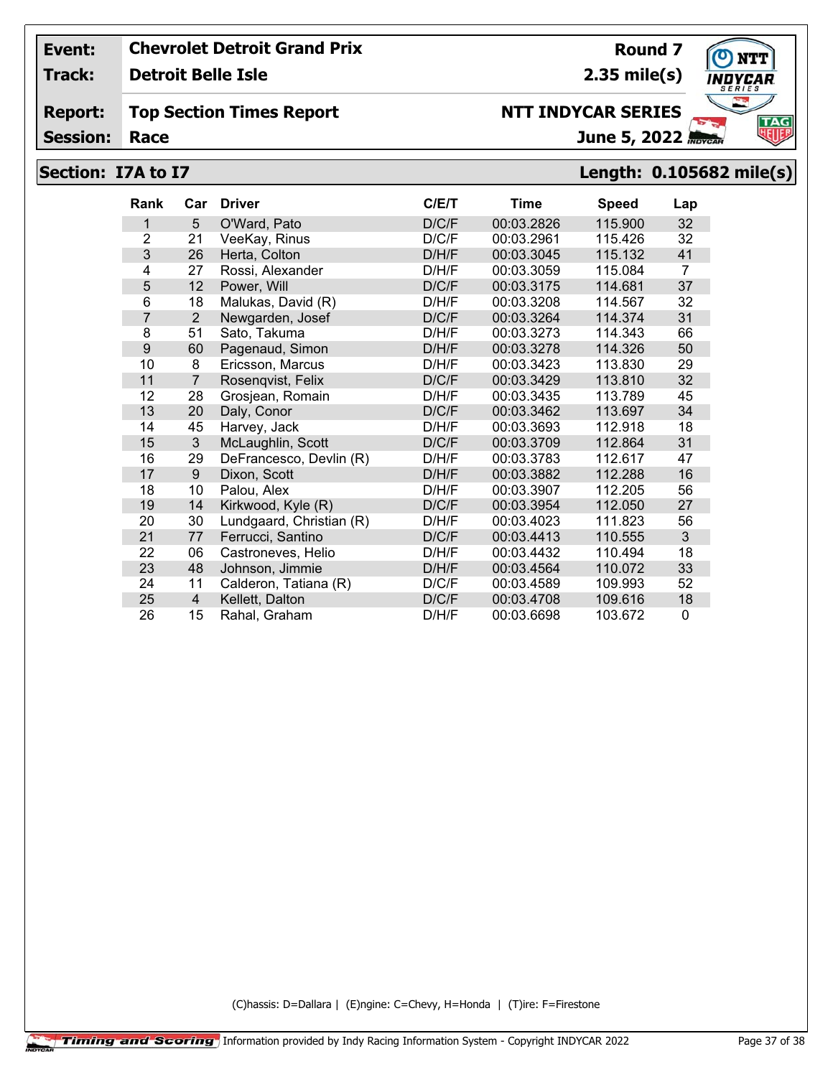**Track: Detroit Belle Isle**

#### **Report: Top Section Times Report**

**Session:**

# June 5, 2022

## **Section: I7A to I7 Length: 0.105682 mile(s)**

| <b>Rank</b> | Car            | <b>Driver</b>            | C/E/T | Time       | <b>Speed</b> | Lap |
|-------------|----------------|--------------------------|-------|------------|--------------|-----|
| 1           | 5              | O'Ward, Pato             | D/C/F | 00:03.2826 | 115.900      | 32  |
| 2           | 21             | VeeKay, Rinus            | D/C/F | 00:03.2961 | 115.426      | 32  |
| 3           | 26             | Herta, Colton            | D/H/F | 00:03.3045 | 115.132      | 41  |
| 4           | 27             | Rossi, Alexander         | D/H/F | 00:03.3059 | 115.084      | 7   |
| 5           | 12             | Power, Will              | D/C/F | 00:03.3175 | 114.681      | 37  |
| 6           | 18             | Malukas, David (R)       | D/H/F | 00:03.3208 | 114.567      | 32  |
| 7           | 2              | Newgarden, Josef         | D/C/F | 00:03.3264 | 114.374      | 31  |
| 8           | 51             | Sato, Takuma             | D/H/F | 00:03.3273 | 114.343      | 66  |
| 9           | 60             | Pagenaud, Simon          | D/H/F | 00:03.3278 | 114.326      | 50  |
| 10          | 8              | Ericsson, Marcus         | D/H/F | 00:03.3423 | 113.830      | 29  |
| 11          | $\overline{7}$ | Rosenqvist, Felix        | D/C/F | 00:03.3429 | 113.810      | 32  |
| 12          | 28             | Grosjean, Romain         | D/H/F | 00:03.3435 | 113.789      | 45  |
| 13          | 20             | Daly, Conor              | D/C/F | 00:03.3462 | 113.697      | 34  |
| 14          | 45             | Harvey, Jack             | D/H/F | 00:03.3693 | 112.918      | 18  |
| 15          | $\mathbf{3}$   | McLaughlin, Scott        | D/C/F | 00:03.3709 | 112.864      | 31  |
| 16          | 29             | DeFrancesco, Devlin (R)  | D/H/F | 00:03.3783 | 112.617      | 47  |
| 17          | 9              | Dixon, Scott             | D/H/F | 00:03.3882 | 112.288      | 16  |
| 18          | 10             | Palou, Alex              | D/H/F | 00:03.3907 | 112.205      | 56  |
| 19          | 14             | Kirkwood, Kyle (R)       | D/C/F | 00:03.3954 | 112.050      | 27  |
| 20          | 30             | Lundgaard, Christian (R) | D/H/F | 00:03.4023 | 111.823      | 56  |
| 21          | 77             | Ferrucci, Santino        | D/C/F | 00:03.4413 | 110.555      | 3   |
| 22          | 06             | Castroneves, Helio       | D/H/F | 00:03.4432 | 110.494      | 18  |
| 23          | 48             | Johnson, Jimmie          | D/H/F | 00:03.4564 | 110.072      | 33  |
| 24          | 11             | Calderon, Tatiana (R)    | D/C/F | 00:03.4589 | 109.993      | 52  |
| 25          | $\overline{4}$ | Kellett, Dalton          | D/C/F | 00:03.4708 | 109.616      | 18  |
| 26          | 15             | Rahal, Graham            | D/H/F | 00:03.6698 | 103.672      | 0   |

(C)hassis: D=Dallara | (E)ngine: C=Chevy, H=Honda | (T)ire: F=Firestone



**Round 7 2.35 mile(s)**